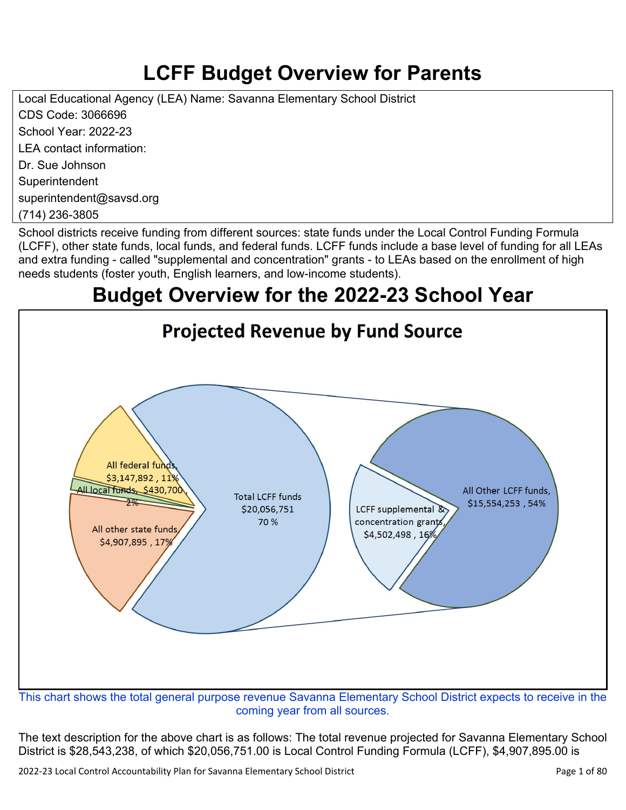## **LCFF Budget Overview for Parents**

Local Educational Agency (LEA) Name: Savanna Elementary School District CDS Code: 3066696 School Year: 2022-23 LEA contact information: Dr. Sue Johnson **Superintendent** superintendent@savsd.org (714) 236-3805

School districts receive funding from different sources: state funds under the Local Control Funding Formula (LCFF), other state funds, local funds, and federal funds. LCFF funds include a base level of funding for all LEAs and extra funding - called "supplemental and concentration" grants - to LEAs based on the enrollment of high needs students (foster youth, English learners, and low-income students).

## **Budget Overview for the 2022-23 School Year**



coming year from all sources.

The text description for the above chart is as follows: The total revenue projected for Savanna Elementary School District is \$28,543,238, of which \$20,056,751.00 is Local Control Funding Formula (LCFF), \$4,907,895.00 is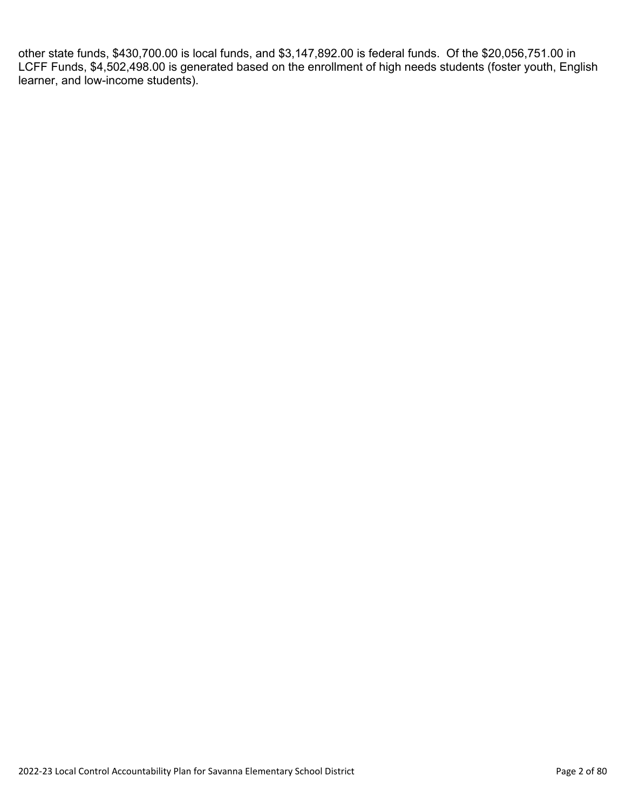other state funds, \$430,700.00 is local funds, and \$3,147,892.00 is federal funds. Of the \$20,056,751.00 in LCFF Funds, \$4,502,498.00 is generated based on the enrollment of high needs students (foster youth, English learner, and low-income students).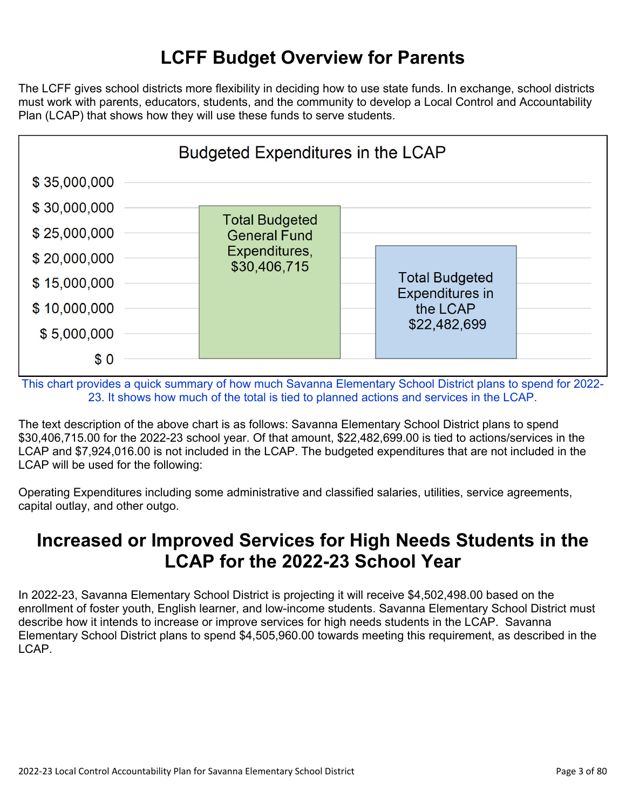## **LCFF Budget Overview for Parents**

The LCFF gives school districts more flexibility in deciding how to use state funds. In exchange, school districts must work with parents, educators, students, and the community to develop a Local Control and Accountability Plan (LCAP) that shows how they will use these funds to serve students.



This chart provides a quick summary of how much Savanna Elementary School District plans to spend for 2022- 23. It shows how much of the total is tied to planned actions and services in the LCAP.

The text description of the above chart is as follows: Savanna Elementary School District plans to spend \$30,406,715.00 for the 2022-23 school year. Of that amount, \$22,482,699.00 is tied to actions/services in the LCAP and \$7,924,016.00 is not included in the LCAP. The budgeted expenditures that are not included in the LCAP will be used for the following:

Operating Expenditures including some administrative and classified salaries, utilities, service agreements, capital outlay, and other outgo.

### **Increased or Improved Services for High Needs Students in the LCAP for the 2022-23 School Year**

In 2022-23, Savanna Elementary School District is projecting it will receive \$4,502,498.00 based on the enrollment of foster youth, English learner, and low-income students. Savanna Elementary School District must describe how it intends to increase or improve services for high needs students in the LCAP. Savanna Elementary School District plans to spend \$4,505,960.00 towards meeting this requirement, as described in the LCAP.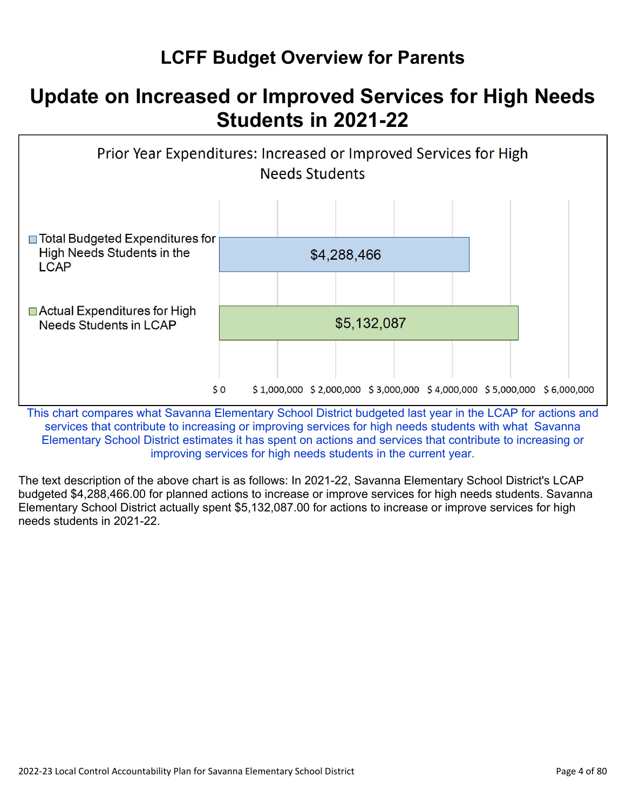## **LCFF Budget Overview for Parents**

## **Update on Increased or Improved Services for High Needs Students in 2021-22**



This chart compares what Savanna Elementary School District budgeted last year in the LCAP for actions and services that contribute to increasing or improving services for high needs students with what Savanna Elementary School District estimates it has spent on actions and services that contribute to increasing or improving services for high needs students in the current year.

The text description of the above chart is as follows: In 2021-22, Savanna Elementary School District's LCAP budgeted \$4,288,466.00 for planned actions to increase or improve services for high needs students. Savanna Elementary School District actually spent \$5,132,087.00 for actions to increase or improve services for high needs students in 2021-22.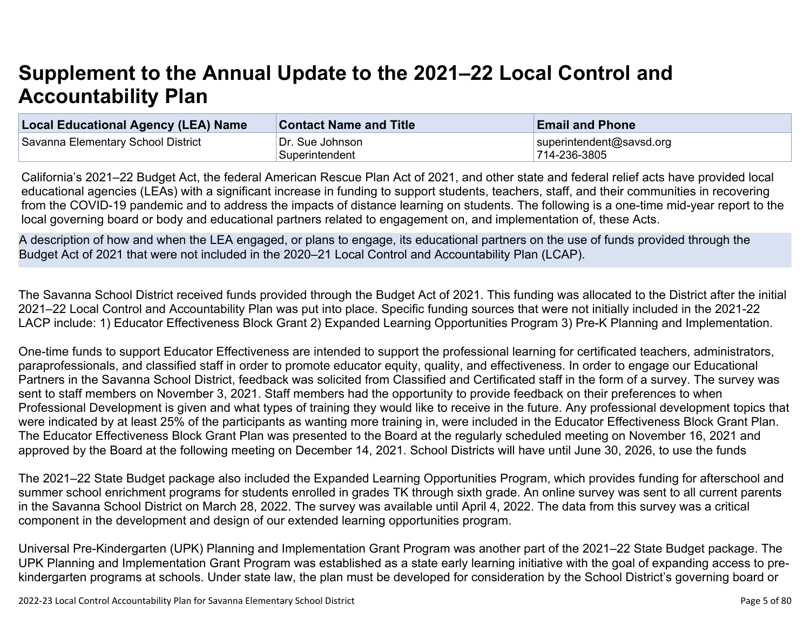# **Supplement to the Annual Update to the 2021–22 Local Control and Accountability Plan**

| <b>Local Educational Agency (LEA) Name</b> | <b>Contact Name and Title</b> | <b>Email and Phone</b>   |
|--------------------------------------------|-------------------------------|--------------------------|
| Savanna Elementary School District         | ∣Dr. Sue Johnson              | superintendent@savsd.org |
|                                            | Superintendent                | 714-236-3805             |

California's 2021–22 Budget Act, the federal American Rescue Plan Act of 2021, and other state and federal relief acts have provided local educational agencies (LEAs) with a significant increase in funding to support students, teachers, staff, and their communities in recovering from the COVID-19 pandemic and to address the impacts of distance learning on students. The following is a one-time mid-year report to the local governing board or body and educational partners related to engagement on, and implementation of, these Acts.

A description of how and when the LEA engaged, or plans to engage, its educational partners on the use of funds provided through the Budget Act of 2021 that were not included in the 2020–21 Local Control and Accountability Plan (LCAP).

The Savanna School District received funds provided through the Budget Act of 2021. This funding was allocated to the District after the initial 2021–22 Local Control and Accountability Plan was put into place. Specific funding sources that were not initially included in the 2021-22 LACP include: 1) Educator Effectiveness Block Grant 2) Expanded Learning Opportunities Program 3) Pre-K Planning and Implementation.

One-time funds to support Educator Effectiveness are intended to support the professional learning for certificated teachers, administrators, paraprofessionals, and classified staff in order to promote educator equity, quality, and effectiveness. In order to engage our Educational Partners in the Savanna School District, feedback was solicited from Classified and Certificated staff in the form of a survey. The survey was sent to staff members on November 3, 2021. Staff members had the opportunity to provide feedback on their preferences to when Professional Development is given and what types of training they would like to receive in the future. Any professional development topics that were indicated by at least 25% of the participants as wanting more training in, were included in the Educator Effectiveness Block Grant Plan. The Educator Effectiveness Block Grant Plan was presented to the Board at the regularly scheduled meeting on November 16, 2021 and approved by the Board at the following meeting on December 14, 2021. School Districts will have until June 30, 2026, to use the funds

The 2021–22 State Budget package also included the Expanded Learning Opportunities Program, which provides funding for afterschool and summer school enrichment programs for students enrolled in grades TK through sixth grade. An online survey was sent to all current parents in the Savanna School District on March 28, 2022. The survey was available until April 4, 2022. The data from this survey was a critical component in the development and design of our extended learning opportunities program.

Universal Pre-Kindergarten (UPK) Planning and Implementation Grant Program was another part of the 2021–22 State Budget package. The UPK Planning and Implementation Grant Program was established as a state early learning initiative with the goal of expanding access to prekindergarten programs at schools. Under state law, the plan must be developed for consideration by the School District's governing board or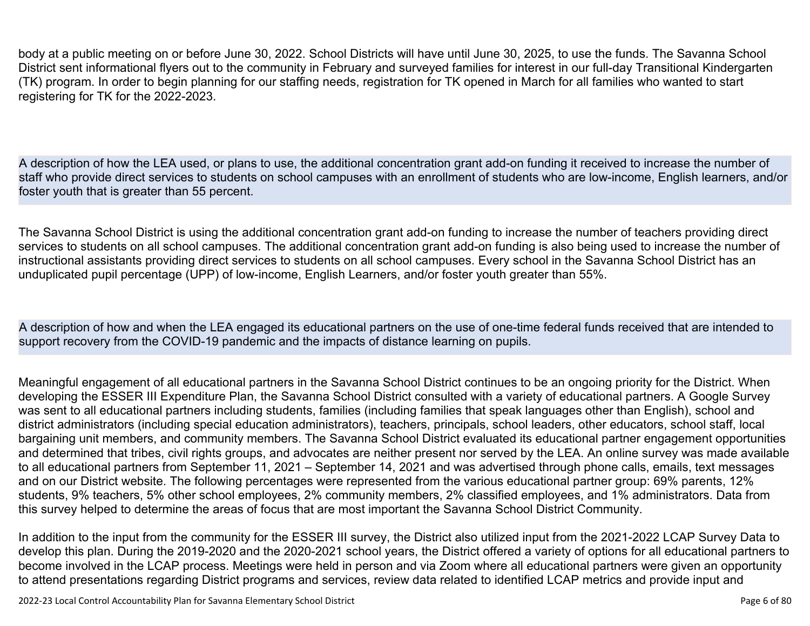body at a public meeting on or before June 30, 2022. School Districts will have until June 30, 2025, to use the funds. The Savanna School District sent informational flyers out to the community in February and surveyed families for interest in our full-day Transitional Kindergarten (TK) program. In order to begin planning for our staffing needs, registration for TK opened in March for all families who wanted to start registering for TK for the 2022-2023.

A description of how the LEA used, or plans to use, the additional concentration grant add-on funding it received to increase the number of staff who provide direct services to students on school campuses with an enrollment of students who are low-income, English learners, and/or foster youth that is greater than 55 percent.

The Savanna School District is using the additional concentration grant add-on funding to increase the number of teachers providing direct services to students on all school campuses. The additional concentration grant add-on funding is also being used to increase the number of instructional assistants providing direct services to students on all school campuses. Every school in the Savanna School District has an unduplicated pupil percentage (UPP) of low-income, English Learners, and/or foster youth greater than 55%.

A description of how and when the LEA engaged its educational partners on the use of one-time federal funds received that are intended to support recovery from the COVID-19 pandemic and the impacts of distance learning on pupils.

Meaningful engagement of all educational partners in the Savanna School District continues to be an ongoing priority for the District. When developing the ESSER III Expenditure Plan, the Savanna School District consulted with a variety of educational partners. A Google Survey was sent to all educational partners including students, families (including families that speak languages other than English), school and district administrators (including special education administrators), teachers, principals, school leaders, other educators, school staff, local bargaining unit members, and community members. The Savanna School District evaluated its educational partner engagement opportunities and determined that tribes, civil rights groups, and advocates are neither present nor served by the LEA. An online survey was made available to all educational partners from September 11, 2021 – September 14, 2021 and was advertised through phone calls, emails, text messages and on our District website. The following percentages were represented from the various educational partner group: 69% parents, 12% students, 9% teachers, 5% other school employees, 2% community members, 2% classified employees, and 1% administrators. Data from this survey helped to determine the areas of focus that are most important the Savanna School District Community.

In addition to the input from the community for the ESSER III survey, the District also utilized input from the 2021-2022 LCAP Survey Data to develop this plan. During the 2019-2020 and the 2020-2021 school years, the District offered a variety of options for all educational partners to become involved in the LCAP process. Meetings were held in person and via Zoom where all educational partners were given an opportunity to attend presentations regarding District programs and services, review data related to identified LCAP metrics and provide input and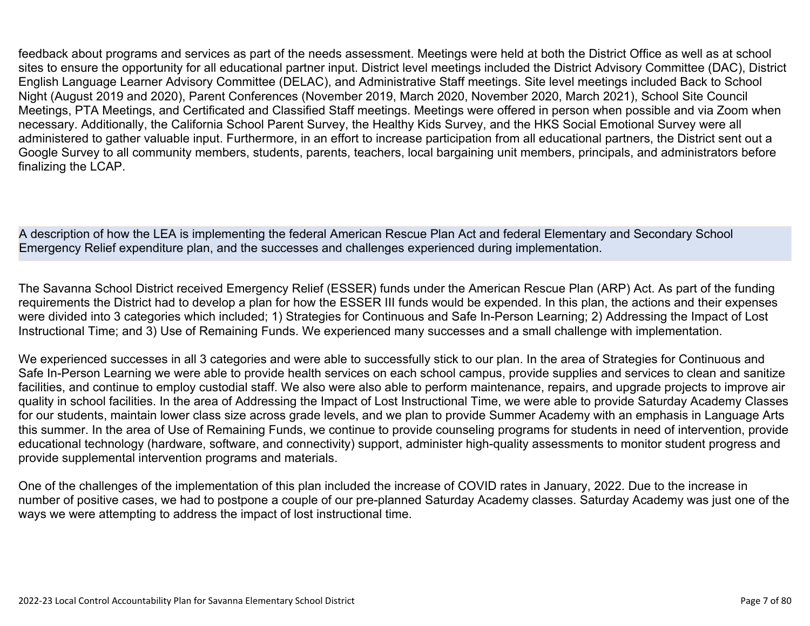feedback about programs and services as part of the needs assessment. Meetings were held at both the District Office as well as at school sites to ensure the opportunity for all educational partner input. District level meetings included the District Advisory Committee (DAC), District English Language Learner Advisory Committee (DELAC), and Administrative Staff meetings. Site level meetings included Back to School Night (August 2019 and 2020), Parent Conferences (November 2019, March 2020, November 2020, March 2021), School Site Council Meetings, PTA Meetings, and Certificated and Classified Staff meetings. Meetings were offered in person when possible and via Zoom when necessary. Additionally, the California School Parent Survey, the Healthy Kids Survey, and the HKS Social Emotional Survey were all administered to gather valuable input. Furthermore, in an effort to increase participation from all educational partners, the District sent out a Google Survey to all community members, students, parents, teachers, local bargaining unit members, principals, and administrators before finalizing the LCAP.

A description of how the LEA is implementing the federal American Rescue Plan Act and federal Elementary and Secondary School Emergency Relief expenditure plan, and the successes and challenges experienced during implementation.

The Savanna School District received Emergency Relief (ESSER) funds under the American Rescue Plan (ARP) Act. As part of the funding requirements the District had to develop a plan for how the ESSER III funds would be expended. In this plan, the actions and their expenses were divided into 3 categories which included; 1) Strategies for Continuous and Safe In-Person Learning; 2) Addressing the Impact of Lost Instructional Time; and 3) Use of Remaining Funds. We experienced many successes and a small challenge with implementation.

We experienced successes in all 3 categories and were able to successfully stick to our plan. In the area of Strategies for Continuous and Safe In-Person Learning we were able to provide health services on each school campus, provide supplies and services to clean and sanitize facilities, and continue to employ custodial staff. We also were also able to perform maintenance, repairs, and upgrade projects to improve air quality in school facilities. In the area of Addressing the Impact of Lost Instructional Time, we were able to provide Saturday Academy Classes for our students, maintain lower class size across grade levels, and we plan to provide Summer Academy with an emphasis in Language Arts this summer. In the area of Use of Remaining Funds, we continue to provide counseling programs for students in need of intervention, provide educational technology (hardware, software, and connectivity) support, administer high-quality assessments to monitor student progress and provide supplemental intervention programs and materials.

One of the challenges of the implementation of this plan included the increase of COVID rates in January, 2022. Due to the increase in number of positive cases, we had to postpone a couple of our pre-planned Saturday Academy classes. Saturday Academy was just one of the ways we were attempting to address the impact of lost instructional time.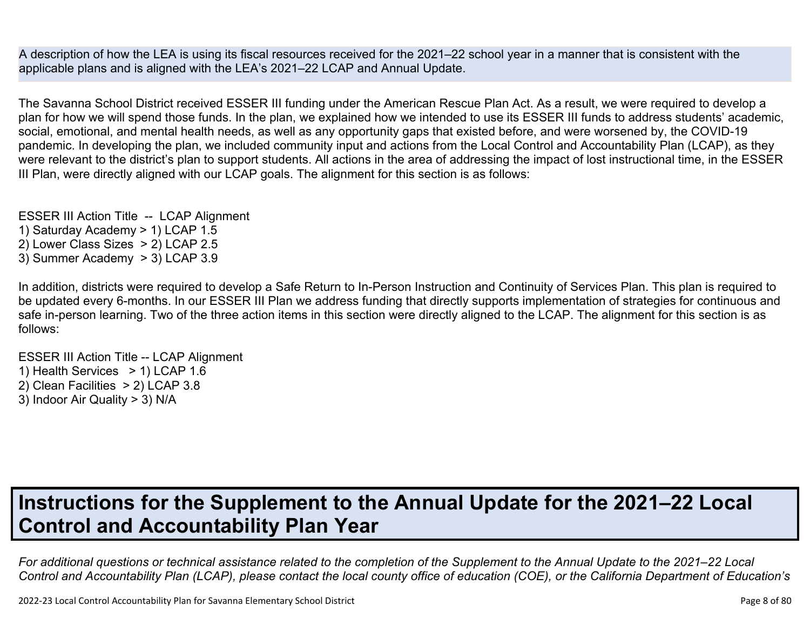A description of how the LEA is using its fiscal resources received for the 2021–22 school year in a manner that is consistent with the applicable plans and is aligned with the LEA's 2021–22 LCAP and Annual Update.

The Savanna School District received ESSER III funding under the American Rescue Plan Act. As a result, we were required to develop a plan for how we will spend those funds. In the plan, we explained how we intended to use its ESSER III funds to address students' academic, social, emotional, and mental health needs, as well as any opportunity gaps that existed before, and were worsened by, the COVID-19 pandemic. In developing the plan, we included community input and actions from the Local Control and Accountability Plan (LCAP), as they were relevant to the district's plan to support students. All actions in the area of addressing the impact of lost instructional time, in the ESSER III Plan, were directly aligned with our LCAP goals. The alignment for this section is as follows:

ESSER III Action Title -- LCAP Alignment 1) Saturday Academy > 1) LCAP 1.5 2) Lower Class Sizes > 2) LCAP 2.5 3) Summer Academy > 3) LCAP 3.9

In addition, districts were required to develop a Safe Return to In-Person Instruction and Continuity of Services Plan. This plan is required to be updated every 6-months. In our ESSER III Plan we address funding that directly supports implementation of strategies for continuous and safe in-person learning. Two of the three action items in this section were directly aligned to the LCAP. The alignment for this section is as follows:

ESSER III Action Title -- LCAP Alignment 1) Health Services > 1) LCAP 1.6 2) Clean Facilities > 2) LCAP 3.8 3) Indoor Air Quality > 3) N/A

## **Instructions for the Supplement to the Annual Update for the 2021–22 Local Control and Accountability Plan Year**

*For additional questions or technical assistance related to the completion of the Supplement to the Annual Update to the 2021–22 Local Control and Accountability Plan (LCAP), please contact the local county office of education (COE), or the California Department of Education's*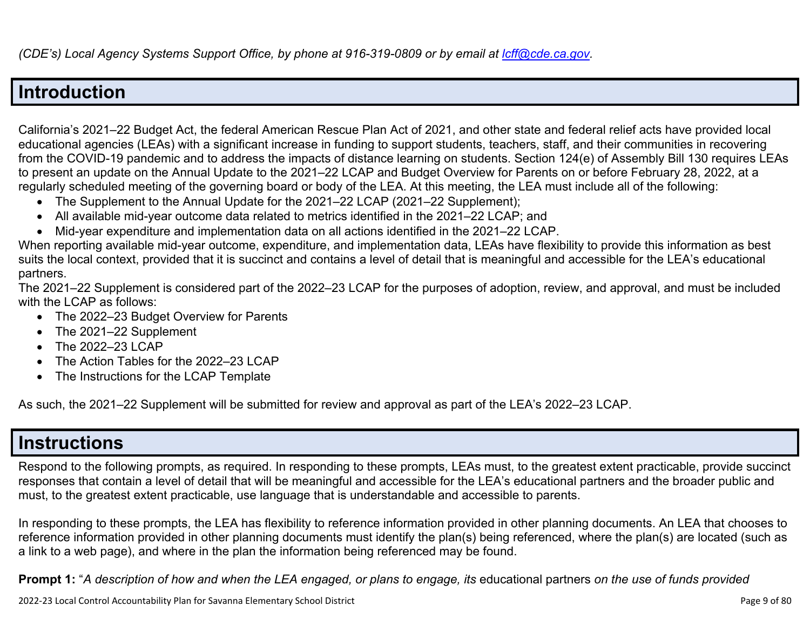### **Introduction**

California's 2021–22 Budget Act, the federal American Rescue Plan Act of 2021, and other state and federal relief acts have provided local educational agencies (LEAs) with a significant increase in funding to support students, teachers, staff, and their communities in recovering from the COVID-19 pandemic and to address the impacts of distance learning on students. Section 124(e) of Assembly Bill 130 requires LEAs to present an update on the Annual Update to the 2021–22 LCAP and Budget Overview for Parents on or before February 28, 2022, at a regularly scheduled meeting of the governing board or body of the LEA. At this meeting, the LEA must include all of the following:

- The Supplement to the Annual Update for the 2021–22 LCAP (2021–22 Supplement);
- All available mid-year outcome data related to metrics identified in the 2021–22 LCAP; and
- Mid-year expenditure and implementation data on all actions identified in the 2021–22 LCAP.

When reporting available mid-year outcome, expenditure, and implementation data, LEAs have flexibility to provide this information as best suits the local context, provided that it is succinct and contains a level of detail that is meaningful and accessible for the LEA's educational partners.

The 2021–22 Supplement is considered part of the 2022–23 LCAP for the purposes of adoption, review, and approval, and must be included with the LCAP as follows:

- The 2022–23 Budget Overview for Parents
- The 2021–22 Supplement
- The 2022–23 LCAP
- The Action Tables for the 2022–23 LCAP
- The Instructions for the LCAP Template

As such, the 2021–22 Supplement will be submitted for review and approval as part of the LEA's 2022–23 LCAP.

## **Instructions**

Respond to the following prompts, as required. In responding to these prompts, LEAs must, to the greatest extent practicable, provide succinct responses that contain a level of detail that will be meaningful and accessible for the LEA's educational partners and the broader public and must, to the greatest extent practicable, use language that is understandable and accessible to parents.

In responding to these prompts, the LEA has flexibility to reference information provided in other planning documents. An LEA that chooses to reference information provided in other planning documents must identify the plan(s) being referenced, where the plan(s) are located (such as a link to a web page), and where in the plan the information being referenced may be found.

**Prompt 1:** "*A description of how and when the LEA engaged, or plans to engage, its* educational partners *on the use of funds provided*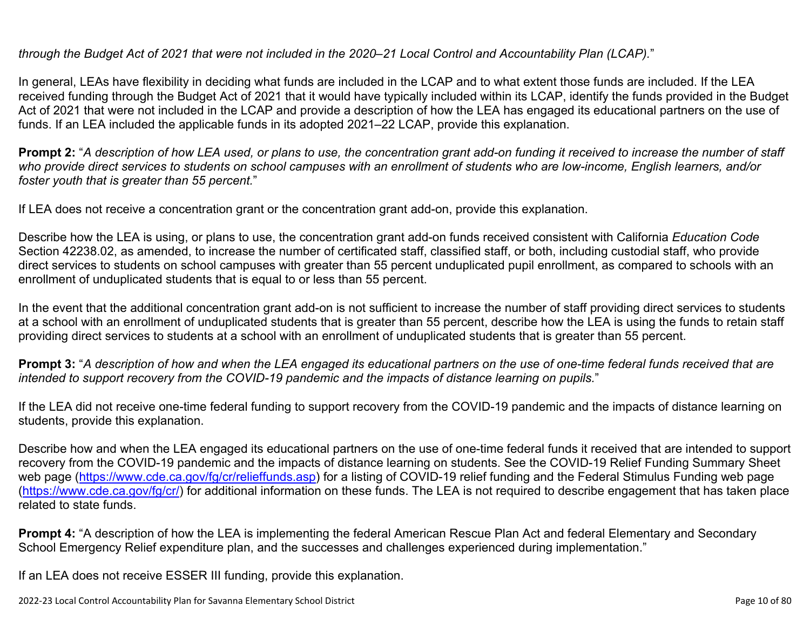*through the Budget Act of 2021 that were not included in the 2020–21 Local Control and Accountability Plan (LCAP).*"

In general, LEAs have flexibility in deciding what funds are included in the LCAP and to what extent those funds are included. If the LEA received funding through the Budget Act of 2021 that it would have typically included within its LCAP, identify the funds provided in the Budget Act of 2021 that were not included in the LCAP and provide a description of how the LEA has engaged its educational partners on the use of funds. If an LEA included the applicable funds in its adopted 2021–22 LCAP, provide this explanation.

**Prompt 2:** "*A description of how LEA used, or plans to use, the concentration grant add-on funding it received to increase the number of staff who provide direct services to students on school campuses with an enrollment of students who are low-income, English learners, and/or foster youth that is greater than 55 percent.*"

If LEA does not receive a concentration grant or the concentration grant add-on, provide this explanation.

Describe how the LEA is using, or plans to use, the concentration grant add-on funds received consistent with California *Education Code* Section 42238.02, as amended, to increase the number of certificated staff, classified staff, or both, including custodial staff, who provide direct services to students on school campuses with greater than 55 percent unduplicated pupil enrollment, as compared to schools with an enrollment of unduplicated students that is equal to or less than 55 percent.

In the event that the additional concentration grant add-on is not sufficient to increase the number of staff providing direct services to students at a school with an enrollment of unduplicated students that is greater than 55 percent, describe how the LEA is using the funds to retain staff providing direct services to students at a school with an enrollment of unduplicated students that is greater than 55 percent.

**Prompt 3:** "*A description of how and when the LEA engaged its educational partners on the use of one-time federal funds received that are intended to support recovery from the COVID-19 pandemic and the impacts of distance learning on pupils.*"

If the LEA did not receive one-time federal funding to support recovery from the COVID-19 pandemic and the impacts of distance learning on students, provide this explanation.

Describe how and when the LEA engaged its educational partners on the use of one-time federal funds it received that are intended to support recovery from the COVID-19 pandemic and the impacts of distance learning on students. See the COVID-19 Relief Funding Summary Sheet web page [\(https://www.cde.ca.gov/fg/cr/relieffunds.asp\)](https://www.cde.ca.gov/fg/cr/relieffunds.asp) for a listing of COVID-19 relief funding and the Federal Stimulus Funding web page (<https://www.cde.ca.gov/fg/cr/>) for additional information on these funds. The LEA is not required to describe engagement that has taken place related to state funds.

**Prompt 4:** "A description of how the LEA is implementing the federal American Rescue Plan Act and federal Elementary and Secondary School Emergency Relief expenditure plan, and the successes and challenges experienced during implementation."

If an LEA does not receive ESSER III funding, provide this explanation.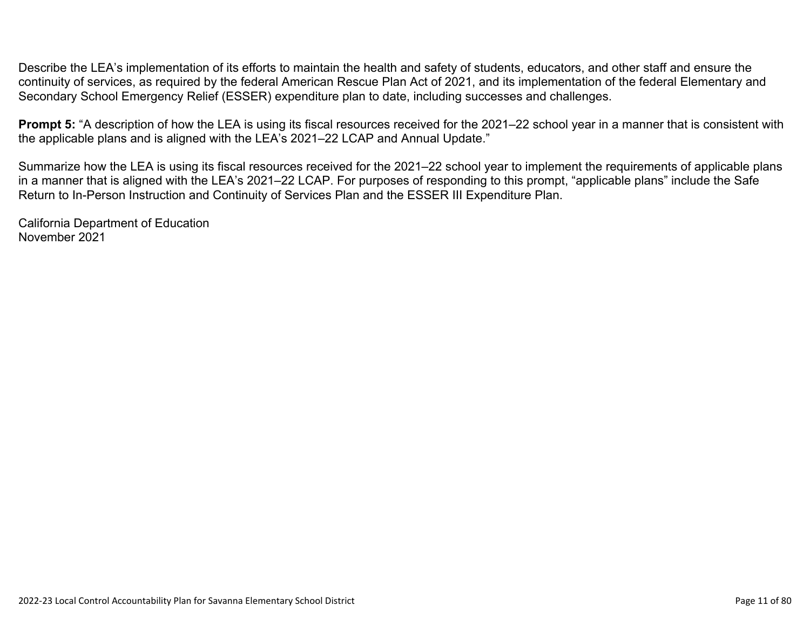Describe the LEA's implementation of its efforts to maintain the health and safety of students, educators, and other staff and ensure the continuity of services, as required by the federal American Rescue Plan Act of 2021, and its implementation of the federal Elementary and Secondary School Emergency Relief (ESSER) expenditure plan to date, including successes and challenges.

**Prompt 5:** "A description of how the LEA is using its fiscal resources received for the 2021–22 school year in a manner that is consistent with the applicable plans and is aligned with the LEA's 2021–22 LCAP and Annual Update."

Summarize how the LEA is using its fiscal resources received for the 2021–22 school year to implement the requirements of applicable plans in a manner that is aligned with the LEA's 2021–22 LCAP. For purposes of responding to this prompt, "applicable plans" include the Safe Return to In-Person Instruction and Continuity of Services Plan and the ESSER III Expenditure Plan.

California Department of Education November 2021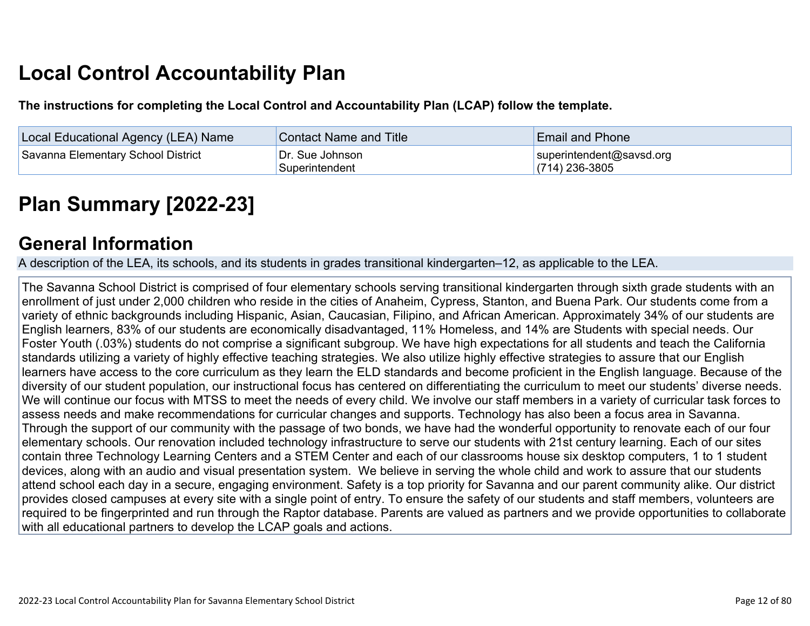## **Local Control Accountability Plan**

**The instructions for completing the Local Control and Accountability Plan (LCAP) follow the template.**

| Local Educational Agency (LEA) Name | <b>Contact Name and Title</b>     | <b>Email and Phone</b>                       |
|-------------------------------------|-----------------------------------|----------------------------------------------|
| Savanna Elementary School District  | Dr. Sue Johnson<br>Superintendent | superintendent@savsd.org<br>$(714)$ 236-3805 |

# **[Plan Summary \[2022-23\]](http://www.doc-tracking.com/screenshots/22LCAP/Instructions/22LCAPInstructions.htm#PlanSummary)**

### **[General Information](http://www.doc-tracking.com/screenshots/22LCAP/Instructions/22LCAPInstructions.htm#generalinformation)**

A description of the LEA, its schools, and its students in grades transitional kindergarten–12, as applicable to the LEA.

The Savanna School District is comprised of four elementary schools serving transitional kindergarten through sixth grade students with an enrollment of just under 2,000 children who reside in the cities of Anaheim, Cypress, Stanton, and Buena Park. Our students come from a variety of ethnic backgrounds including Hispanic, Asian, Caucasian, Filipino, and African American. Approximately 34% of our students are English learners, 83% of our students are economically disadvantaged, 11% Homeless, and 14% are Students with special needs. Our Foster Youth (.03%) students do not comprise a significant subgroup. We have high expectations for all students and teach the California standards utilizing a variety of highly effective teaching strategies. We also utilize highly effective strategies to assure that our English learners have access to the core curriculum as they learn the ELD standards and become proficient in the English language. Because of the diversity of our student population, our instructional focus has centered on differentiating the curriculum to meet our students' diverse needs. We will continue our focus with MTSS to meet the needs of every child. We involve our staff members in a variety of curricular task forces to assess needs and make recommendations for curricular changes and supports. Technology has also been a focus area in Savanna. Through the support of our community with the passage of two bonds, we have had the wonderful opportunity to renovate each of our four elementary schools. Our renovation included technology infrastructure to serve our students with 21st century learning. Each of our sites contain three Technology Learning Centers and a STEM Center and each of our classrooms house six desktop computers, 1 to 1 student devices, along with an audio and visual presentation system. We believe in serving the whole child and work to assure that our students attend school each day in a secure, engaging environment. Safety is a top priority for Savanna and our parent community alike. Our district provides closed campuses at every site with a single point of entry. To ensure the safety of our students and staff members, volunteers are required to be fingerprinted and run through the Raptor database. Parents are valued as partners and we provide opportunities to collaborate with all educational partners to develop the LCAP goals and actions.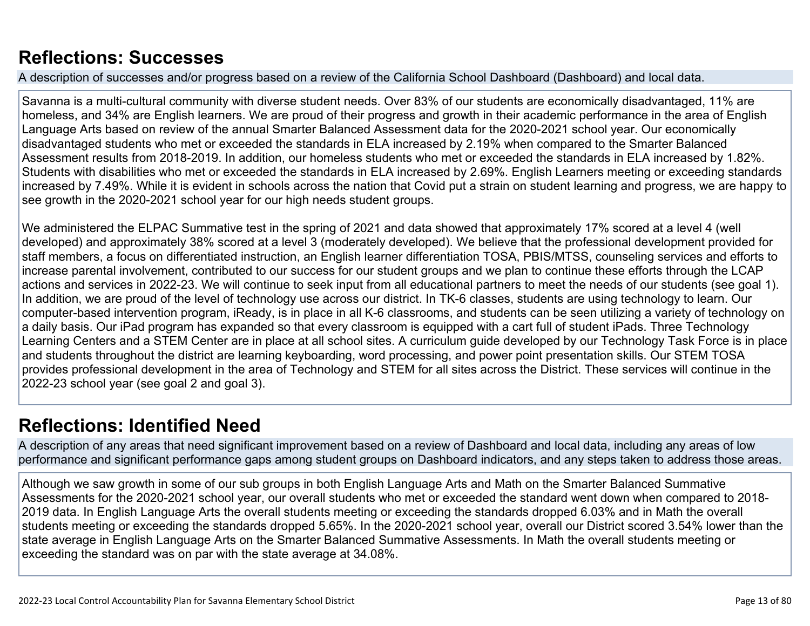## **[Reflections: Successes](http://www.doc-tracking.com/screenshots/22LCAP/Instructions/22LCAPInstructions.htm#ReflectionsSuccesses)**

A description of successes and/or progress based on a review of the California School Dashboard (Dashboard) and local data.

Savanna is a multi-cultural community with diverse student needs. Over 83% of our students are economically disadvantaged, 11% are homeless, and 34% are English learners. We are proud of their progress and growth in their academic performance in the area of English Language Arts based on review of the annual Smarter Balanced Assessment data for the 2020-2021 school year. Our economically disadvantaged students who met or exceeded the standards in ELA increased by 2.19% when compared to the Smarter Balanced Assessment results from 2018-2019. In addition, our homeless students who met or exceeded the standards in ELA increased by 1.82%. Students with disabilities who met or exceeded the standards in ELA increased by 2.69%. English Learners meeting or exceeding standards increased by 7.49%. While it is evident in schools across the nation that Covid put a strain on student learning and progress, we are happy to see growth in the 2020-2021 school year for our high needs student groups.

We administered the ELPAC Summative test in the spring of 2021 and data showed that approximately 17% scored at a level 4 (well developed) and approximately 38% scored at a level 3 (moderately developed). We believe that the professional development provided for staff members, a focus on differentiated instruction, an English learner differentiation TOSA, PBIS/MTSS, counseling services and efforts to increase parental involvement, contributed to our success for our student groups and we plan to continue these efforts through the LCAP actions and services in 2022-23. We will continue to seek input from all educational partners to meet the needs of our students (see goal 1). In addition, we are proud of the level of technology use across our district. In TK-6 classes, students are using technology to learn. Our computer-based intervention program, iReady, is in place in all K-6 classrooms, and students can be seen utilizing a variety of technology on a daily basis. Our iPad program has expanded so that every classroom is equipped with a cart full of student iPads. Three Technology Learning Centers and a STEM Center are in place at all school sites. A curriculum guide developed by our Technology Task Force is in place and students throughout the district are learning keyboarding, word processing, and power point presentation skills. Our STEM TOSA provides professional development in the area of Technology and STEM for all sites across the District. These services will continue in the 2022-23 school year (see goal 2 and goal 3).

## **[Reflections: Identified Need](http://www.doc-tracking.com/screenshots/22LCAP/Instructions/22LCAPInstructions.htm#ReflectionsIdentifiedNeed)**

A description of any areas that need significant improvement based on a review of Dashboard and local data, including any areas of low performance and significant performance gaps among student groups on Dashboard indicators, and any steps taken to address those areas.

Although we saw growth in some of our sub groups in both English Language Arts and Math on the Smarter Balanced Summative Assessments for the 2020-2021 school year, our overall students who met or exceeded the standard went down when compared to 2018- 2019 data. In English Language Arts the overall students meeting or exceeding the standards dropped 6.03% and in Math the overall students meeting or exceeding the standards dropped 5.65%. In the 2020-2021 school year, overall our District scored 3.54% lower than the state average in English Language Arts on the Smarter Balanced Summative Assessments. In Math the overall students meeting or exceeding the standard was on par with the state average at 34.08%.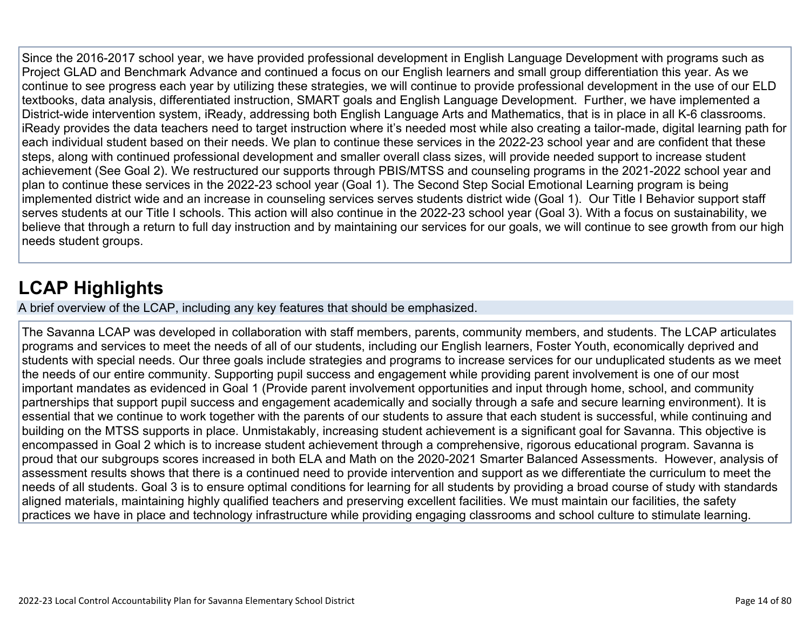Since the 2016-2017 school year, we have provided professional development in English Language Development with programs such as Project GLAD and Benchmark Advance and continued a focus on our English learners and small group differentiation this year. As we continue to see progress each year by utilizing these strategies, we will continue to provide professional development in the use of our ELD textbooks, data analysis, differentiated instruction, SMART goals and English Language Development. Further, we have implemented a District-wide intervention system, iReady, addressing both English Language Arts and Mathematics, that is in place in all K-6 classrooms. iReady provides the data teachers need to target instruction where it's needed most while also creating a tailor-made, digital learning path for each individual student based on their needs. We plan to continue these services in the 2022-23 school year and are confident that these steps, along with continued professional development and smaller overall class sizes, will provide needed support to increase student achievement (See Goal 2). We restructured our supports through PBIS/MTSS and counseling programs in the 2021-2022 school year and plan to continue these services in the 2022-23 school year (Goal 1). The Second Step Social Emotional Learning program is being implemented district wide and an increase in counseling services serves students district wide (Goal 1). Our Title I Behavior support staff serves students at our Title I schools. This action will also continue in the 2022-23 school year (Goal 3). With a focus on sustainability, we believe that through a return to full day instruction and by maintaining our services for our goals, we will continue to see growth from our high needs student groups.

## **[LCAP Highlights](http://www.doc-tracking.com/screenshots/22LCAP/Instructions/22LCAPInstructions.htm#LCAPHighlights)**

A brief overview of the LCAP, including any key features that should be emphasized.

The Savanna LCAP was developed in collaboration with staff members, parents, community members, and students. The LCAP articulates programs and services to meet the needs of all of our students, including our English learners, Foster Youth, economically deprived and students with special needs. Our three goals include strategies and programs to increase services for our unduplicated students as we meet the needs of our entire community. Supporting pupil success and engagement while providing parent involvement is one of our most important mandates as evidenced in Goal 1 (Provide parent involvement opportunities and input through home, school, and community partnerships that support pupil success and engagement academically and socially through a safe and secure learning environment). It is essential that we continue to work together with the parents of our students to assure that each student is successful, while continuing and building on the MTSS supports in place. Unmistakably, increasing student achievement is a significant goal for Savanna. This objective is encompassed in Goal 2 which is to increase student achievement through a comprehensive, rigorous educational program. Savanna is proud that our subgroups scores increased in both ELA and Math on the 2020-2021 Smarter Balanced Assessments. However, analysis of assessment results shows that there is a continued need to provide intervention and support as we differentiate the curriculum to meet the needs of all students. Goal 3 is to ensure optimal conditions for learning for all students by providing a broad course of study with standards aligned materials, maintaining highly qualified teachers and preserving excellent facilities. We must maintain our facilities, the safety practices we have in place and technology infrastructure while providing engaging classrooms and school culture to stimulate learning.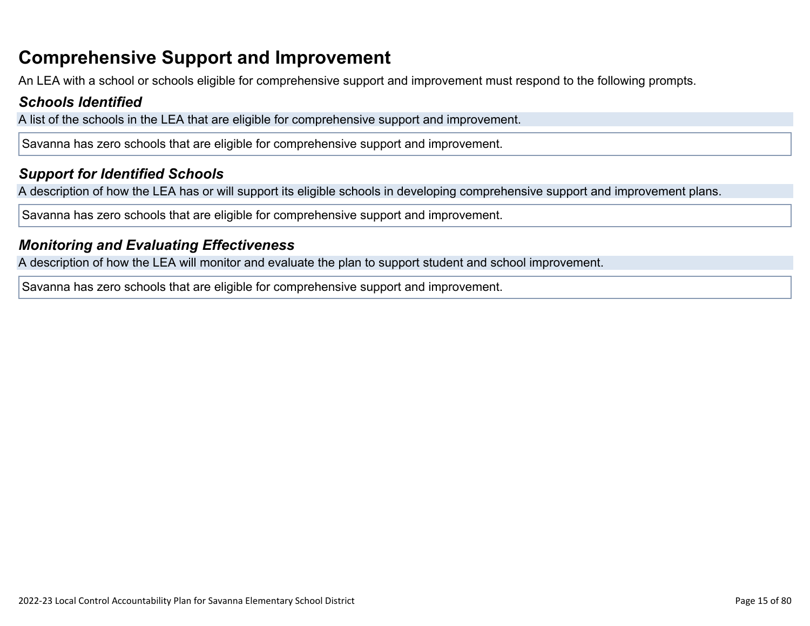### **Comprehensive Support and Improvement**

An LEA with a school or schools eligible for comprehensive support and improvement must respond to the following prompts.

### *[Schools Identified](http://www.doc-tracking.com/screenshots/22LCAP/Instructions/22LCAPInstructions.htm#SchoolsIdentified)*

A list of the schools in the LEA that are eligible for comprehensive support and improvement.

Savanna has zero schools that are eligible for comprehensive support and improvement.

### *[Support for Identified Schools](http://www.doc-tracking.com/screenshots/22LCAP/Instructions/22LCAPInstructions.htm#SupportforIdentifiedSchools)*

A description of how the LEA has or will support its eligible schools in developing comprehensive support and improvement plans.

Savanna has zero schools that are eligible for comprehensive support and improvement.

### *[Monitoring and Evaluating Effectiveness](http://www.doc-tracking.com/screenshots/22LCAP/Instructions/22LCAPInstructions.htm#MonitoringandEvaluatingEffectiveness)*

A description of how the LEA will monitor and evaluate the plan to support student and school improvement.

Savanna has zero schools that are eligible for comprehensive support and improvement.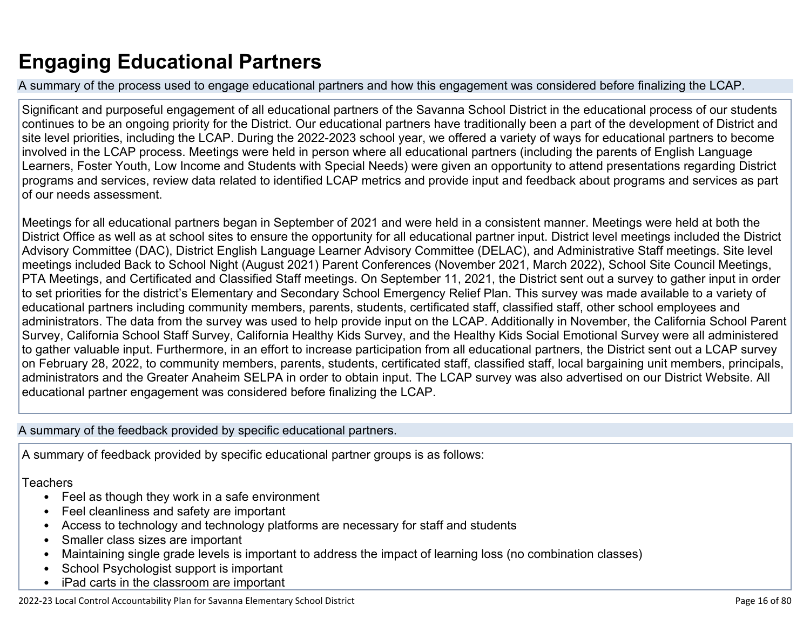# **Engaging Educational Partners**

A summary of the process used to engage educational partners and how this engagement was considered before finalizing the LCAP.

Significant and purposeful engagement of all educational partners of the Savanna School District in the educational process of our students continues to be an ongoing priority for the District. Our educational partners have traditionally been a part of the development of District and site level priorities, including the LCAP. During the 2022-2023 school year, we offered a variety of ways for educational partners to become involved in the LCAP process. Meetings were held in person where all educational partners (including the parents of English Language Learners, Foster Youth, Low Income and Students with Special Needs) were given an opportunity to attend presentations regarding District programs and services, review data related to identified LCAP metrics and provide input and feedback about programs and services as part of our needs assessment.

Meetings for all educational partners began in September of 2021 and were held in a consistent manner. Meetings were held at both the District Office as well as at school sites to ensure the opportunity for all educational partner input. District level meetings included the District Advisory Committee (DAC), District English Language Learner Advisory Committee (DELAC), and Administrative Staff meetings. Site level meetings included Back to School Night (August 2021) Parent Conferences (November 2021, March 2022), School Site Council Meetings, PTA Meetings, and Certificated and Classified Staff meetings. On September 11, 2021, the District sent out a survey to gather input in order to set priorities for the district's Elementary and Secondary School Emergency Relief Plan. This survey was made available to a variety of educational partners including community members, parents, students, certificated staff, classified staff, other school employees and administrators. The data from the survey was used to help provide input on the LCAP. Additionally in November, the California School Parent Survey, California School Staff Survey, California Healthy Kids Survey, and the Healthy Kids Social Emotional Survey were all administered to gather valuable input. Furthermore, in an effort to increase participation from all educational partners, the District sent out a LCAP survey on February 28, 2022, to community members, parents, students, certificated staff, classified staff, local bargaining unit members, principals, administrators and the Greater Anaheim SELPA in order to obtain input. The LCAP survey was also advertised on our District Website. All educational partner engagement was considered before finalizing the LCAP.

#### A summary of the feedback provided by specific educational partners.

A summary of feedback provided by specific educational partner groups is as follows:

Teachers

- Feel as though they work in a safe environment
- Feel cleanliness and safety are important
- Access to technology and technology platforms are necessary for staff and students
- Smaller class sizes are important
- Maintaining single grade levels is important to address the impact of learning loss (no combination classes)
- School Psychologist support is important
- iPad carts in the classroom are important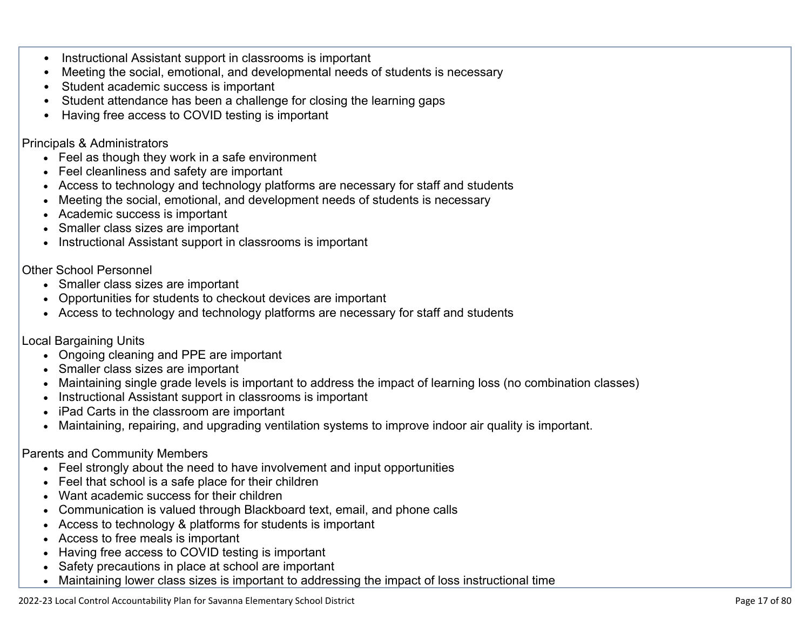- Instructional Assistant support in classrooms is important
- Meeting the social, emotional, and developmental needs of students is necessary
- Student academic success is important
- Student attendance has been a challenge for closing the learning gaps
- Having free access to COVID testing is important

#### Principals & Administrators

- Feel as though they work in a safe environment
- Feel cleanliness and safety are important
- Access to technology and technology platforms are necessary for staff and students
- Meeting the social, emotional, and development needs of students is necessary
- Academic success is important
- Smaller class sizes are important
- Instructional Assistant support in classrooms is important

#### Other School Personnel

- Smaller class sizes are important
- Opportunities for students to checkout devices are important
- Access to technology and technology platforms are necessary for staff and students

#### Local Bargaining Units

- Ongoing cleaning and PPE are important
- Smaller class sizes are important
- Maintaining single grade levels is important to address the impact of learning loss (no combination classes)
- Instructional Assistant support in classrooms is important
- iPad Carts in the classroom are important
- Maintaining, repairing, and upgrading ventilation systems to improve indoor air quality is important.

#### Parents and Community Members

- Feel strongly about the need to have involvement and input opportunities
- Feel that school is a safe place for their children
- Want academic success for their children
- Communication is valued through Blackboard text, email, and phone calls
- Access to technology & platforms for students is important
- Access to free meals is important
- Having free access to COVID testing is important
- Safety precautions in place at school are important
- Maintaining lower class sizes is important to addressing the impact of loss instructional time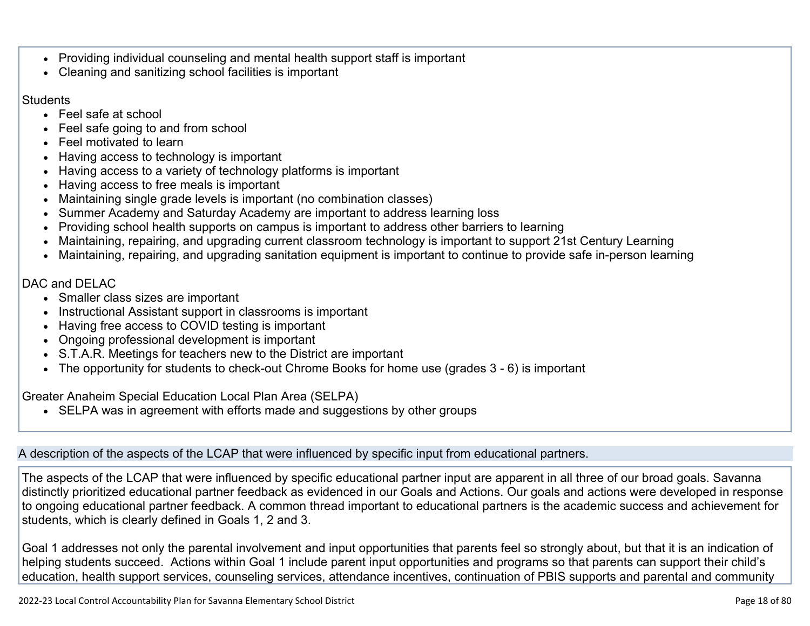- Providing individual counseling and mental health support staff is important
- Cleaning and sanitizing school facilities is important

#### **Students**

- Feel safe at school
- Feel safe going to and from school
- Feel motivated to learn
- Having access to technology is important
- Having access to a variety of technology platforms is important
- Having access to free meals is important
- Maintaining single grade levels is important (no combination classes)
- Summer Academy and Saturday Academy are important to address learning loss
- Providing school health supports on campus is important to address other barriers to learning
- Maintaining, repairing, and upgrading current classroom technology is important to support 21st Century Learning
- Maintaining, repairing, and upgrading sanitation equipment is important to continue to provide safe in-person learning

#### DAC and DFI AC

- Smaller class sizes are important
- Instructional Assistant support in classrooms is important
- Having free access to COVID testing is important
- Ongoing professional development is important
- S.T.A.R. Meetings for teachers new to the District are important
- The opportunity for students to check-out Chrome Books for home use (grades 3 6) is important

Greater Anaheim Special Education Local Plan Area (SELPA)

• SELPA was in agreement with efforts made and suggestions by other groups

A description of the aspects of the LCAP that were influenced by specific input from educational partners.

The aspects of the LCAP that were influenced by specific educational partner input are apparent in all three of our broad goals. Savanna distinctly prioritized educational partner feedback as evidenced in our Goals and Actions. Our goals and actions were developed in response to ongoing educational partner feedback. A common thread important to educational partners is the academic success and achievement for students, which is clearly defined in Goals 1, 2 and 3.

Goal 1 addresses not only the parental involvement and input opportunities that parents feel so strongly about, but that it is an indication of helping students succeed. Actions within Goal 1 include parent input opportunities and programs so that parents can support their child's education, health support services, counseling services, attendance incentives, continuation of PBIS supports and parental and community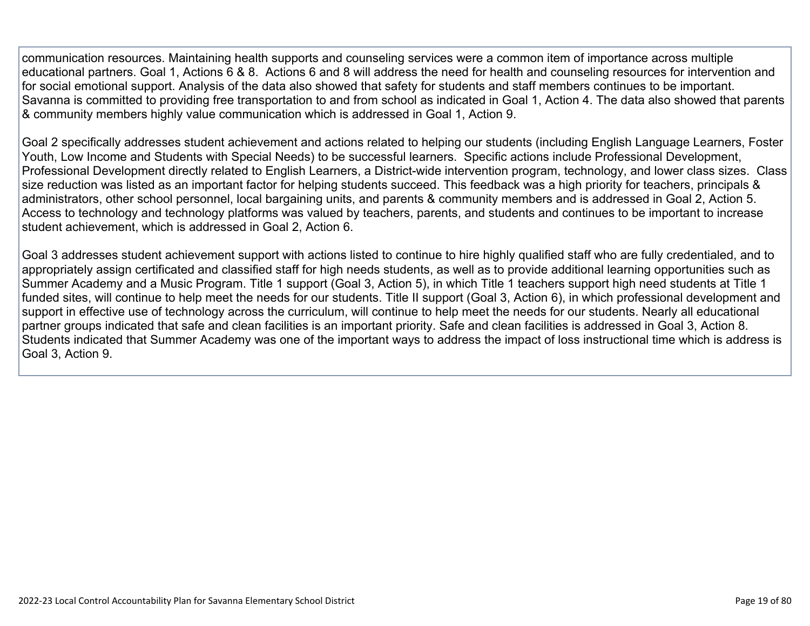communication resources. Maintaining health supports and counseling services were a common item of importance across multiple educational partners. Goal 1, Actions 6 & 8. Actions 6 and 8 will address the need for health and counseling resources for intervention and for social emotional support. Analysis of the data also showed that safety for students and staff members continues to be important. Savanna is committed to providing free transportation to and from school as indicated in Goal 1, Action 4. The data also showed that parents & community members highly value communication which is addressed in Goal 1, Action 9.

Goal 2 specifically addresses student achievement and actions related to helping our students (including English Language Learners, Foster Youth, Low Income and Students with Special Needs) to be successful learners. Specific actions include Professional Development, Professional Development directly related to English Learners, a District-wide intervention program, technology, and lower class sizes. Class size reduction was listed as an important factor for helping students succeed. This feedback was a high priority for teachers, principals & administrators, other school personnel, local bargaining units, and parents & community members and is addressed in Goal 2, Action 5. Access to technology and technology platforms was valued by teachers, parents, and students and continues to be important to increase student achievement, which is addressed in Goal 2, Action 6.

Goal 3 addresses student achievement support with actions listed to continue to hire highly qualified staff who are fully credentialed, and to appropriately assign certificated and classified staff for high needs students, as well as to provide additional learning opportunities such as Summer Academy and a Music Program. Title 1 support (Goal 3, Action 5), in which Title 1 teachers support high need students at Title 1 funded sites, will continue to help meet the needs for our students. Title II support (Goal 3, Action 6), in which professional development and support in effective use of technology across the curriculum, will continue to help meet the needs for our students. Nearly all educational partner groups indicated that safe and clean facilities is an important priority. Safe and clean facilities is addressed in Goal 3, Action 8. Students indicated that Summer Academy was one of the important ways to address the impact of loss instructional time which is address is Goal 3, Action 9.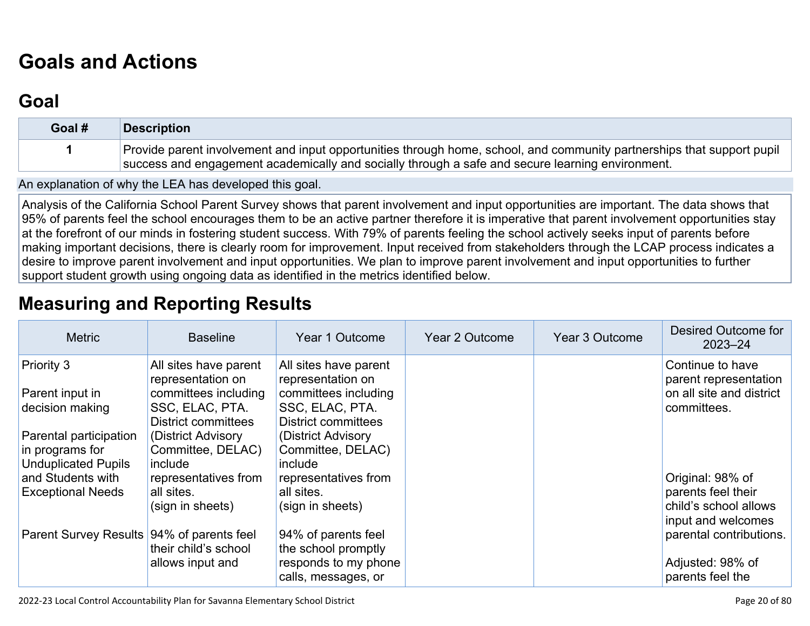# **[Goals and Actions](http://www.doc-tracking.com/screenshots/22LCAP/Instructions/22LCAPInstructions.htm#GoalsandActions)**

## **[Goal](http://www.doc-tracking.com/screenshots/22LCAP/Instructions/22LCAPInstructions.htm#goalDescription)**

| Goal # | Description                                                                                                                                                                                                                |
|--------|----------------------------------------------------------------------------------------------------------------------------------------------------------------------------------------------------------------------------|
|        | Provide parent involvement and input opportunities through home, school, and community partnerships that support pupil<br>success and engagement academically and socially through a safe and secure learning environment. |

An explanation of why the LEA has developed this goal.

Analysis of the California School Parent Survey shows that parent involvement and input opportunities are important. The data shows that 95% of parents feel the school encourages them to be an active partner therefore it is imperative that parent involvement opportunities stay at the forefront of our minds in fostering student success. With 79% of parents feeling the school actively seeks input of parents before making important decisions, there is clearly room for improvement. Input received from stakeholders through the LCAP process indicates a desire to improve parent involvement and input opportunities. We plan to improve parent involvement and input opportunities to further support student growth using ongoing data as identified in the metrics identified below.

## **[Measuring and Reporting Results](http://www.doc-tracking.com/screenshots/22LCAP/Instructions/22LCAPInstructions.htm#MeasuringandReportingResults)**

| <b>Metric</b>                                                                                                               | <b>Baseline</b>                                                                                                                                                            | Year 1 Outcome                                                                                                                                                             | Year 2 Outcome | Year 3 Outcome | Desired Outcome for<br>$2023 - 24$                                                    |
|-----------------------------------------------------------------------------------------------------------------------------|----------------------------------------------------------------------------------------------------------------------------------------------------------------------------|----------------------------------------------------------------------------------------------------------------------------------------------------------------------------|----------------|----------------|---------------------------------------------------------------------------------------|
| Priority 3<br>Parent input in<br>decision making<br>Parental participation<br>in programs for<br><b>Unduplicated Pupils</b> | All sites have parent<br>representation on<br>committees including<br>SSC, ELAC, PTA.<br><b>District committees</b><br>(District Advisory)<br>Committee, DELAC)<br>include | All sites have parent<br>representation on<br>committees including<br>SSC, ELAC, PTA.<br><b>District committees</b><br>(District Advisory)<br>Committee, DELAC)<br>include |                |                | Continue to have<br>parent representation<br>on all site and district<br>committees.  |
| and Students with<br><b>Exceptional Needs</b>                                                                               | representatives from<br>all sites.<br>(sign in sheets)                                                                                                                     | representatives from<br>all sites.<br>(sign in sheets)                                                                                                                     |                |                | Original: 98% of<br>parents feel their<br>child's school allows<br>input and welcomes |
| Parent Survey Results 94% of parents feel                                                                                   | their child's school<br>allows input and                                                                                                                                   | 94% of parents feel<br>the school promptly<br>responds to my phone<br>calls, messages, or                                                                                  |                |                | parental contributions.<br>Adjusted: 98% of<br>parents feel the                       |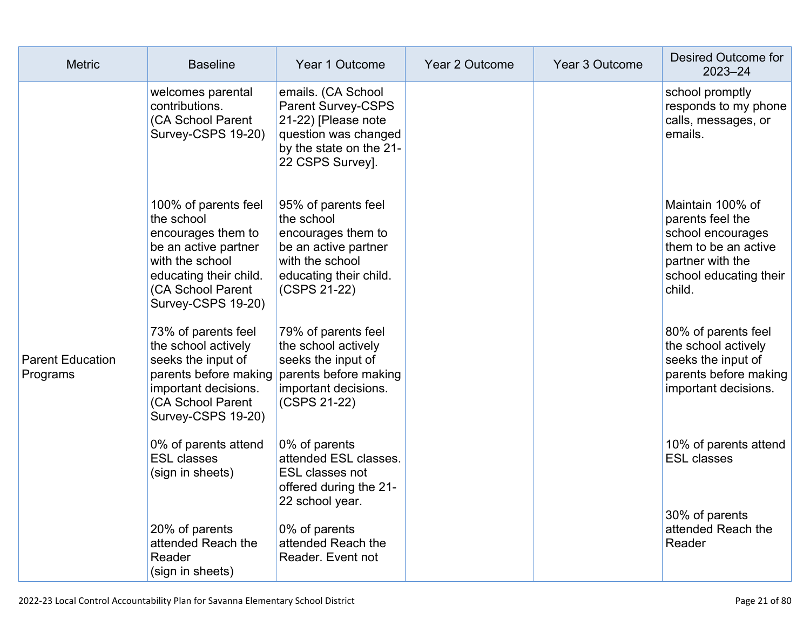| <b>Metric</b>                       | <b>Baseline</b>                                                                                                                                                          | Year 1 Outcome                                                                                                                                          | Year 2 Outcome | Year 3 Outcome | Desired Outcome for<br>$2023 - 24$                                                                                                        |
|-------------------------------------|--------------------------------------------------------------------------------------------------------------------------------------------------------------------------|---------------------------------------------------------------------------------------------------------------------------------------------------------|----------------|----------------|-------------------------------------------------------------------------------------------------------------------------------------------|
|                                     | welcomes parental<br>contributions.<br>(CA School Parent<br>Survey-CSPS 19-20)                                                                                           | emails. (CA School<br><b>Parent Survey-CSPS</b><br>21-22) [Please note<br>question was changed<br>by the state on the 21-<br>22 CSPS Survey].           |                |                | school promptly<br>responds to my phone<br>calls, messages, or<br>emails.                                                                 |
|                                     | 100% of parents feel<br>the school<br>encourages them to<br>be an active partner<br>with the school<br>educating their child.<br>(CA School Parent<br>Survey-CSPS 19-20) | 95% of parents feel<br>the school<br>encourages them to<br>be an active partner<br>with the school<br>educating their child.<br>(CSPS 21-22)            |                |                | Maintain 100% of<br>parents feel the<br>school encourages<br>them to be an active<br>partner with the<br>school educating their<br>child. |
| <b>Parent Education</b><br>Programs | 73% of parents feel<br>the school actively<br>seeks the input of<br>important decisions.<br>(CA School Parent<br>Survey-CSPS 19-20)                                      | 79% of parents feel<br>the school actively<br>seeks the input of<br>parents before making parents before making<br>important decisions.<br>(CSPS 21-22) |                |                | 80% of parents feel<br>the school actively<br>seeks the input of<br>parents before making<br>important decisions.                         |
|                                     | 0% of parents attend<br><b>ESL classes</b><br>(sign in sheets)                                                                                                           | 0% of parents<br>attended ESL classes.<br>ESL classes not<br>offered during the 21-<br>22 school year.                                                  |                |                | 10% of parents attend<br><b>ESL classes</b>                                                                                               |
|                                     | 20% of parents<br>attended Reach the<br>Reader<br>(sign in sheets)                                                                                                       | 0% of parents<br>attended Reach the<br>Reader. Event not                                                                                                |                |                | 30% of parents<br>attended Reach the<br>Reader                                                                                            |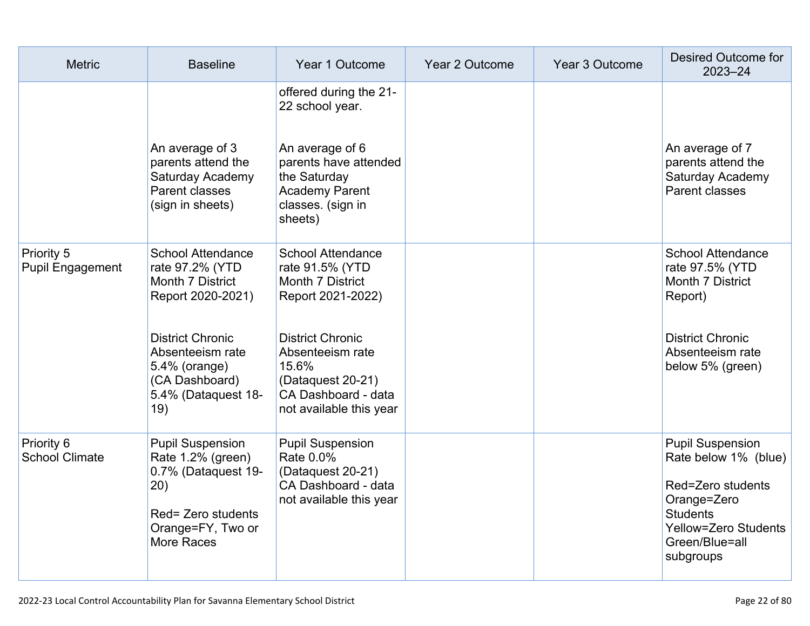| <b>Metric</b>                         | <b>Baseline</b>                                                                                                                                                                                      | Year 1 Outcome                                                                                                                                                                                                      | Year 2 Outcome | Year 3 Outcome | Desired Outcome for<br>$2023 - 24$                                                                                                                                   |
|---------------------------------------|------------------------------------------------------------------------------------------------------------------------------------------------------------------------------------------------------|---------------------------------------------------------------------------------------------------------------------------------------------------------------------------------------------------------------------|----------------|----------------|----------------------------------------------------------------------------------------------------------------------------------------------------------------------|
|                                       | An average of 3<br>parents attend the<br>Saturday Academy<br>Parent classes<br>(sign in sheets)                                                                                                      | offered during the 21-<br>22 school year.<br>An average of 6<br>parents have attended<br>the Saturday<br><b>Academy Parent</b><br>classes. (sign in<br>sheets)                                                      |                |                | An average of 7<br>parents attend the<br>Saturday Academy<br>Parent classes                                                                                          |
| Priority 5<br><b>Pupil Engagement</b> | <b>School Attendance</b><br>rate 97.2% (YTD<br>Month 7 District<br>Report 2020-2021)<br><b>District Chronic</b><br>Absenteeism rate<br>5.4% (orange)<br>(CA Dashboard)<br>5.4% (Dataquest 18-<br>19) | <b>School Attendance</b><br>rate 91.5% (YTD<br>Month 7 District<br>Report 2021-2022)<br><b>District Chronic</b><br>Absenteeism rate<br>15.6%<br>(Dataquest 20-21)<br>CA Dashboard - data<br>not available this year |                |                | <b>School Attendance</b><br>rate 97.5% (YTD<br>Month 7 District<br>Report)<br><b>District Chronic</b><br>Absenteeism rate<br>below 5% (green)                        |
| Priority 6<br><b>School Climate</b>   | <b>Pupil Suspension</b><br>Rate 1.2% (green)<br>0.7% (Dataquest 19-<br>20)<br>Red= Zero students<br>Orange=FY, Two or<br>More Races                                                                  | <b>Pupil Suspension</b><br>Rate 0.0%<br>(Dataquest 20-21)<br>CA Dashboard - data<br>not available this year                                                                                                         |                |                | <b>Pupil Suspension</b><br>Rate below 1% (blue)<br>Red=Zero students<br>Orange=Zero<br><b>Students</b><br><b>Yellow=Zero Students</b><br>Green/Blue=all<br>subgroups |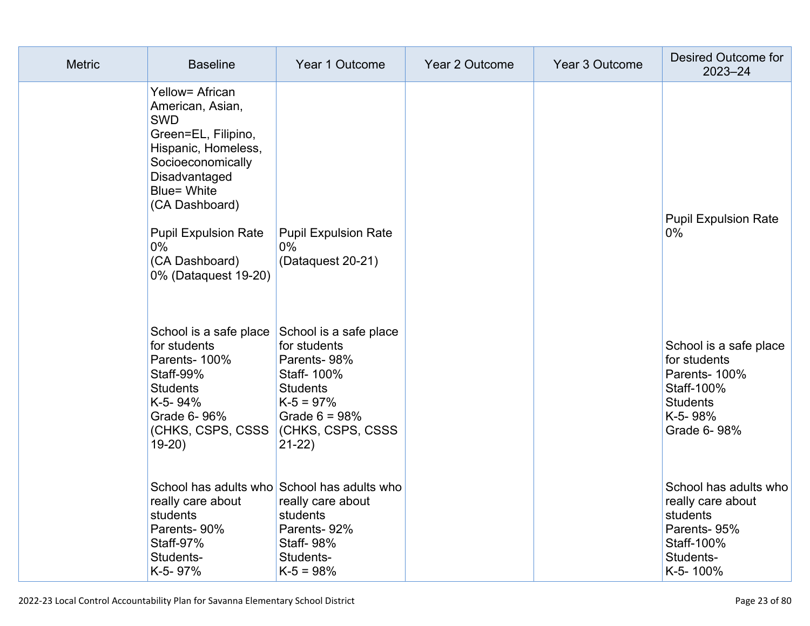| <b>Metric</b> | <b>Baseline</b>                                                                                                                                                                                                                                                 | Year 1 Outcome                                                                                                                              | Year 2 Outcome | Year 3 Outcome | Desired Outcome for<br>2023-24                                                                                    |
|---------------|-----------------------------------------------------------------------------------------------------------------------------------------------------------------------------------------------------------------------------------------------------------------|---------------------------------------------------------------------------------------------------------------------------------------------|----------------|----------------|-------------------------------------------------------------------------------------------------------------------|
|               | Yellow= African<br>American, Asian,<br><b>SWD</b><br>Green=EL, Filipino,<br>Hispanic, Homeless,<br>Socioeconomically<br>Disadvantaged<br><b>Blue= White</b><br>(CA Dashboard)<br><b>Pupil Expulsion Rate</b><br>$0\%$<br>(CA Dashboard)<br>0% (Dataquest 19-20) | <b>Pupil Expulsion Rate</b><br>$0\%$<br>(Dataquest 20-21)                                                                                   |                |                | <b>Pupil Expulsion Rate</b><br>0%                                                                                 |
|               | School is a safe place $ $ School is a safe place<br>for students<br>Parents-100%<br>Staff-99%<br><b>Students</b><br>K-5-94%<br>Grade 6-96%<br>(CHKS, CSPS, CSSS)<br>$19-20$                                                                                    | for students<br>Parents-98%<br>Staff-100%<br><b>Students</b><br>$K-5 = 97%$<br>Grade $6 = 98%$<br>(CHKS, CSPS, CSSS)<br>$21-22)$            |                |                | School is a safe place<br>for students<br>Parents-100%<br>Staff-100%<br><b>Students</b><br>K-5-98%<br>Grade 6-98% |
|               | really care about<br>students<br>Parents-90%<br>Staff-97%<br>Students-<br>K-5-97%                                                                                                                                                                               | School has adults who School has adults who<br>really care about<br>students<br>Parents-92%<br><b>Staff-98%</b><br>Students-<br>$K-5 = 98%$ |                |                | School has adults who<br>really care about<br>students<br>Parents-95%<br>Staff-100%<br>Students-<br>K-5-100%      |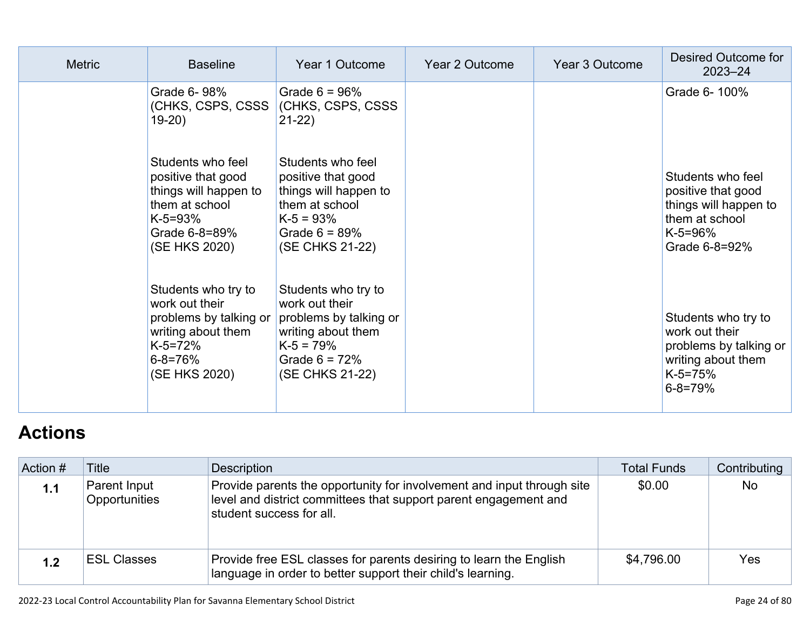| <b>Metric</b> | <b>Baseline</b>                                                                                                                      | Year 1 Outcome                                                                                                                              | Year 2 Outcome | Year 3 Outcome | Desired Outcome for<br>$2023 - 24$                                                                                  |
|---------------|--------------------------------------------------------------------------------------------------------------------------------------|---------------------------------------------------------------------------------------------------------------------------------------------|----------------|----------------|---------------------------------------------------------------------------------------------------------------------|
|               | Grade 6-98%<br>(CHKS, CSPS, CSSS<br>$19-20$                                                                                          | Grade $6 = 96%$<br>(CHKS, CSPS, CSSS<br>$21-22)$                                                                                            |                |                | Grade 6-100%                                                                                                        |
|               | Students who feel<br>positive that good<br>things will happen to<br>them at school<br>$K-5=93%$<br>Grade 6-8=89%<br>(SE HKS 2020)    | Students who feel<br>positive that good<br>things will happen to<br>them at school<br>$K-5 = 93%$<br>Grade $6 = 89%$<br>(SE CHKS 21-22)     |                |                | Students who feel<br>positive that good<br>things will happen to<br>them at school<br>$K-5=96%$<br>Grade 6-8=92%    |
|               | Students who try to<br>work out their<br>problems by talking or<br>writing about them<br>$K-5=72%$<br>$6 - 8 = 76%$<br>(SE HKS 2020) | Students who try to<br>work out their<br>problems by talking or<br>writing about them<br>$K-5 = 79\%$<br>Grade $6 = 72%$<br>(SE CHKS 21-22) |                |                | Students who try to<br>work out their<br>problems by talking or<br>writing about them<br>$K-5=75%$<br>$6 - 8 = 79%$ |

## **[Actions](http://www.doc-tracking.com/screenshots/22LCAP/Instructions/22LCAPInstructions.htm#actions)**

| Action # | <b>Title</b>                  | Description                                                                                                                                                            | <b>Total Funds</b> | Contributing |
|----------|-------------------------------|------------------------------------------------------------------------------------------------------------------------------------------------------------------------|--------------------|--------------|
| 1.1      | Parent Input<br>Opportunities | Provide parents the opportunity for involvement and input through site<br>level and district committees that support parent engagement and<br>student success for all. | \$0.00             | <b>No</b>    |
| 1.2      | <b>ESL Classes</b>            | Provide free ESL classes for parents desiring to learn the English<br>language in order to better support their child's learning.                                      | \$4,796.00         | Yes          |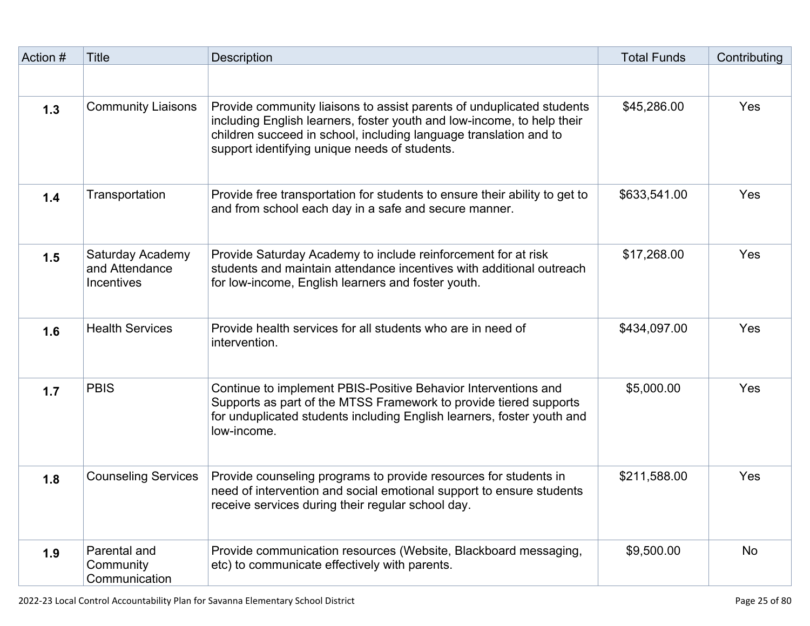| Action # | <b>Title</b>                                            | <b>Description</b>                                                                                                                                                                                                                                                    | <b>Total Funds</b> | Contributing |
|----------|---------------------------------------------------------|-----------------------------------------------------------------------------------------------------------------------------------------------------------------------------------------------------------------------------------------------------------------------|--------------------|--------------|
|          |                                                         |                                                                                                                                                                                                                                                                       |                    |              |
| 1.3      | <b>Community Liaisons</b>                               | Provide community liaisons to assist parents of unduplicated students<br>including English learners, foster youth and low-income, to help their<br>children succeed in school, including language translation and to<br>support identifying unique needs of students. | \$45,286.00        | Yes          |
| 1.4      | Transportation                                          | Provide free transportation for students to ensure their ability to get to<br>and from school each day in a safe and secure manner.                                                                                                                                   | \$633,541.00       | Yes          |
| 1.5      | Saturday Academy<br>and Attendance<br><b>Incentives</b> | Provide Saturday Academy to include reinforcement for at risk<br>students and maintain attendance incentives with additional outreach<br>for low-income, English learners and foster youth.                                                                           | \$17,268.00        | Yes          |
| 1.6      | <b>Health Services</b>                                  | Provide health services for all students who are in need of<br>intervention.                                                                                                                                                                                          | \$434,097.00       | Yes          |
| 1.7      | <b>PBIS</b>                                             | Continue to implement PBIS-Positive Behavior Interventions and<br>Supports as part of the MTSS Framework to provide tiered supports<br>for unduplicated students including English learners, foster youth and<br>low-income.                                          | \$5,000.00         | Yes          |
| 1.8      | <b>Counseling Services</b>                              | Provide counseling programs to provide resources for students in<br>need of intervention and social emotional support to ensure students<br>receive services during their regular school day.                                                                         | \$211,588.00       | Yes          |
| 1.9      | Parental and<br>Community<br>Communication              | Provide communication resources (Website, Blackboard messaging,<br>etc) to communicate effectively with parents.                                                                                                                                                      | \$9,500.00         | <b>No</b>    |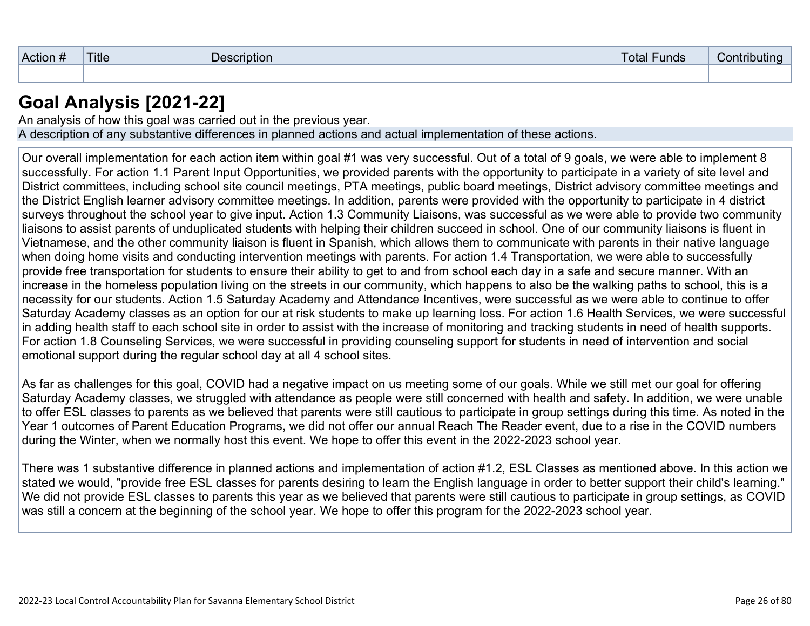| $\mathbf{r}$<br>Action + | <b>Title</b> | .<br>scription<br>Desc <sup>-</sup> | -unds<br>otal | Contributinc |
|--------------------------|--------------|-------------------------------------|---------------|--------------|
|                          |              |                                     |               |              |

### **[Goal Analysis \[2021-22\]](http://www.doc-tracking.com/screenshots/22LCAP/Instructions/22LCAPInstructions.htm#GoalAnalysis)**

An analysis of how this goal was carried out in the previous year. A description of any substantive differences in planned actions and actual implementation of these actions.

Our overall implementation for each action item within goal #1 was very successful. Out of a total of 9 goals, we were able to implement 8 successfully. For action 1.1 Parent Input Opportunities, we provided parents with the opportunity to participate in a variety of site level and District committees, including school site council meetings, PTA meetings, public board meetings, District advisory committee meetings and the District English learner advisory committee meetings. In addition, parents were provided with the opportunity to participate in 4 district surveys throughout the school year to give input. Action 1.3 Community Liaisons, was successful as we were able to provide two community liaisons to assist parents of unduplicated students with helping their children succeed in school. One of our community liaisons is fluent in Vietnamese, and the other community liaison is fluent in Spanish, which allows them to communicate with parents in their native language when doing home visits and conducting intervention meetings with parents. For action 1.4 Transportation, we were able to successfully provide free transportation for students to ensure their ability to get to and from school each day in a safe and secure manner. With an increase in the homeless population living on the streets in our community, which happens to also be the walking paths to school, this is a necessity for our students. Action 1.5 Saturday Academy and Attendance Incentives, were successful as we were able to continue to offer Saturday Academy classes as an option for our at risk students to make up learning loss. For action 1.6 Health Services, we were successful in adding health staff to each school site in order to assist with the increase of monitoring and tracking students in need of health supports. For action 1.8 Counseling Services, we were successful in providing counseling support for students in need of intervention and social emotional support during the regular school day at all 4 school sites.

As far as challenges for this goal, COVID had a negative impact on us meeting some of our goals. While we still met our goal for offering Saturday Academy classes, we struggled with attendance as people were still concerned with health and safety. In addition, we were unable to offer ESL classes to parents as we believed that parents were still cautious to participate in group settings during this time. As noted in the Year 1 outcomes of Parent Education Programs, we did not offer our annual Reach The Reader event, due to a rise in the COVID numbers during the Winter, when we normally host this event. We hope to offer this event in the 2022-2023 school year.

There was 1 substantive difference in planned actions and implementation of action #1.2, ESL Classes as mentioned above. In this action we stated we would, "provide free ESL classes for parents desiring to learn the English language in order to better support their child's learning." We did not provide ESL classes to parents this year as we believed that parents were still cautious to participate in group settings, as COVID was still a concern at the beginning of the school year. We hope to offer this program for the 2022-2023 school year.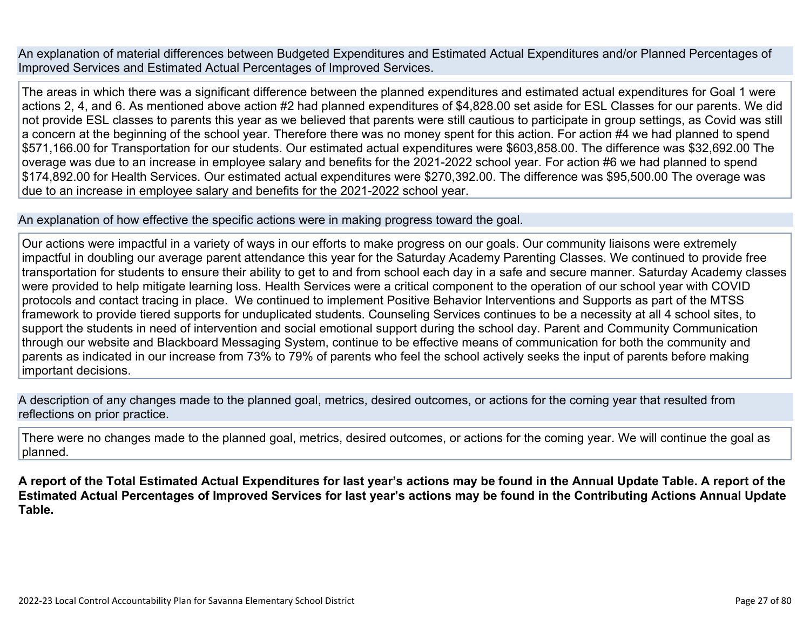An explanation of material differences between Budgeted Expenditures and Estimated Actual Expenditures and/or Planned Percentages of Improved Services and Estimated Actual Percentages of Improved Services.

The areas in which there was a significant difference between the planned expenditures and estimated actual expenditures for Goal 1 were actions 2, 4, and 6. As mentioned above action #2 had planned expenditures of \$4,828.00 set aside for ESL Classes for our parents. We did not provide ESL classes to parents this year as we believed that parents were still cautious to participate in group settings, as Covid was still a concern at the beginning of the school year. Therefore there was no money spent for this action. For action #4 we had planned to spend \$571,166.00 for Transportation for our students. Our estimated actual expenditures were \$603,858.00. The difference was \$32,692.00 The overage was due to an increase in employee salary and benefits for the 2021-2022 school year. For action #6 we had planned to spend \$174,892.00 for Health Services. Our estimated actual expenditures were \$270,392.00. The difference was \$95,500.00 The overage was due to an increase in employee salary and benefits for the 2021-2022 school year.

An explanation of how effective the specific actions were in making progress toward the goal.

Our actions were impactful in a variety of ways in our efforts to make progress on our goals. Our community liaisons were extremely impactful in doubling our average parent attendance this year for the Saturday Academy Parenting Classes. We continued to provide free transportation for students to ensure their ability to get to and from school each day in a safe and secure manner. Saturday Academy classes were provided to help mitigate learning loss. Health Services were a critical component to the operation of our school year with COVID protocols and contact tracing in place. We continued to implement Positive Behavior Interventions and Supports as part of the MTSS framework to provide tiered supports for unduplicated students. Counseling Services continues to be a necessity at all 4 school sites, to support the students in need of intervention and social emotional support during the school day. Parent and Community Communication through our website and Blackboard Messaging System, continue to be effective means of communication for both the community and parents as indicated in our increase from 73% to 79% of parents who feel the school actively seeks the input of parents before making important decisions.

A description of any changes made to the planned goal, metrics, desired outcomes, or actions for the coming year that resulted from reflections on prior practice.

There were no changes made to the planned goal, metrics, desired outcomes, or actions for the coming year. We will continue the goal as planned.

**A report of the Total Estimated Actual Expenditures for last year's actions may be found in the Annual Update Table. A report of the Estimated Actual Percentages of Improved Services for last year's actions may be found in the Contributing Actions Annual Update Table.**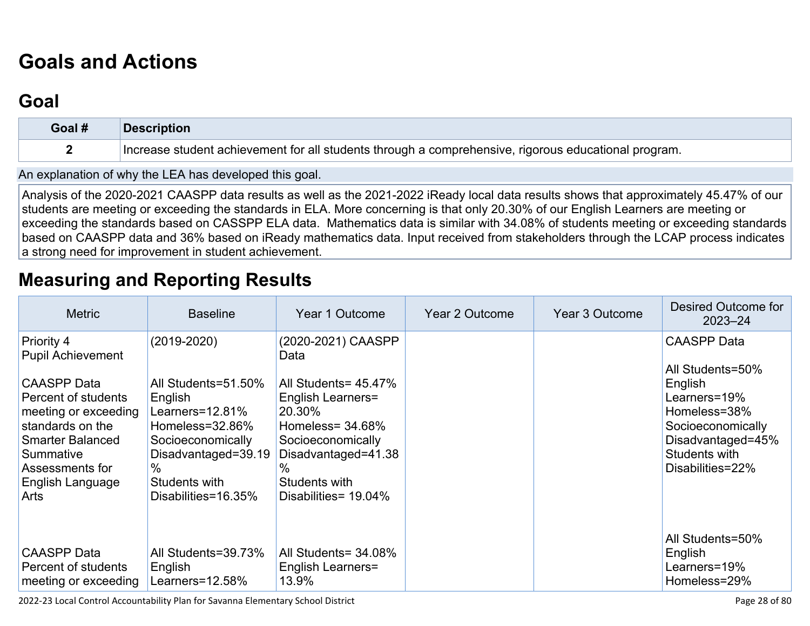# **[Goals and Actions](http://www.doc-tracking.com/screenshots/22LCAP/Instructions/22LCAPInstructions.htm#GoalsandActions)**

## **[Goal](http://www.doc-tracking.com/screenshots/22LCAP/Instructions/22LCAPInstructions.htm#goalDescription)**

| Goal # | <b>Description</b>                                                                                   |
|--------|------------------------------------------------------------------------------------------------------|
|        | Increase student achievement for all students through a comprehensive, rigorous educational program. |

An explanation of why the LEA has developed this goal.

Analysis of the 2020-2021 CAASPP data results as well as the 2021-2022 iReady local data results shows that approximately 45.47% of our students are meeting or exceeding the standards in ELA. More concerning is that only 20.30% of our English Learners are meeting or exceeding the standards based on CASSPP ELA data. Mathematics data is similar with 34.08% of students meeting or exceeding standards based on CAASPP data and 36% based on iReady mathematics data. Input received from stakeholders through the LCAP process indicates a strong need for improvement in student achievement.

### **[Measuring and Reporting Results](http://www.doc-tracking.com/screenshots/22LCAP/Instructions/22LCAPInstructions.htm#MeasuringandReportingResults)**

| <b>Metric</b>                                                                                                                                                                                                                 | <b>Baseline</b>                                                                                                                                                                         | Year 1 Outcome                                                                                                                                                                                                | Year 2 Outcome | <b>Year 3 Outcome</b> | Desired Outcome for<br>$2023 - 24$                                                                                                                               |
|-------------------------------------------------------------------------------------------------------------------------------------------------------------------------------------------------------------------------------|-----------------------------------------------------------------------------------------------------------------------------------------------------------------------------------------|---------------------------------------------------------------------------------------------------------------------------------------------------------------------------------------------------------------|----------------|-----------------------|------------------------------------------------------------------------------------------------------------------------------------------------------------------|
| Priority 4<br><b>Pupil Achievement</b><br><b>CAASPP</b> Data<br>Percent of students<br>meeting or exceeding<br>standards on the<br><b>Smarter Balanced</b><br>Summative<br>Assessments for<br><b>English Language</b><br>Arts | $(2019 - 2020)$<br>All Students=51.50%<br>English<br>Learners= $12.81\%$<br>Homeless=32.86%<br>Socioeconomically<br>Disadvantaged=39.19<br>$\%$<br>Students with<br>Disabilities=16.35% | (2020-2021) CAASPP<br>Data<br>All Students = 45.47%<br><b>English Learners=</b><br>20.30%<br>Homeless= $34.68\%$<br>Socioeconomically<br>Disadvantaged=41.38<br>$\%$<br>Students with<br>Disabilities= 19.04% |                |                       | <b>CAASPP Data</b><br>All Students=50%<br>English<br>Learners=19%<br>Homeless=38%<br>Socioeconomically<br>Disadvantaged=45%<br>Students with<br>Disabilities=22% |
| <b>CAASPP</b> Data<br>Percent of students<br>meeting or exceeding                                                                                                                                                             | All Students=39.73%<br>English<br>Learners=12.58%                                                                                                                                       | All Students= 34.08%<br><b>English Learners=</b><br>13.9%                                                                                                                                                     |                |                       | All Students=50%<br>English<br>Learners=19%<br>Homeless=29%                                                                                                      |

2022-23 Local Control Accountability Plan for Savanna Elementary School District Page 28 of 80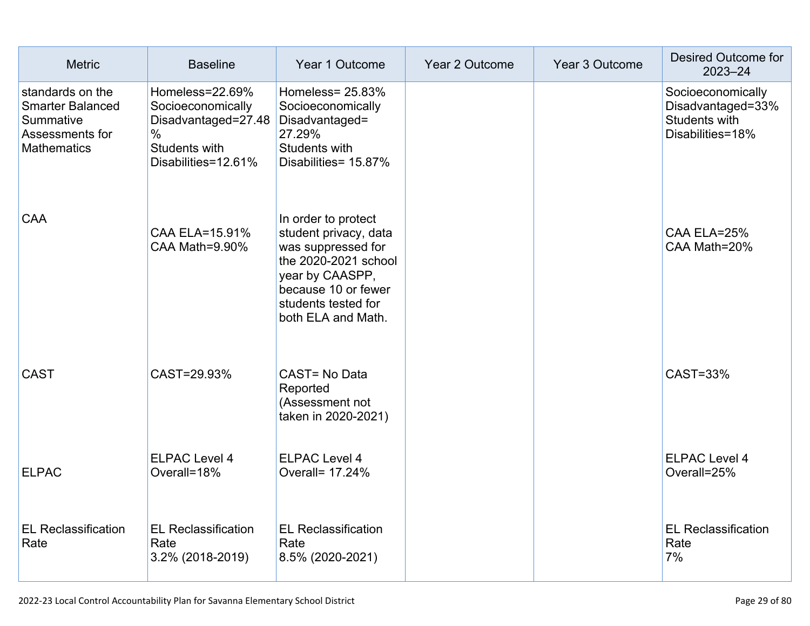| <b>Metric</b>                                                                                     | <b>Baseline</b>                                                                                             | Year 1 Outcome                                                                                                                                                                    | Year 2 Outcome | Year 3 Outcome | <b>Desired Outcome for</b><br>$2023 - 24$                                   |
|---------------------------------------------------------------------------------------------------|-------------------------------------------------------------------------------------------------------------|-----------------------------------------------------------------------------------------------------------------------------------------------------------------------------------|----------------|----------------|-----------------------------------------------------------------------------|
| standards on the<br><b>Smarter Balanced</b><br>Summative<br>Assessments for<br><b>Mathematics</b> | Homeless=22.69%<br>Socioeconomically<br>Disadvantaged=27.48<br>$\%$<br>Students with<br>Disabilities=12.61% | Homeless= 25.83%<br>Socioeconomically<br>Disadvantaged=<br>27.29%<br>Students with<br>Disabilities= 15.87%                                                                        |                |                | Socioeconomically<br>Disadvantaged=33%<br>Students with<br>Disabilities=18% |
| <b>CAA</b>                                                                                        | CAA ELA=15.91%<br>CAA Math=9.90%                                                                            | In order to protect<br>student privacy, data<br>was suppressed for<br>the 2020-2021 school<br>year by CAASPP,<br>because 10 or fewer<br>students tested for<br>both ELA and Math. |                |                | CAA ELA=25%<br>CAA Math=20%                                                 |
| <b>CAST</b>                                                                                       | CAST=29.93%                                                                                                 | CAST= No Data<br>Reported<br>(Assessment not<br>taken in 2020-2021)                                                                                                               |                |                | <b>CAST=33%</b>                                                             |
| <b>ELPAC</b>                                                                                      | <b>ELPAC Level 4</b><br>Overall=18%                                                                         | <b>ELPAC Level 4</b><br>Overall= 17.24%                                                                                                                                           |                |                | <b>ELPAC Level 4</b><br>Overall=25%                                         |
| <b>EL Reclassification</b><br>Rate                                                                | <b>EL Reclassification</b><br>Rate<br>3.2% (2018-2019)                                                      | <b>EL Reclassification</b><br>Rate<br>8.5% (2020-2021)                                                                                                                            |                |                | <b>EL Reclassification</b><br>Rate<br>7%                                    |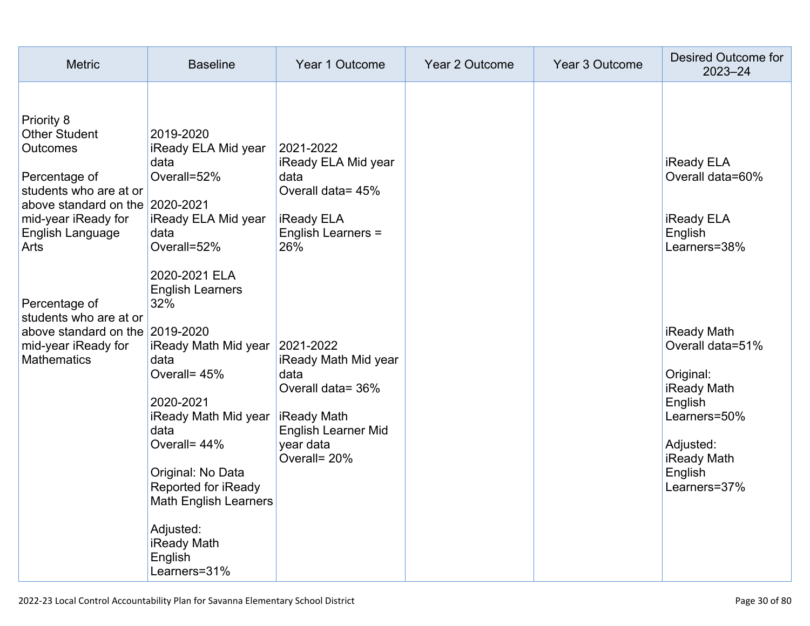| <b>Metric</b>                                                                                                                                                                                    | <b>Baseline</b>                                                                                                                                                                                                                                 | Year 1 Outcome                                                                                                                     | Year 2 Outcome | Year 3 Outcome | <b>Desired Outcome for</b><br>$2023 - 24$                                                                                                            |
|--------------------------------------------------------------------------------------------------------------------------------------------------------------------------------------------------|-------------------------------------------------------------------------------------------------------------------------------------------------------------------------------------------------------------------------------------------------|------------------------------------------------------------------------------------------------------------------------------------|----------------|----------------|------------------------------------------------------------------------------------------------------------------------------------------------------|
| Priority 8<br><b>Other Student</b><br>Outcomes<br>Percentage of<br>students who are at or<br>above standard on the 2020-2021<br>mid-year iReady for<br>English Language<br>Arts<br>Percentage of | 2019-2020<br>iReady ELA Mid year<br>data<br>Overall=52%<br>iReady ELA Mid year<br>data<br>Overall=52%<br>2020-2021 ELA<br><b>English Learners</b><br>32%                                                                                        | 2021-2022<br>iReady ELA Mid year<br>data<br>Overall data= 45%<br><b>iReady ELA</b><br>English Learners =<br>26%                    |                |                | iReady ELA<br>Overall data=60%<br><b>iReady ELA</b><br>English<br>Learners=38%                                                                       |
| students who are at or<br>above standard on the 2019-2020<br>mid-year iReady for<br><b>Mathematics</b>                                                                                           | iReady Math Mid year 2021-2022<br>data<br>Overall= 45%<br>2020-2021<br>iReady Math Mid year<br>data<br>Overall= 44%<br>Original: No Data<br>Reported for iReady<br>Math English Learners<br>Adjusted:<br>iReady Math<br>English<br>Learners=31% | iReady Math Mid year<br>data<br>Overall data= 36%<br><b>iReady Math</b><br><b>English Learner Mid</b><br>year data<br>Overall= 20% |                |                | iReady Math<br>Overall data=51%<br>Original:<br>iReady Math<br>English<br>Learners=50%<br>Adjusted:<br><b>iReady Math</b><br>English<br>Learners=37% |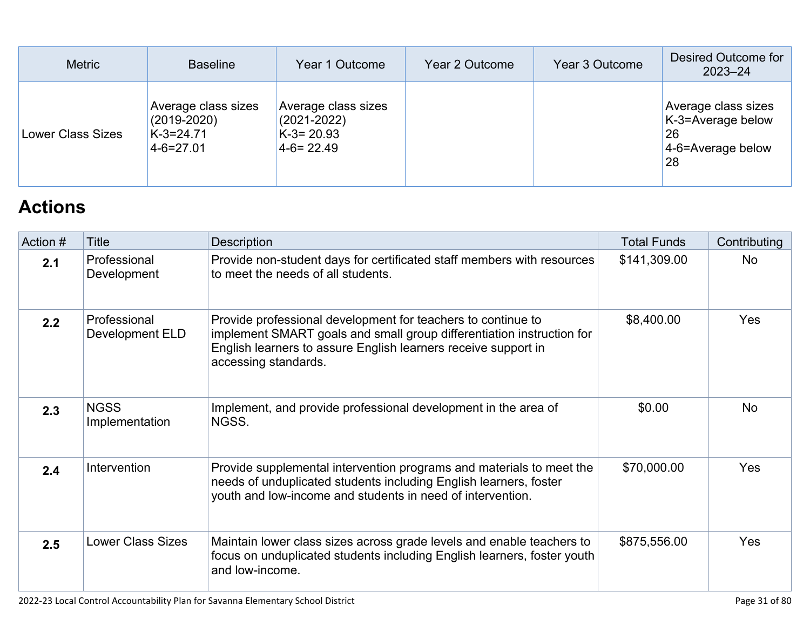| <b>Metric</b>            | <b>Baseline</b>                                                          | Year 1 Outcome                                                       | Year 2 Outcome | Year 3 Outcome | Desired Outcome for<br>$2023 - 24$                                           |
|--------------------------|--------------------------------------------------------------------------|----------------------------------------------------------------------|----------------|----------------|------------------------------------------------------------------------------|
| <b>Lower Class Sizes</b> | Average class sizes<br>$(2019 - 2020)$<br>$K-3=24.71$<br>$4 - 6 = 27.01$ | Average class sizes<br>$(2021 - 2022)$<br>$K-3=20.93$<br>$4-6=22.49$ |                |                | Average class sizes<br>K-3=Average below<br>26<br>$4-6=$ Average below<br>28 |

## **[Actions](http://www.doc-tracking.com/screenshots/22LCAP/Instructions/22LCAPInstructions.htm#actions)**

| Action # | Title                           | <b>Description</b>                                                                                                                                                                                                              | <b>Total Funds</b> | Contributing |
|----------|---------------------------------|---------------------------------------------------------------------------------------------------------------------------------------------------------------------------------------------------------------------------------|--------------------|--------------|
| 2.1      | Professional<br>Development     | Provide non-student days for certificated staff members with resources<br>to meet the needs of all students.                                                                                                                    | \$141,309.00       | No.          |
| 2.2      | Professional<br>Development ELD | Provide professional development for teachers to continue to<br>implement SMART goals and small group differentiation instruction for<br>English learners to assure English learners receive support in<br>accessing standards. | \$8,400.00         | Yes          |
| 2.3      | <b>NGSS</b><br>Implementation   | Implement, and provide professional development in the area of<br>NGSS.                                                                                                                                                         | \$0.00             | <b>No</b>    |
| 2.4      | Intervention                    | Provide supplemental intervention programs and materials to meet the<br>needs of unduplicated students including English learners, foster<br>youth and low-income and students in need of intervention.                         | \$70,000.00        | Yes          |
| 2.5      | <b>Lower Class Sizes</b>        | Maintain lower class sizes across grade levels and enable teachers to<br>focus on unduplicated students including English learners, foster youth<br>and low-income.                                                             | \$875,556.00       | Yes          |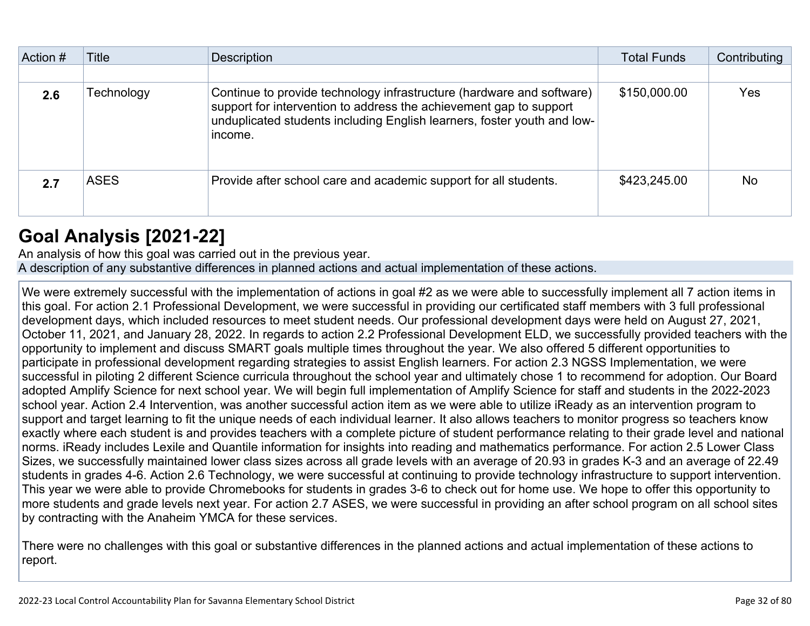| Action # | <b>Title</b> | <b>Description</b>                                                                                                                                                                                                                | <b>Total Funds</b> | Contributing |
|----------|--------------|-----------------------------------------------------------------------------------------------------------------------------------------------------------------------------------------------------------------------------------|--------------------|--------------|
|          |              |                                                                                                                                                                                                                                   |                    |              |
| 2.6      | Technology   | Continue to provide technology infrastructure (hardware and software)<br>support for intervention to address the achievement gap to support<br>unduplicated students including English learners, foster youth and low-<br>income. | \$150,000.00       | Yes          |
| 2.7      | <b>ASES</b>  | Provide after school care and academic support for all students.                                                                                                                                                                  | \$423,245.00       | <b>No</b>    |

## **[Goal Analysis \[2021-22\]](http://www.doc-tracking.com/screenshots/22LCAP/Instructions/22LCAPInstructions.htm#GoalAnalysis)**

An analysis of how this goal was carried out in the previous year.

A description of any substantive differences in planned actions and actual implementation of these actions.

We were extremely successful with the implementation of actions in goal #2 as we were able to successfully implement all 7 action items in this goal. For action 2.1 Professional Development, we were successful in providing our certificated staff members with 3 full professional development days, which included resources to meet student needs. Our professional development days were held on August 27, 2021, October 11, 2021, and January 28, 2022. In regards to action 2.2 Professional Development ELD, we successfully provided teachers with the opportunity to implement and discuss SMART goals multiple times throughout the year. We also offered 5 different opportunities to participate in professional development regarding strategies to assist English learners. For action 2.3 NGSS Implementation, we were successful in piloting 2 different Science curricula throughout the school year and ultimately chose 1 to recommend for adoption. Our Board adopted Amplify Science for next school year. We will begin full implementation of Amplify Science for staff and students in the 2022-2023 school year. Action 2.4 Intervention, was another successful action item as we were able to utilize iReady as an intervention program to support and target learning to fit the unique needs of each individual learner. It also allows teachers to monitor progress so teachers know exactly where each student is and provides teachers with a complete picture of student performance relating to their grade level and national norms. iReady includes Lexile and Quantile information for insights into reading and mathematics performance. For action 2.5 Lower Class Sizes, we successfully maintained lower class sizes across all grade levels with an average of 20.93 in grades K-3 and an average of 22.49 students in grades 4-6. Action 2.6 Technology, we were successful at continuing to provide technology infrastructure to support intervention. This year we were able to provide Chromebooks for students in grades 3-6 to check out for home use. We hope to offer this opportunity to more students and grade levels next year. For action 2.7 ASES, we were successful in providing an after school program on all school sites by contracting with the Anaheim YMCA for these services.

There were no challenges with this goal or substantive differences in the planned actions and actual implementation of these actions to report.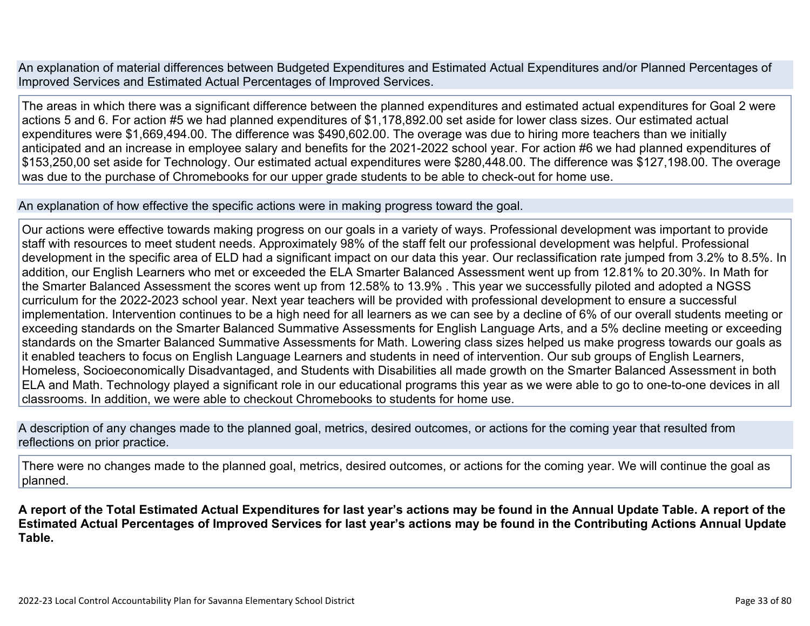An explanation of material differences between Budgeted Expenditures and Estimated Actual Expenditures and/or Planned Percentages of Improved Services and Estimated Actual Percentages of Improved Services.

The areas in which there was a significant difference between the planned expenditures and estimated actual expenditures for Goal 2 were actions 5 and 6. For action #5 we had planned expenditures of \$1,178,892.00 set aside for lower class sizes. Our estimated actual expenditures were \$1,669,494.00. The difference was \$490,602.00. The overage was due to hiring more teachers than we initially anticipated and an increase in employee salary and benefits for the 2021-2022 school year. For action #6 we had planned expenditures of \$153,250,00 set aside for Technology. Our estimated actual expenditures were \$280,448.00. The difference was \$127,198.00. The overage was due to the purchase of Chromebooks for our upper grade students to be able to check-out for home use.

#### An explanation of how effective the specific actions were in making progress toward the goal.

Our actions were effective towards making progress on our goals in a variety of ways. Professional development was important to provide staff with resources to meet student needs. Approximately 98% of the staff felt our professional development was helpful. Professional development in the specific area of ELD had a significant impact on our data this year. Our reclassification rate jumped from 3.2% to 8.5%. In addition, our English Learners who met or exceeded the ELA Smarter Balanced Assessment went up from 12.81% to 20.30%. In Math for the Smarter Balanced Assessment the scores went up from 12.58% to 13.9% . This year we successfully piloted and adopted a NGSS curriculum for the 2022-2023 school year. Next year teachers will be provided with professional development to ensure a successful implementation. Intervention continues to be a high need for all learners as we can see by a decline of 6% of our overall students meeting or exceeding standards on the Smarter Balanced Summative Assessments for English Language Arts, and a 5% decline meeting or exceeding standards on the Smarter Balanced Summative Assessments for Math. Lowering class sizes helped us make progress towards our goals as it enabled teachers to focus on English Language Learners and students in need of intervention. Our sub groups of English Learners, Homeless, Socioeconomically Disadvantaged, and Students with Disabilities all made growth on the Smarter Balanced Assessment in both ELA and Math. Technology played a significant role in our educational programs this year as we were able to go to one-to-one devices in all classrooms. In addition, we were able to checkout Chromebooks to students for home use.

A description of any changes made to the planned goal, metrics, desired outcomes, or actions for the coming year that resulted from reflections on prior practice.

There were no changes made to the planned goal, metrics, desired outcomes, or actions for the coming year. We will continue the goal as planned.

**A report of the Total Estimated Actual Expenditures for last year's actions may be found in the Annual Update Table. A report of the Estimated Actual Percentages of Improved Services for last year's actions may be found in the Contributing Actions Annual Update Table.**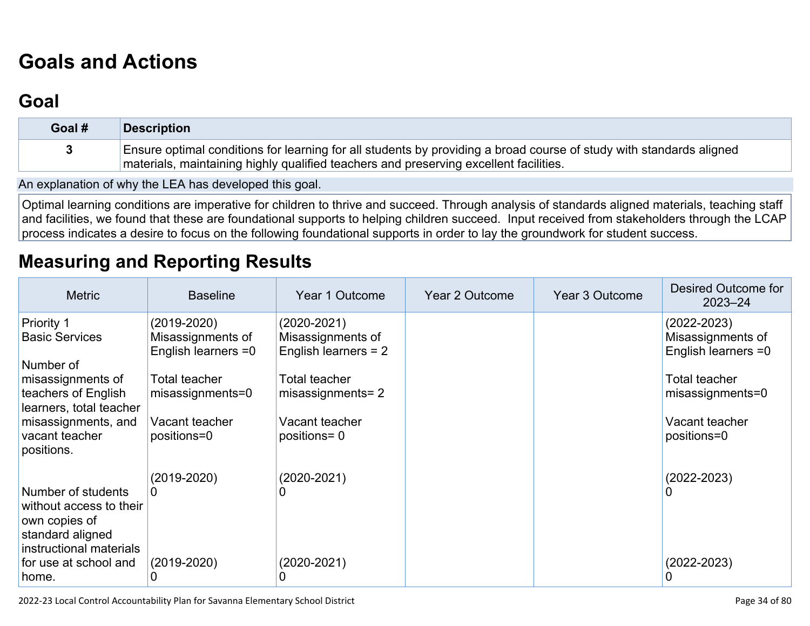# **[Goals and Actions](http://www.doc-tracking.com/screenshots/22LCAP/Instructions/22LCAPInstructions.htm#GoalsandActions)**

## **[Goal](http://www.doc-tracking.com/screenshots/22LCAP/Instructions/22LCAPInstructions.htm#goalDescription)**

| Goal # | Description                                                                                                                                                                                                  |
|--------|--------------------------------------------------------------------------------------------------------------------------------------------------------------------------------------------------------------|
|        | Ensure optimal conditions for learning for all students by providing a broad course of study with standards aligned<br>materials, maintaining highly qualified teachers and preserving excellent facilities. |

An explanation of why the LEA has developed this goal.

Optimal learning conditions are imperative for children to thrive and succeed. Through analysis of standards aligned materials, teaching staff and facilities, we found that these are foundational supports to helping children succeed. Input received from stakeholders through the LCAP process indicates a desire to focus on the following foundational supports in order to lay the groundwork for student success.

## **[Measuring and Reporting Results](http://www.doc-tracking.com/screenshots/22LCAP/Instructions/22LCAPInstructions.htm#MeasuringandReportingResults)**

| <b>Metric</b>                                                                                                 | <b>Baseline</b>                                              | Year 1 Outcome                                                 | Year 2 Outcome | Year 3 Outcome | Desired Outcome for<br>$2023 - 24$                           |
|---------------------------------------------------------------------------------------------------------------|--------------------------------------------------------------|----------------------------------------------------------------|----------------|----------------|--------------------------------------------------------------|
| Priority 1<br><b>Basic Services</b><br>Number of                                                              | $(2019 - 2020)$<br>Misassignments of<br>English learners = 0 | $(2020 - 2021)$<br>Misassignments of<br>English learners $= 2$ |                |                | $(2022 - 2023)$<br>Misassignments of<br>English learners = 0 |
| misassignments of<br>teachers of English<br>learners, total teacher                                           | Total teacher<br>misassignments=0                            | Total teacher<br>misassignments=2                              |                |                | Total teacher<br>misassignments=0                            |
| misassignments, and<br>vacant teacher<br>positions.                                                           | Vacant teacher<br>positions=0                                | Vacant teacher<br>positions=0                                  |                |                | Vacant teacher<br>positions=0                                |
| Number of students<br>without access to their<br>own copies of<br>standard aligned<br>instructional materials | $(2019 - 2020)$<br>0                                         | $(2020 - 2021)$<br>0                                           |                |                | $(2022 - 2023)$                                              |
| for use at school and<br>home.                                                                                | $(2019 - 2020)$                                              | $(2020 - 2021)$                                                |                |                | $(2022 - 2023)$                                              |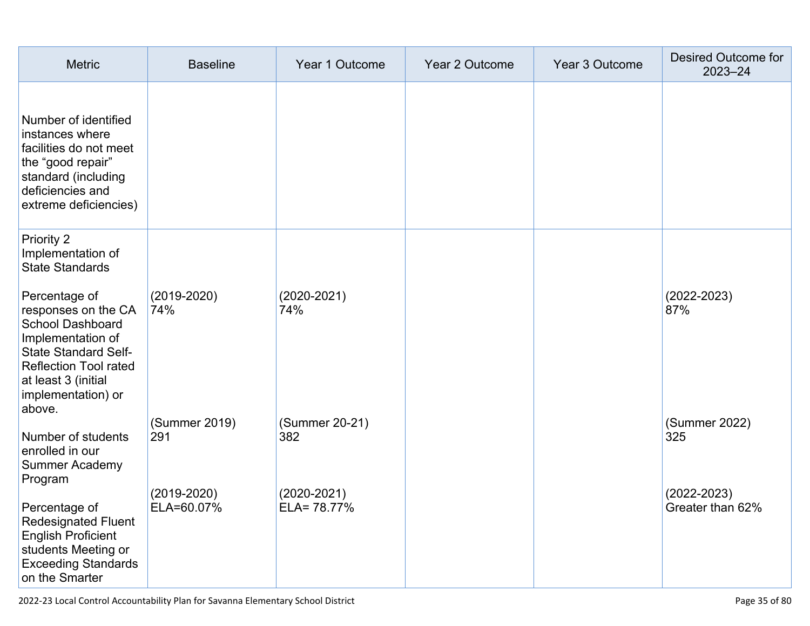| <b>Metric</b>                                                                                                                                                                                              | <b>Baseline</b>               | Year 1 Outcome                 | Year 2 Outcome | Year 3 Outcome | <b>Desired Outcome for</b><br>$2023 - 24$ |
|------------------------------------------------------------------------------------------------------------------------------------------------------------------------------------------------------------|-------------------------------|--------------------------------|----------------|----------------|-------------------------------------------|
| Number of identified<br>instances where<br>facilities do not meet<br>the "good repair"<br>standard (including<br>deficiencies and<br>extreme deficiencies)                                                 |                               |                                |                |                |                                           |
| <b>Priority 2</b><br>Implementation of<br><b>State Standards</b>                                                                                                                                           |                               |                                |                |                |                                           |
| Percentage of<br>responses on the CA<br><b>School Dashboard</b><br>Implementation of<br><b>State Standard Self-</b><br><b>Reflection Tool rated</b><br>at least 3 (initial<br>implementation) or<br>above. | $(2019 - 2020)$<br>74%        | $(2020 - 2021)$<br>74%         |                |                | $(2022 - 2023)$<br>87%                    |
| Number of students<br>enrolled in our<br>Summer Academy<br>Program                                                                                                                                         | (Summer 2019)<br>291          | (Summer 20-21)<br>382          |                |                | (Summer 2022)<br>325                      |
| Percentage of<br><b>Redesignated Fluent</b><br><b>English Proficient</b><br>students Meeting or<br><b>Exceeding Standards</b><br>on the Smarter                                                            | $(2019 - 2020)$<br>ELA=60.07% | $(2020 - 2021)$<br>ELA= 78.77% |                |                | $(2022 - 2023)$<br>Greater than 62%       |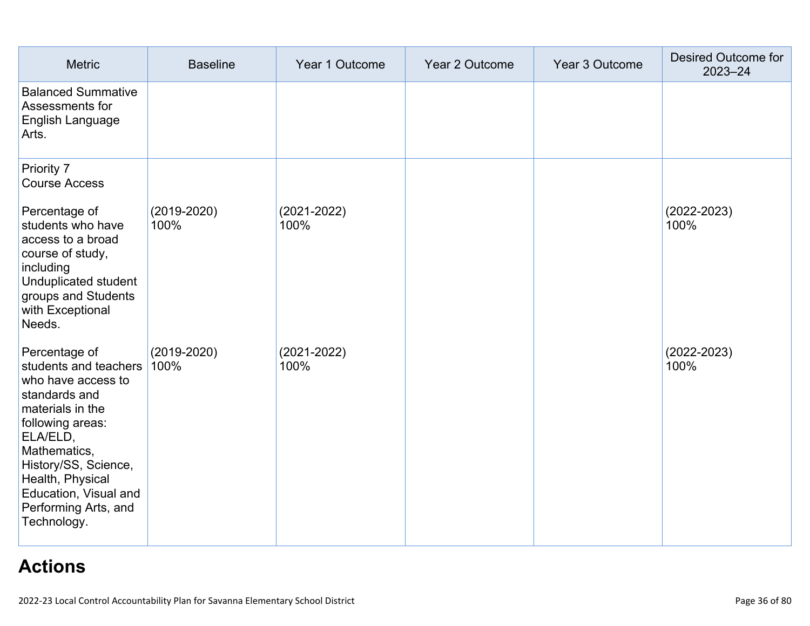| <b>Metric</b>                                                                                                                                                                                                                                                 | <b>Baseline</b>         | Year 1 Outcome          | Year 2 Outcome | Year 3 Outcome | Desired Outcome for<br>$2023 - 24$ |
|---------------------------------------------------------------------------------------------------------------------------------------------------------------------------------------------------------------------------------------------------------------|-------------------------|-------------------------|----------------|----------------|------------------------------------|
| <b>Balanced Summative</b><br>Assessments for<br>English Language<br>Arts.                                                                                                                                                                                     |                         |                         |                |                |                                    |
| Priority 7<br><b>Course Access</b>                                                                                                                                                                                                                            |                         |                         |                |                |                                    |
| Percentage of<br>students who have<br>access to a broad<br>course of study,<br>including<br>Unduplicated student<br>groups and Students<br>with Exceptional<br>Needs.                                                                                         | $(2019 - 2020)$<br>100% | $(2021 - 2022)$<br>100% |                |                | $(2022 - 2023)$<br>100%            |
| Percentage of<br>students and teachers<br>who have access to<br>standards and<br>materials in the<br>following areas:<br>ELA/ELD,<br>Mathematics,<br>History/SS, Science,<br>Health, Physical<br>Education, Visual and<br>Performing Arts, and<br>Technology. | $(2019 - 2020)$<br>100% | $(2021 - 2022)$<br>100% |                |                | $(2022 - 2023)$<br>100%            |

## **[Actions](http://www.doc-tracking.com/screenshots/22LCAP/Instructions/22LCAPInstructions.htm#actions)**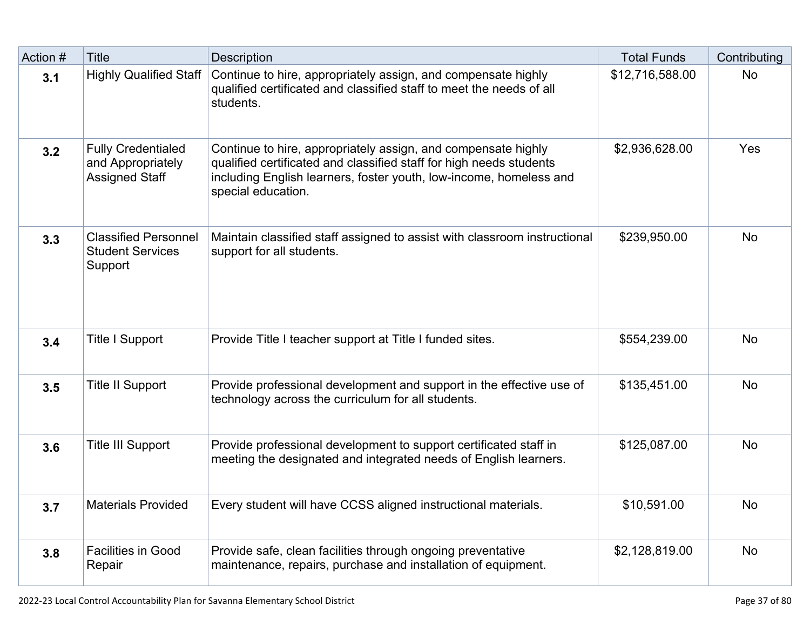| Action # | <b>Title</b>                                                            | <b>Description</b>                                                                                                                                                                                                               | <b>Total Funds</b> | Contributing |
|----------|-------------------------------------------------------------------------|----------------------------------------------------------------------------------------------------------------------------------------------------------------------------------------------------------------------------------|--------------------|--------------|
| 3.1      | <b>Highly Qualified Staff</b>                                           | Continue to hire, appropriately assign, and compensate highly<br>qualified certificated and classified staff to meet the needs of all<br>students.                                                                               | \$12,716,588.00    | <b>No</b>    |
| 3.2      | <b>Fully Credentialed</b><br>and Appropriately<br><b>Assigned Staff</b> | Continue to hire, appropriately assign, and compensate highly<br>qualified certificated and classified staff for high needs students<br>including English learners, foster youth, low-income, homeless and<br>special education. | \$2,936,628.00     | Yes          |
| 3.3      | <b>Classified Personnel</b><br><b>Student Services</b><br>Support       | Maintain classified staff assigned to assist with classroom instructional<br>support for all students.                                                                                                                           | \$239,950.00       | No           |
| 3.4      | <b>Title I Support</b>                                                  | Provide Title I teacher support at Title I funded sites.                                                                                                                                                                         | \$554,239.00       | <b>No</b>    |
| 3.5      | <b>Title II Support</b>                                                 | Provide professional development and support in the effective use of<br>technology across the curriculum for all students.                                                                                                       | \$135,451.00       | <b>No</b>    |
| 3.6      | <b>Title III Support</b>                                                | Provide professional development to support certificated staff in<br>meeting the designated and integrated needs of English learners.                                                                                            | \$125,087.00       | No           |
| 3.7      | <b>Materials Provided</b>                                               | Every student will have CCSS aligned instructional materials.                                                                                                                                                                    | \$10,591.00        | No           |
| 3.8      | <b>Facilities in Good</b><br>Repair                                     | Provide safe, clean facilities through ongoing preventative<br>maintenance, repairs, purchase and installation of equipment.                                                                                                     | \$2,128,819.00     | No           |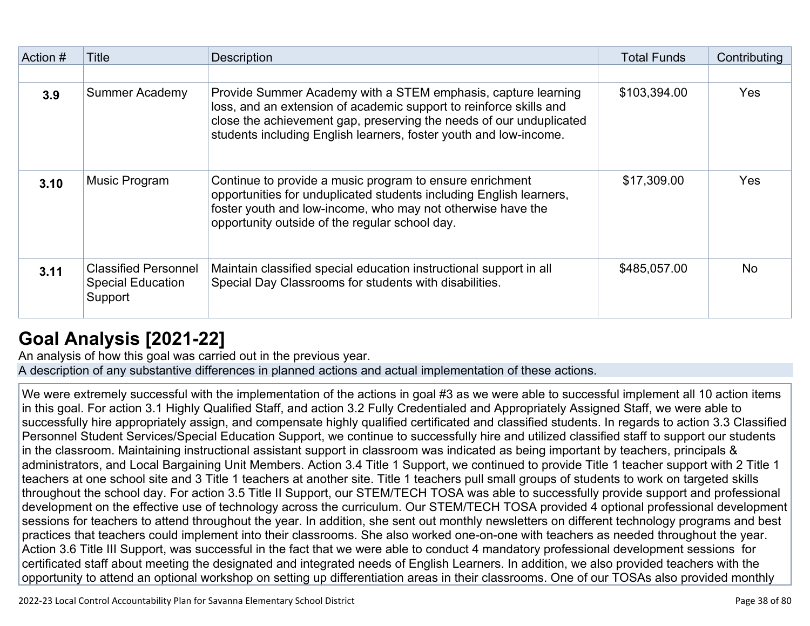| Action # | Title                                                              | <b>Description</b>                                                                                                                                                                                                                                                              | <b>Total Funds</b> | Contributing |
|----------|--------------------------------------------------------------------|---------------------------------------------------------------------------------------------------------------------------------------------------------------------------------------------------------------------------------------------------------------------------------|--------------------|--------------|
| 3.9      | Summer Academy                                                     | Provide Summer Academy with a STEM emphasis, capture learning<br>loss, and an extension of academic support to reinforce skills and<br>close the achievement gap, preserving the needs of our unduplicated<br>students including English learners, foster youth and low-income. | \$103,394.00       | <b>Yes</b>   |
| 3.10     | Music Program                                                      | Continue to provide a music program to ensure enrichment<br>opportunities for unduplicated students including English learners,<br>foster youth and low-income, who may not otherwise have the<br>opportunity outside of the regular school day.                                | \$17,309.00        | <b>Yes</b>   |
| 3.11     | <b>Classified Personnel</b><br><b>Special Education</b><br>Support | Maintain classified special education instructional support in all<br>Special Day Classrooms for students with disabilities.                                                                                                                                                    | \$485,057.00       | <b>No</b>    |

## **[Goal Analysis \[2021-22\]](http://www.doc-tracking.com/screenshots/22LCAP/Instructions/22LCAPInstructions.htm#GoalAnalysis)**

An analysis of how this goal was carried out in the previous year.

A description of any substantive differences in planned actions and actual implementation of these actions.

We were extremely successful with the implementation of the actions in goal #3 as we were able to successful implement all 10 action items in this goal. For action 3.1 Highly Qualified Staff, and action 3.2 Fully Credentialed and Appropriately Assigned Staff, we were able to successfully hire appropriately assign, and compensate highly qualified certificated and classified students. In regards to action 3.3 Classified Personnel Student Services/Special Education Support, we continue to successfully hire and utilized classified staff to support our students in the classroom. Maintaining instructional assistant support in classroom was indicated as being important by teachers, principals & administrators, and Local Bargaining Unit Members. Action 3.4 Title 1 Support, we continued to provide Title 1 teacher support with 2 Title 1 teachers at one school site and 3 Title 1 teachers at another site. Title 1 teachers pull small groups of students to work on targeted skills throughout the school day. For action 3.5 Title II Support, our STEM/TECH TOSA was able to successfully provide support and professional development on the effective use of technology across the curriculum. Our STEM/TECH TOSA provided 4 optional professional development sessions for teachers to attend throughout the year. In addition, she sent out monthly newsletters on different technology programs and best practices that teachers could implement into their classrooms. She also worked one-on-one with teachers as needed throughout the year. Action 3.6 Title III Support, was successful in the fact that we were able to conduct 4 mandatory professional development sessions for certificated staff about meeting the designated and integrated needs of English Learners. In addition, we also provided teachers with the opportunity to attend an optional workshop on setting up differentiation areas in their classrooms. One of our TOSAs also provided monthly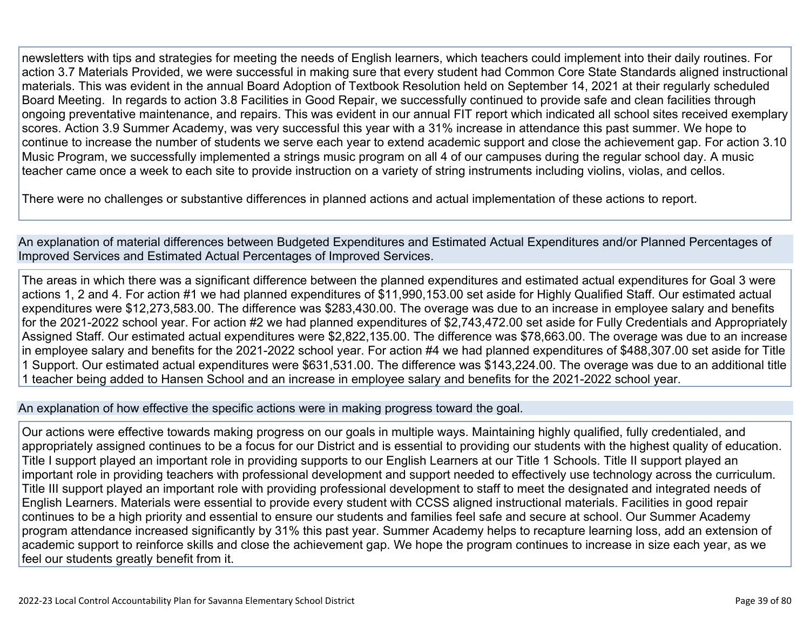newsletters with tips and strategies for meeting the needs of English learners, which teachers could implement into their daily routines. For action 3.7 Materials Provided, we were successful in making sure that every student had Common Core State Standards aligned instructional materials. This was evident in the annual Board Adoption of Textbook Resolution held on September 14, 2021 at their regularly scheduled Board Meeting. In regards to action 3.8 Facilities in Good Repair, we successfully continued to provide safe and clean facilities through ongoing preventative maintenance, and repairs. This was evident in our annual FIT report which indicated all school sites received exemplary scores. Action 3.9 Summer Academy, was very successful this year with a 31% increase in attendance this past summer. We hope to continue to increase the number of students we serve each year to extend academic support and close the achievement gap. For action 3.10 Music Program, we successfully implemented a strings music program on all 4 of our campuses during the regular school day. A music teacher came once a week to each site to provide instruction on a variety of string instruments including violins, violas, and cellos.

There were no challenges or substantive differences in planned actions and actual implementation of these actions to report.

An explanation of material differences between Budgeted Expenditures and Estimated Actual Expenditures and/or Planned Percentages of Improved Services and Estimated Actual Percentages of Improved Services.

The areas in which there was a significant difference between the planned expenditures and estimated actual expenditures for Goal 3 were actions 1, 2 and 4. For action #1 we had planned expenditures of \$11,990,153.00 set aside for Highly Qualified Staff. Our estimated actual expenditures were \$12,273,583.00. The difference was \$283,430.00. The overage was due to an increase in employee salary and benefits for the 2021-2022 school year. For action #2 we had planned expenditures of \$2,743,472.00 set aside for Fully Credentials and Appropriately Assigned Staff. Our estimated actual expenditures were \$2,822,135.00. The difference was \$78,663.00. The overage was due to an increase in employee salary and benefits for the 2021-2022 school year. For action #4 we had planned expenditures of \$488,307.00 set aside for Title 1 Support. Our estimated actual expenditures were \$631,531.00. The difference was \$143,224.00. The overage was due to an additional title 1 teacher being added to Hansen School and an increase in employee salary and benefits for the 2021-2022 school year.

An explanation of how effective the specific actions were in making progress toward the goal.

Our actions were effective towards making progress on our goals in multiple ways. Maintaining highly qualified, fully credentialed, and appropriately assigned continues to be a focus for our District and is essential to providing our students with the highest quality of education. Title I support played an important role in providing supports to our English Learners at our Title 1 Schools. Title II support played an important role in providing teachers with professional development and support needed to effectively use technology across the curriculum. Title III support played an important role with providing professional development to staff to meet the designated and integrated needs of English Learners. Materials were essential to provide every student with CCSS aligned instructional materials. Facilities in good repair continues to be a high priority and essential to ensure our students and families feel safe and secure at school. Our Summer Academy program attendance increased significantly by 31% this past year. Summer Academy helps to recapture learning loss, add an extension of academic support to reinforce skills and close the achievement gap. We hope the program continues to increase in size each year, as we feel our students greatly benefit from it.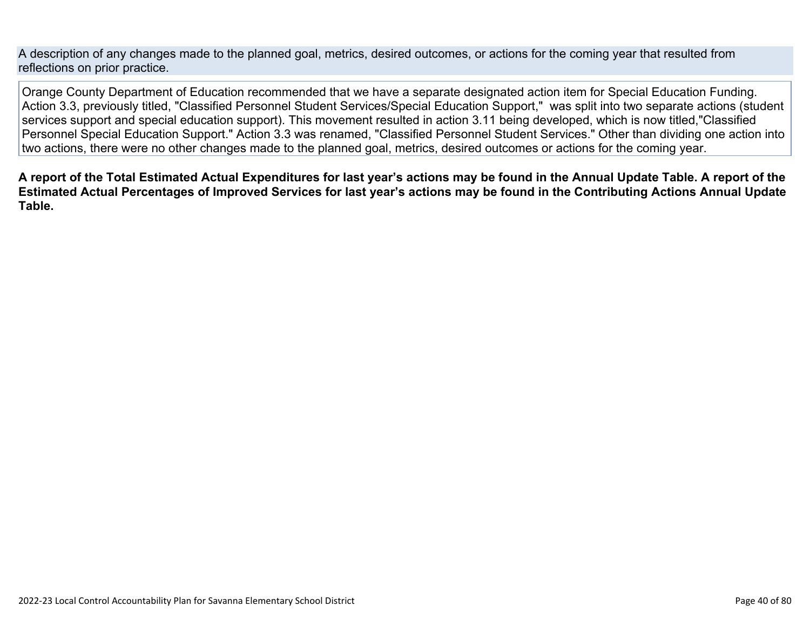A description of any changes made to the planned goal, metrics, desired outcomes, or actions for the coming year that resulted from reflections on prior practice.

Orange County Department of Education recommended that we have a separate designated action item for Special Education Funding. Action 3.3, previously titled, "Classified Personnel Student Services/Special Education Support," was split into two separate actions (student services support and special education support). This movement resulted in action 3.11 being developed, which is now titled,"Classified Personnel Special Education Support." Action 3.3 was renamed, "Classified Personnel Student Services." Other than dividing one action into two actions, there were no other changes made to the planned goal, metrics, desired outcomes or actions for the coming year.

**A report of the Total Estimated Actual Expenditures for last year's actions may be found in the Annual Update Table. A report of the Estimated Actual Percentages of Improved Services for last year's actions may be found in the Contributing Actions Annual Update Table.**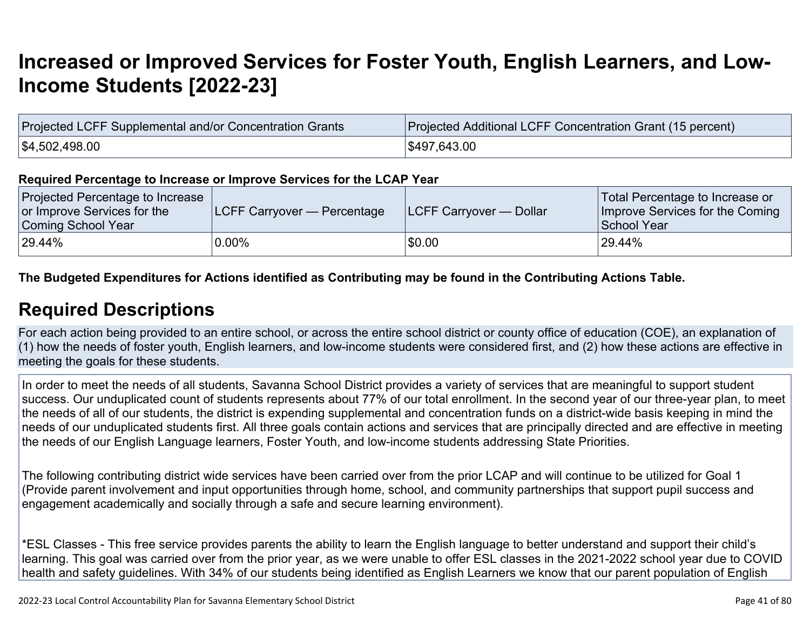## **[Increased or Improved Services for Foster Youth, English Learners, and Low-](http://www.doc-tracking.com/screenshots/22LCAP/Instructions/22LCAPInstructions.htm#IncreasedImprovedServices)[Income Students \[2022-23\]](http://www.doc-tracking.com/screenshots/22LCAP/Instructions/22LCAPInstructions.htm#IncreasedImprovedServices)**

| <b>Projected LCFF Supplemental and/or Concentration Grants</b> | Projected Additional LCFF Concentration Grant (15 percent) |
|----------------------------------------------------------------|------------------------------------------------------------|
| $\frac{1}{2}4,502,498.00$                                      | \$497,643.00                                               |

#### **Required Percentage to Increase or Improve Services for the LCAP Year**

| Projected Percentage to Increase<br>or Improve Services for the<br>Coming School Year | <b>ILCFF Carryover — Percentage</b> | <b>ILCFF Carryover — Dollar</b> | Total Percentage to Increase or<br>Improve Services for the Coming<br>School Year |
|---------------------------------------------------------------------------------------|-------------------------------------|---------------------------------|-----------------------------------------------------------------------------------|
| 29.44%                                                                                | $0.00\%$                            | \$0.00                          | '29.44%                                                                           |

**The Budgeted Expenditures for Actions identified as Contributing may be found in the Contributing Actions Table.**

### **[Required Descriptions](http://www.doc-tracking.com/screenshots/22LCAP/Instructions/22LCAPInstructions.htm#RequiredDescriptions)**

For each action being provided to an entire school, or across the entire school district or county office of education (COE), an explanation of (1) how the needs of foster youth, English learners, and low-income students were considered first, and (2) how these actions are effective in meeting the goals for these students.

In order to meet the needs of all students, Savanna School District provides a variety of services that are meaningful to support student success. Our unduplicated count of students represents about 77% of our total enrollment. In the second year of our three-year plan, to meet the needs of all of our students, the district is expending supplemental and concentration funds on a district-wide basis keeping in mind the needs of our unduplicated students first. All three goals contain actions and services that are principally directed and are effective in meeting the needs of our English Language learners, Foster Youth, and low-income students addressing State Priorities.

The following contributing district wide services have been carried over from the prior LCAP and will continue to be utilized for Goal 1 (Provide parent involvement and input opportunities through home, school, and community partnerships that support pupil success and engagement academically and socially through a safe and secure learning environment).

\*ESL Classes - This free service provides parents the ability to learn the English language to better understand and support their child's learning. This goal was carried over from the prior year, as we were unable to offer ESL classes in the 2021-2022 school year due to COVID health and safety guidelines. With 34% of our students being identified as English Learners we know that our parent population of English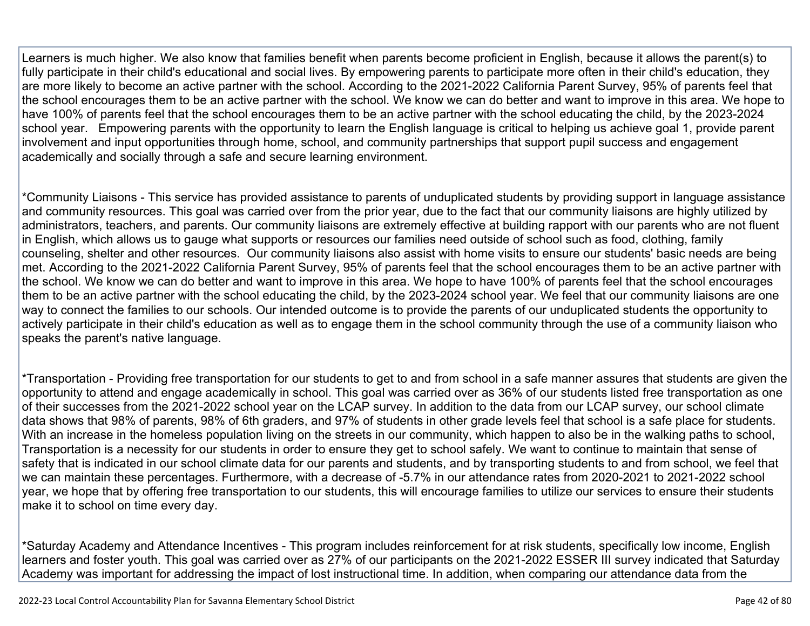Learners is much higher. We also know that families benefit when parents become proficient in English, because it allows the parent(s) to fully participate in their child's educational and social lives. By empowering parents to participate more often in their child's education, they are more likely to become an active partner with the school. According to the 2021-2022 California Parent Survey, 95% of parents feel that the school encourages them to be an active partner with the school. We know we can do better and want to improve in this area. We hope to have 100% of parents feel that the school encourages them to be an active partner with the school educating the child, by the 2023-2024 school year. Empowering parents with the opportunity to learn the English language is critical to helping us achieve goal 1, provide parent involvement and input opportunities through home, school, and community partnerships that support pupil success and engagement academically and socially through a safe and secure learning environment.

\*Community Liaisons - This service has provided assistance to parents of unduplicated students by providing support in language assistance and community resources. This goal was carried over from the prior year, due to the fact that our community liaisons are highly utilized by administrators, teachers, and parents. Our community liaisons are extremely effective at building rapport with our parents who are not fluent in English, which allows us to gauge what supports or resources our families need outside of school such as food, clothing, family counseling, shelter and other resources. Our community liaisons also assist with home visits to ensure our students' basic needs are being met. According to the 2021-2022 California Parent Survey, 95% of parents feel that the school encourages them to be an active partner with the school. We know we can do better and want to improve in this area. We hope to have 100% of parents feel that the school encourages them to be an active partner with the school educating the child, by the 2023-2024 school year. We feel that our community liaisons are one way to connect the families to our schools. Our intended outcome is to provide the parents of our unduplicated students the opportunity to actively participate in their child's education as well as to engage them in the school community through the use of a community liaison who speaks the parent's native language.

\*Transportation - Providing free transportation for our students to get to and from school in a safe manner assures that students are given the opportunity to attend and engage academically in school. This goal was carried over as 36% of our students listed free transportation as one of their successes from the 2021-2022 school year on the LCAP survey. In addition to the data from our LCAP survey, our school climate data shows that 98% of parents, 98% of 6th graders, and 97% of students in other grade levels feel that school is a safe place for students. With an increase in the homeless population living on the streets in our community, which happen to also be in the walking paths to school, Transportation is a necessity for our students in order to ensure they get to school safely. We want to continue to maintain that sense of safety that is indicated in our school climate data for our parents and students, and by transporting students to and from school, we feel that we can maintain these percentages. Furthermore, with a decrease of -5.7% in our attendance rates from 2020-2021 to 2021-2022 school year, we hope that by offering free transportation to our students, this will encourage families to utilize our services to ensure their students make it to school on time every day.

\*Saturday Academy and Attendance Incentives - This program includes reinforcement for at risk students, specifically low income, English learners and foster youth. This goal was carried over as 27% of our participants on the 2021-2022 ESSER III survey indicated that Saturday Academy was important for addressing the impact of lost instructional time. In addition, when comparing our attendance data from the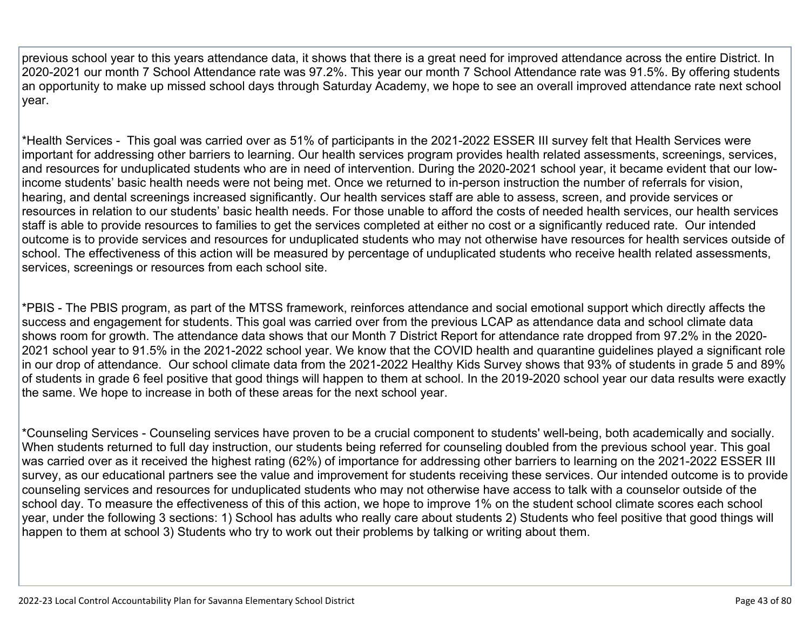previous school year to this years attendance data, it shows that there is a great need for improved attendance across the entire District. In 2020-2021 our month 7 School Attendance rate was 97.2%. This year our month 7 School Attendance rate was 91.5%. By offering students an opportunity to make up missed school days through Saturday Academy, we hope to see an overall improved attendance rate next school year.

\*Health Services - This goal was carried over as 51% of participants in the 2021-2022 ESSER III survey felt that Health Services were important for addressing other barriers to learning. Our health services program provides health related assessments, screenings, services, and resources for unduplicated students who are in need of intervention. During the 2020-2021 school year, it became evident that our lowincome students' basic health needs were not being met. Once we returned to in-person instruction the number of referrals for vision, hearing, and dental screenings increased significantly. Our health services staff are able to assess, screen, and provide services or resources in relation to our students' basic health needs. For those unable to afford the costs of needed health services, our health services staff is able to provide resources to families to get the services completed at either no cost or a significantly reduced rate. Our intended outcome is to provide services and resources for unduplicated students who may not otherwise have resources for health services outside of school. The effectiveness of this action will be measured by percentage of unduplicated students who receive health related assessments, services, screenings or resources from each school site.

\*PBIS - The PBIS program, as part of the MTSS framework, reinforces attendance and social emotional support which directly affects the success and engagement for students. This goal was carried over from the previous LCAP as attendance data and school climate data shows room for growth. The attendance data shows that our Month 7 District Report for attendance rate dropped from 97.2% in the 2020- 2021 school year to 91.5% in the 2021-2022 school year. We know that the COVID health and quarantine guidelines played a significant role in our drop of attendance. Our school climate data from the 2021-2022 Healthy Kids Survey shows that 93% of students in grade 5 and 89% of students in grade 6 feel positive that good things will happen to them at school. In the 2019-2020 school year our data results were exactly the same. We hope to increase in both of these areas for the next school year.

\*Counseling Services - Counseling services have proven to be a crucial component to students' well-being, both academically and socially. When students returned to full day instruction, our students being referred for counseling doubled from the previous school year. This goal was carried over as it received the highest rating (62%) of importance for addressing other barriers to learning on the 2021-2022 ESSER III survey, as our educational partners see the value and improvement for students receiving these services. Our intended outcome is to provide counseling services and resources for unduplicated students who may not otherwise have access to talk with a counselor outside of the school day. To measure the effectiveness of this of this action, we hope to improve 1% on the student school climate scores each school year, under the following 3 sections: 1) School has adults who really care about students 2) Students who feel positive that good things will happen to them at school 3) Students who try to work out their problems by talking or writing about them.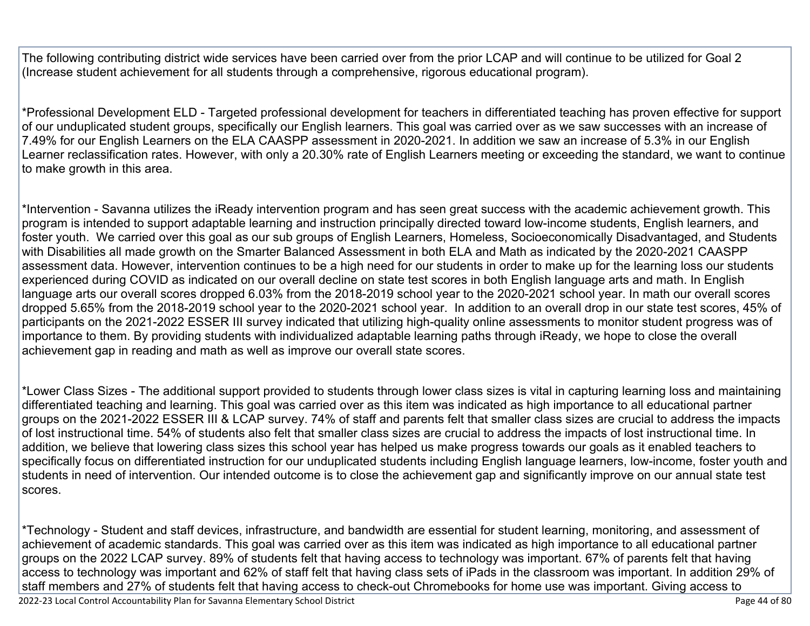The following contributing district wide services have been carried over from the prior LCAP and will continue to be utilized for Goal 2 (Increase student achievement for all students through a comprehensive, rigorous educational program).

\*Professional Development ELD - Targeted professional development for teachers in differentiated teaching has proven effective for support of our unduplicated student groups, specifically our English learners. This goal was carried over as we saw successes with an increase of 7.49% for our English Learners on the ELA CAASPP assessment in 2020-2021. In addition we saw an increase of 5.3% in our English Learner reclassification rates. However, with only a 20.30% rate of English Learners meeting or exceeding the standard, we want to continue to make growth in this area.

\*Intervention - Savanna utilizes the iReady intervention program and has seen great success with the academic achievement growth. This program is intended to support adaptable learning and instruction principally directed toward low-income students, English learners, and foster youth. We carried over this goal as our sub groups of English Learners, Homeless, Socioeconomically Disadvantaged, and Students with Disabilities all made growth on the Smarter Balanced Assessment in both ELA and Math as indicated by the 2020-2021 CAASPP assessment data. However, intervention continues to be a high need for our students in order to make up for the learning loss our students experienced during COVID as indicated on our overall decline on state test scores in both English language arts and math. In English language arts our overall scores dropped 6.03% from the 2018-2019 school year to the 2020-2021 school year. In math our overall scores dropped 5.65% from the 2018-2019 school year to the 2020-2021 school year. In addition to an overall drop in our state test scores, 45% of participants on the 2021-2022 ESSER III survey indicated that utilizing high-quality online assessments to monitor student progress was of importance to them. By providing students with individualized adaptable learning paths through iReady, we hope to close the overall achievement gap in reading and math as well as improve our overall state scores.

\*Lower Class Sizes - The additional support provided to students through lower class sizes is vital in capturing learning loss and maintaining differentiated teaching and learning. This goal was carried over as this item was indicated as high importance to all educational partner groups on the 2021-2022 ESSER III & LCAP survey. 74% of staff and parents felt that smaller class sizes are crucial to address the impacts of lost instructional time. 54% of students also felt that smaller class sizes are crucial to address the impacts of lost instructional time. In addition, we believe that lowering class sizes this school year has helped us make progress towards our goals as it enabled teachers to specifically focus on differentiated instruction for our unduplicated students including English language learners, low-income, foster youth and students in need of intervention. Our intended outcome is to close the achievement gap and significantly improve on our annual state test scores.

\*Technology - Student and staff devices, infrastructure, and bandwidth are essential for student learning, monitoring, and assessment of achievement of academic standards. This goal was carried over as this item was indicated as high importance to all educational partner groups on the 2022 LCAP survey. 89% of students felt that having access to technology was important. 67% of parents felt that having access to technology was important and 62% of staff felt that having class sets of iPads in the classroom was important. In addition 29% of staff members and 27% of students felt that having access to check-out Chromebooks for home use was important. Giving access to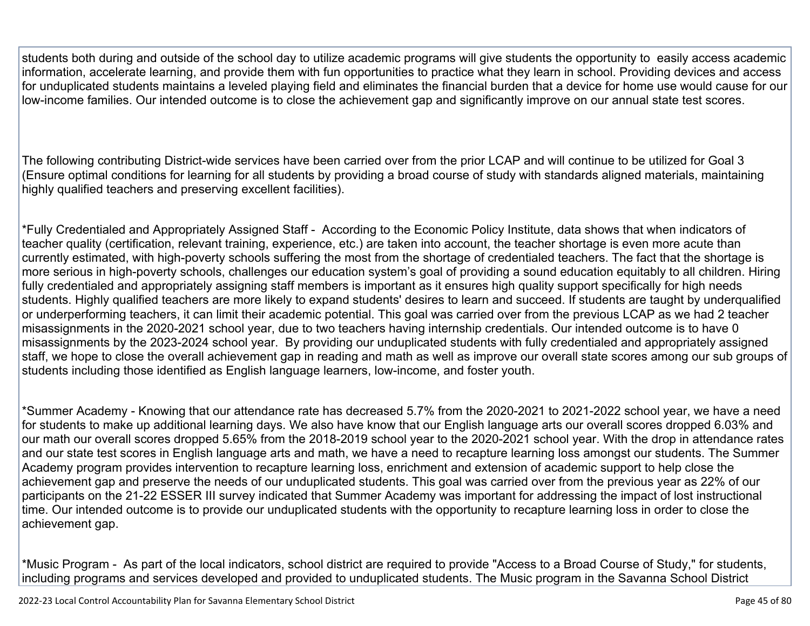students both during and outside of the school day to utilize academic programs will give students the opportunity to easily access academic information, accelerate learning, and provide them with fun opportunities to practice what they learn in school. Providing devices and access for unduplicated students maintains a leveled playing field and eliminates the financial burden that a device for home use would cause for our low-income families. Our intended outcome is to close the achievement gap and significantly improve on our annual state test scores.

The following contributing District-wide services have been carried over from the prior LCAP and will continue to be utilized for Goal 3 (Ensure optimal conditions for learning for all students by providing a broad course of study with standards aligned materials, maintaining highly qualified teachers and preserving excellent facilities).

\*Fully Credentialed and Appropriately Assigned Staff - According to the Economic Policy Institute, data shows that when indicators of teacher quality (certification, relevant training, experience, etc.) are taken into account, the teacher shortage is even more acute than currently estimated, with high-poverty schools suffering the most from the shortage of credentialed teachers. The fact that the shortage is more serious in high-poverty schools, challenges our education system's goal of providing a sound education equitably to all children. Hiring fully credentialed and appropriately assigning staff members is important as it ensures high quality support specifically for high needs students. Highly qualified teachers are more likely to expand students' desires to learn and succeed. If students are taught by underqualified or underperforming teachers, it can limit their academic potential. This goal was carried over from the previous LCAP as we had 2 teacher misassignments in the 2020-2021 school year, due to two teachers having internship credentials. Our intended outcome is to have 0 misassignments by the 2023-2024 school year. By providing our unduplicated students with fully credentialed and appropriately assigned staff, we hope to close the overall achievement gap in reading and math as well as improve our overall state scores among our sub groups of students including those identified as English language learners, low-income, and foster youth.

\*Summer Academy - Knowing that our attendance rate has decreased 5.7% from the 2020-2021 to 2021-2022 school year, we have a need for students to make up additional learning days. We also have know that our English language arts our overall scores dropped 6.03% and our math our overall scores dropped 5.65% from the 2018-2019 school year to the 2020-2021 school year. With the drop in attendance rates and our state test scores in English language arts and math, we have a need to recapture learning loss amongst our students. The Summer Academy program provides intervention to recapture learning loss, enrichment and extension of academic support to help close the achievement gap and preserve the needs of our unduplicated students. This goal was carried over from the previous year as 22% of our participants on the 21-22 ESSER III survey indicated that Summer Academy was important for addressing the impact of lost instructional time. Our intended outcome is to provide our unduplicated students with the opportunity to recapture learning loss in order to close the achievement gap.

\*Music Program - As part of the local indicators, school district are required to provide "Access to a Broad Course of Study," for students, including programs and services developed and provided to unduplicated students. The Music program in the Savanna School District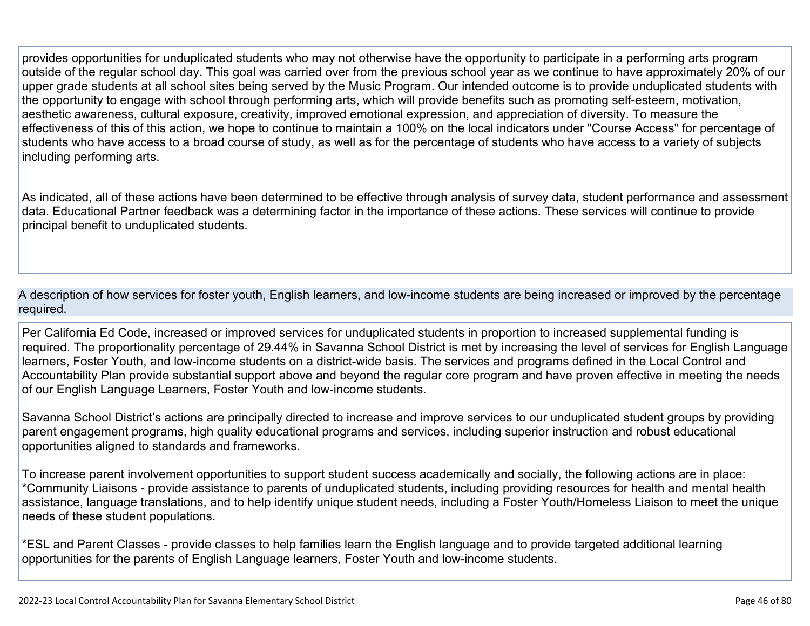provides opportunities for unduplicated students who may not otherwise have the opportunity to participate in a performing arts program outside of the regular school day. This goal was carried over from the previous school year as we continue to have approximately 20% of our upper grade students at all school sites being served by the Music Program. Our intended outcome is to provide unduplicated students with the opportunity to engage with school through performing arts, which will provide benefits such as promoting self-esteem, motivation, aesthetic awareness, cultural exposure, creativity, improved emotional expression, and appreciation of diversity. To measure the effectiveness of this of this action, we hope to continue to maintain a 100% on the local indicators under "Course Access" for percentage of students who have access to a broad course of study, as well as for the percentage of students who have access to a variety of subjects including performing arts.

As indicated, all of these actions have been determined to be effective through analysis of survey data, student performance and assessment data. Educational Partner feedback was a determining factor in the importance of these actions. These services will continue to provide principal benefit to unduplicated students.

A description of how services for foster youth, English learners, and low-income students are being increased or improved by the percentage required.

Per California Ed Code, increased or improved services for unduplicated students in proportion to increased supplemental funding is required. The proportionality percentage of 29.44% in Savanna School District is met by increasing the level of services for English Language learners, Foster Youth, and low-income students on a district-wide basis. The services and programs defined in the Local Control and Accountability Plan provide substantial support above and beyond the regular core program and have proven effective in meeting the needs of our English Language Learners, Foster Youth and low-income students.

Savanna School District's actions are principally directed to increase and improve services to our unduplicated student groups by providing parent engagement programs, high quality educational programs and services, including superior instruction and robust educational opportunities aligned to standards and frameworks.

To increase parent involvement opportunities to support student success academically and socially, the following actions are in place: \*Community Liaisons - provide assistance to parents of unduplicated students, including providing resources for health and mental health assistance, language translations, and to help identify unique student needs, including a Foster Youth/Homeless Liaison to meet the unique needs of these student populations.

\*ESL and Parent Classes - provide classes to help families learn the English language and to provide targeted additional learning opportunities for the parents of English Language learners, Foster Youth and low-income students.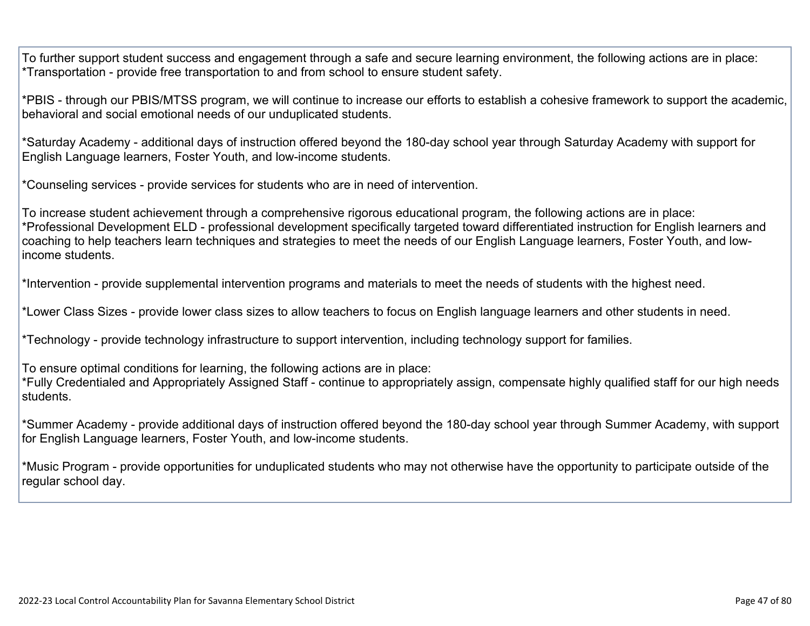To further support student success and engagement through a safe and secure learning environment, the following actions are in place: \*Transportation - provide free transportation to and from school to ensure student safety.

\*PBIS - through our PBIS/MTSS program, we will continue to increase our efforts to establish a cohesive framework to support the academic, behavioral and social emotional needs of our unduplicated students.

\*Saturday Academy - additional days of instruction offered beyond the 180-day school year through Saturday Academy with support for English Language learners, Foster Youth, and low-income students.

\*Counseling services - provide services for students who are in need of intervention.

To increase student achievement through a comprehensive rigorous educational program, the following actions are in place: \*Professional Development ELD - professional development specifically targeted toward differentiated instruction for English learners and coaching to help teachers learn techniques and strategies to meet the needs of our English Language learners, Foster Youth, and lowincome students.

\*Intervention - provide supplemental intervention programs and materials to meet the needs of students with the highest need.

\*Lower Class Sizes - provide lower class sizes to allow teachers to focus on English language learners and other students in need.

\*Technology - provide technology infrastructure to support intervention, including technology support for families.

To ensure optimal conditions for learning, the following actions are in place:

\*Fully Credentialed and Appropriately Assigned Staff - continue to appropriately assign, compensate highly qualified staff for our high needs students.

\*Summer Academy - provide additional days of instruction offered beyond the 180-day school year through Summer Academy, with support for English Language learners, Foster Youth, and low-income students.

\*Music Program - provide opportunities for unduplicated students who may not otherwise have the opportunity to participate outside of the regular school day.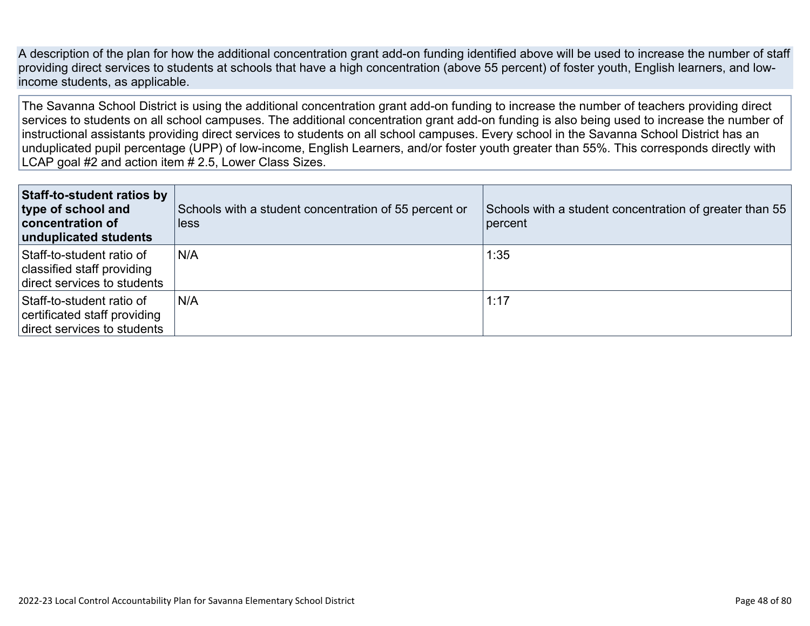A description of the plan for how the additional concentration grant add-on funding identified above will be used to increase the number of staff providing direct services to students at schools that have a high concentration (above 55 percent) of foster youth, English learners, and lowincome students, as applicable.

The Savanna School District is using the additional concentration grant add-on funding to increase the number of teachers providing direct services to students on all school campuses. The additional concentration grant add-on funding is also being used to increase the number of instructional assistants providing direct services to students on all school campuses. Every school in the Savanna School District has an unduplicated pupil percentage (UPP) of low-income, English Learners, and/or foster youth greater than 55%. This corresponds directly with LCAP goal #2 and action item # 2.5, Lower Class Sizes.

| Staff-to-student ratios by<br>type of school and<br><b>concentration of</b><br>unduplicated students | Schools with a student concentration of 55 percent or<br>less | Schools with a student concentration of greater than 55<br>percent |
|------------------------------------------------------------------------------------------------------|---------------------------------------------------------------|--------------------------------------------------------------------|
| Staff-to-student ratio of<br>classified staff providing<br>direct services to students               | N/A                                                           | 1:35                                                               |
| Staff-to-student ratio of<br>certificated staff providing<br>direct services to students             | N/A                                                           | 1:17                                                               |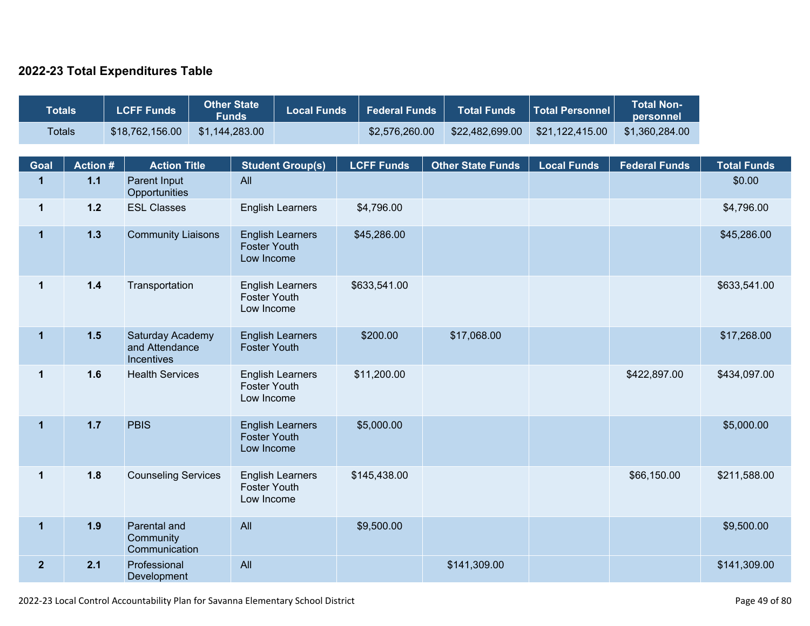### **2022-23 Total Expenditures Table**

| <b>Totals</b>  |                | <b>LCFF Funds</b>                                | <b>Other State</b><br><b>Funds</b> | <b>Local Funds</b>                                           | <b>Federal Funds</b> | <b>Total Funds</b>       | <b>Total Personnel</b> | <b>Total Non-</b><br>personnel |                    |
|----------------|----------------|--------------------------------------------------|------------------------------------|--------------------------------------------------------------|----------------------|--------------------------|------------------------|--------------------------------|--------------------|
| <b>Totals</b>  |                | \$18,762,156.00                                  | \$1,144,283.00                     |                                                              | \$2,576,260.00       | \$22,482,699.00          | \$21,122,415.00        | \$1,360,284.00                 |                    |
| Goal           | <b>Action#</b> | <b>Action Title</b>                              |                                    | <b>Student Group(s)</b>                                      | <b>LCFF Funds</b>    | <b>Other State Funds</b> | <b>Local Funds</b>     | <b>Federal Funds</b>           | <b>Total Funds</b> |
| $\mathbf{1}$   | $1.1$          | Parent Input<br>Opportunities                    | All                                |                                                              |                      |                          |                        |                                | \$0.00             |
| $\mathbf 1$    | $1.2$          | <b>ESL Classes</b>                               |                                    | <b>English Learners</b>                                      | \$4,796.00           |                          |                        |                                | \$4,796.00         |
| $\mathbf{1}$   | $1.3$          | <b>Community Liaisons</b>                        |                                    | <b>English Learners</b><br><b>Foster Youth</b><br>Low Income | \$45,286.00          |                          |                        |                                | \$45,286.00        |
| $\mathbf 1$    | $1.4$          | Transportation                                   |                                    | <b>English Learners</b><br><b>Foster Youth</b><br>Low Income | \$633,541.00         |                          |                        |                                | \$633,541.00       |
| $\mathbf{1}$   | $1.5$          | Saturday Academy<br>and Attendance<br>Incentives |                                    | <b>English Learners</b><br><b>Foster Youth</b>               | \$200.00             | \$17,068.00              |                        |                                | \$17,268.00        |
| $\mathbf 1$    | 1.6            | <b>Health Services</b>                           |                                    | <b>English Learners</b><br>Foster Youth<br>Low Income        | \$11,200.00          |                          |                        | \$422,897.00                   | \$434,097.00       |
| $\mathbf 1$    | 1.7            | <b>PBIS</b>                                      |                                    | <b>English Learners</b><br><b>Foster Youth</b><br>Low Income | \$5,000.00           |                          |                        |                                | \$5,000.00         |
| $\mathbf 1$    | 1.8            | <b>Counseling Services</b>                       |                                    | <b>English Learners</b><br><b>Foster Youth</b><br>Low Income | \$145,438.00         |                          |                        | \$66,150.00                    | \$211,588.00       |
| $\mathbf{1}$   | 1.9            | Parental and<br>Community<br>Communication       | All                                |                                                              | \$9,500.00           |                          |                        |                                | \$9,500.00         |
| $\overline{2}$ | 2.1            | Professional<br>Development                      | All                                |                                                              |                      | \$141,309.00             |                        |                                | \$141,309.00       |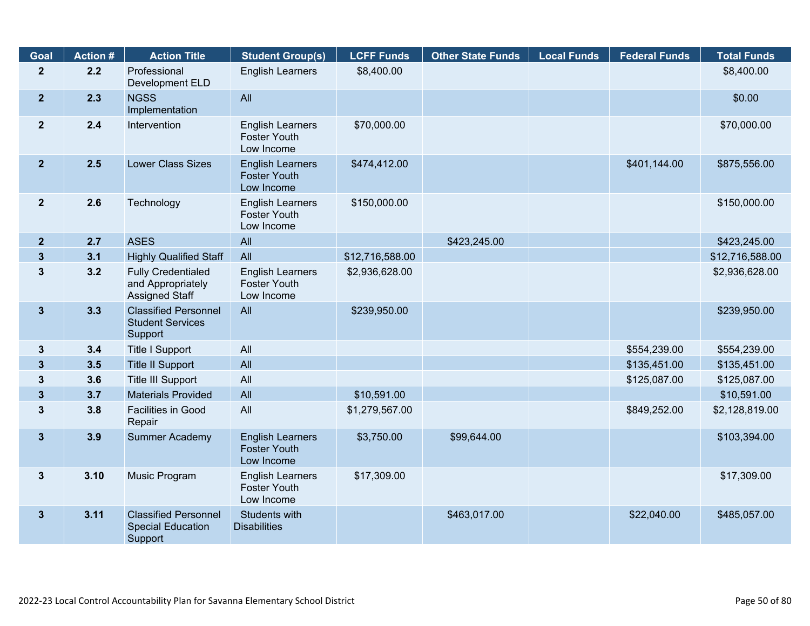| Goal                    | <b>Action #</b> | <b>Action Title</b>                                                     | <b>Student Group(s)</b>                                      | <b>LCFF Funds</b> | <b>Other State Funds</b> | <b>Local Funds</b> | <b>Federal Funds</b> | <b>Total Funds</b> |
|-------------------------|-----------------|-------------------------------------------------------------------------|--------------------------------------------------------------|-------------------|--------------------------|--------------------|----------------------|--------------------|
| $\overline{2}$          | 2.2             | Professional<br>Development ELD                                         | <b>English Learners</b>                                      | \$8,400.00        |                          |                    |                      | \$8,400.00         |
| 2 <sup>2</sup>          | 2.3             | <b>NGSS</b><br>Implementation                                           | All                                                          |                   |                          |                    |                      | \$0.00             |
| $\mathbf{2}$            | 2.4             | Intervention                                                            | <b>English Learners</b><br><b>Foster Youth</b><br>Low Income | \$70,000.00       |                          |                    |                      | \$70,000.00        |
| 2 <sup>2</sup>          | 2.5             | <b>Lower Class Sizes</b>                                                | <b>English Learners</b><br><b>Foster Youth</b><br>Low Income | \$474,412.00      |                          |                    | \$401,144.00         | \$875,556.00       |
| $\mathbf{2}$            | 2.6             | Technology                                                              | <b>English Learners</b><br><b>Foster Youth</b><br>Low Income | \$150,000.00      |                          |                    |                      | \$150,000.00       |
| $\mathbf{2}$            | 2.7             | <b>ASES</b>                                                             | All                                                          |                   | \$423,245.00             |                    |                      | \$423,245.00       |
| $\mathbf{3}$            | 3.1             | <b>Highly Qualified Staff</b>                                           | All                                                          | \$12,716,588.00   |                          |                    |                      | \$12,716,588.00    |
| $\overline{\mathbf{3}}$ | 3.2             | <b>Fully Credentialed</b><br>and Appropriately<br><b>Assigned Staff</b> | <b>English Learners</b><br><b>Foster Youth</b><br>Low Income | \$2,936,628.00    |                          |                    |                      | \$2,936,628.00     |
| $\mathbf{3}$            | 3.3             | <b>Classified Personnel</b><br><b>Student Services</b><br>Support       | All                                                          | \$239,950.00      |                          |                    |                      | \$239,950.00       |
| $\mathbf{3}$            | 3.4             | <b>Title I Support</b>                                                  | All                                                          |                   |                          |                    | \$554,239.00         | \$554,239.00       |
| $\overline{\mathbf{3}}$ | 3.5             | <b>Title II Support</b>                                                 | All                                                          |                   |                          |                    | \$135,451.00         | \$135,451.00       |
| 3                       | 3.6             | <b>Title III Support</b>                                                | All                                                          |                   |                          |                    | \$125,087.00         | \$125,087.00       |
| $\mathbf{3}$            | 3.7             | <b>Materials Provided</b>                                               | All                                                          | \$10,591.00       |                          |                    |                      | \$10,591.00        |
| 3                       | 3.8             | Facilities in Good<br>Repair                                            | All                                                          | \$1,279,567.00    |                          |                    | \$849,252.00         | \$2,128,819.00     |
| $\overline{\mathbf{3}}$ | 3.9             | Summer Academy                                                          | <b>English Learners</b><br><b>Foster Youth</b><br>Low Income | \$3,750.00        | \$99,644.00              |                    |                      | \$103,394.00       |
| $\mathbf{3}$            | 3.10            | Music Program                                                           | <b>English Learners</b><br><b>Foster Youth</b><br>Low Income | \$17,309.00       |                          |                    |                      | \$17,309.00        |
| $\mathbf{3}$            | 3.11            | <b>Classified Personnel</b><br><b>Special Education</b><br>Support      | Students with<br><b>Disabilities</b>                         |                   | \$463,017.00             |                    | \$22,040.00          | \$485,057.00       |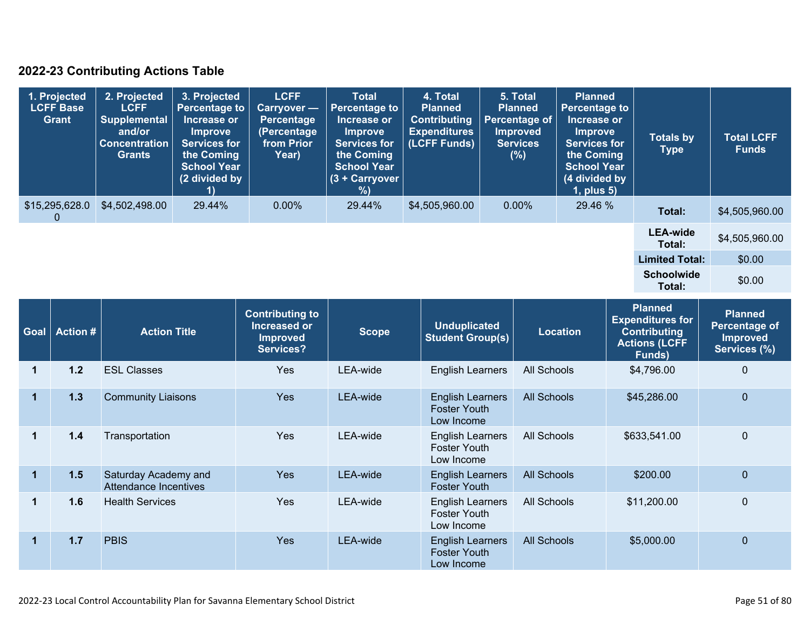### **2022-23 Contributing Actions Table**

| 1. Projected<br><b>LCFF Base</b><br>Grant | 2. Projected<br><b>LCFF</b><br>Supplemental<br>and/or<br><b>Concentration</b><br><b>Grants</b> | 3. Projected<br><b>Percentage to</b><br>Increase or<br><b>Improve</b><br><b>Services for</b><br>the Coming<br><b>School Year</b><br>(2 divided by | <b>LCFF</b><br>Carryover -<br>Percentage<br>(Percentage<br>from Prior<br>Year) | <b>Total</b><br><b>Percentage to</b><br>Increase or<br><b>Improve</b><br><b>Services for</b><br>the Coming<br><b>School Year</b><br>(3 + Carryover<br>$\%$ | 4. Total<br><b>Planned</b><br><b>Contributing</b><br><b>Expenditures</b><br>(LCFF Funds) | 5. Total<br><b>Planned</b><br><b>Percentage of</b><br><b>Improved</b><br><b>Services</b><br>(%) | <b>Planned</b><br><b>Percentage to</b><br>Increase or<br><b>Improve</b><br><b>Services for</b><br>the Coming<br><b>School Year</b><br>(4 divided by<br>$1$ , plus $5$ ) | <b>Totals by</b><br><b>Type</b> | <b>Total LCFF</b><br><b>Funds</b> |
|-------------------------------------------|------------------------------------------------------------------------------------------------|---------------------------------------------------------------------------------------------------------------------------------------------------|--------------------------------------------------------------------------------|------------------------------------------------------------------------------------------------------------------------------------------------------------|------------------------------------------------------------------------------------------|-------------------------------------------------------------------------------------------------|-------------------------------------------------------------------------------------------------------------------------------------------------------------------------|---------------------------------|-----------------------------------|
| \$15,295,628.0<br>0                       | \$4,502,498.00                                                                                 | 29.44%                                                                                                                                            | $0.00\%$                                                                       | 29.44%                                                                                                                                                     | \$4,505,960.00                                                                           | $0.00\%$                                                                                        | 29.46 %                                                                                                                                                                 | Total:                          | \$4,505,960.00                    |
|                                           |                                                                                                |                                                                                                                                                   |                                                                                |                                                                                                                                                            |                                                                                          |                                                                                                 |                                                                                                                                                                         | <b>LEA-wide</b><br>Total:       | \$4,505,960.00                    |
|                                           |                                                                                                |                                                                                                                                                   |                                                                                |                                                                                                                                                            |                                                                                          |                                                                                                 |                                                                                                                                                                         | <b>Limited Total:</b>           | \$0.00                            |
|                                           |                                                                                                |                                                                                                                                                   |                                                                                |                                                                                                                                                            |                                                                                          |                                                                                                 |                                                                                                                                                                         | <b>Schoolwide</b><br>Total:     | \$0.00                            |

| Goal        | <b>Action #</b> | <b>Action Title</b>                           | <b>Contributing to</b><br>Increased or<br><b>Improved</b><br>Services? | <b>Scope</b> | <b>Unduplicated</b><br><b>Student Group(s)</b>               | <b>Location</b>    | <b>Planned</b><br><b>Expenditures for</b><br><b>Contributing</b><br><b>Actions (LCFF</b><br>Funds) | <b>Planned</b><br><b>Percentage of</b><br><b>Improved</b><br>Services (%) |
|-------------|-----------------|-----------------------------------------------|------------------------------------------------------------------------|--------------|--------------------------------------------------------------|--------------------|----------------------------------------------------------------------------------------------------|---------------------------------------------------------------------------|
| 1           | 1.2             | <b>ESL Classes</b>                            | Yes                                                                    | LEA-wide     | <b>English Learners</b>                                      | All Schools        | \$4,796.00                                                                                         | $\mathbf 0$                                                               |
| 1           | 1.3             | <b>Community Liaisons</b>                     | <b>Yes</b>                                                             | LEA-wide     | <b>English Learners</b><br><b>Foster Youth</b><br>Low Income | <b>All Schools</b> | \$45,286.00                                                                                        | $\mathbf 0$                                                               |
| 1           | $1.4$           | Transportation                                | Yes                                                                    | LEA-wide     | <b>English Learners</b><br><b>Foster Youth</b><br>Low Income | All Schools        | \$633,541.00                                                                                       | $\pmb{0}$                                                                 |
| $\mathbf 1$ | 1.5             | Saturday Academy and<br>Attendance Incentives | <b>Yes</b>                                                             | LEA-wide     | <b>English Learners</b><br><b>Foster Youth</b>               | <b>All Schools</b> | \$200.00                                                                                           | $\mathbf 0$                                                               |
| 1           | 1.6             | <b>Health Services</b>                        | Yes                                                                    | LEA-wide     | <b>English Learners</b><br><b>Foster Youth</b><br>Low Income | All Schools        | \$11,200.00                                                                                        | $\pmb{0}$                                                                 |
| 1           | 1.7             | <b>PBIS</b>                                   | <b>Yes</b>                                                             | LEA-wide     | <b>English Learners</b><br><b>Foster Youth</b><br>Low Income | <b>All Schools</b> | \$5,000.00                                                                                         | $\mathbf 0$                                                               |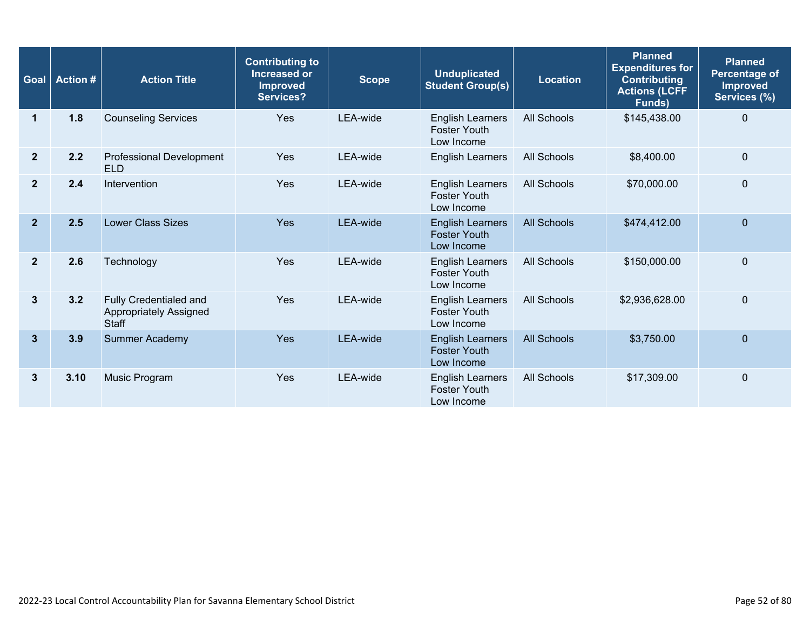| Goal           | <b>Action #</b> | <b>Action Title</b>                                              | <b>Contributing to</b><br>Increased or<br><b>Improved</b><br><b>Services?</b> | <b>Scope</b>    | <b>Unduplicated</b><br><b>Student Group(s)</b>               | <b>Location</b>    | <b>Planned</b><br><b>Expenditures for</b><br><b>Contributing</b><br><b>Actions (LCFF</b><br><b>Funds</b> ) | <b>Planned</b><br><b>Percentage of</b><br><b>Improved</b><br>Services (%) |
|----------------|-----------------|------------------------------------------------------------------|-------------------------------------------------------------------------------|-----------------|--------------------------------------------------------------|--------------------|------------------------------------------------------------------------------------------------------------|---------------------------------------------------------------------------|
| $\mathbf 1$    | 1.8             | <b>Counseling Services</b>                                       | Yes                                                                           | LEA-wide        | <b>English Learners</b><br><b>Foster Youth</b><br>Low Income | <b>All Schools</b> | \$145,438.00                                                                                               | $\mathbf 0$                                                               |
| $\overline{2}$ | 2.2             | <b>Professional Development</b><br><b>ELD</b>                    | Yes                                                                           | LEA-wide        | <b>English Learners</b>                                      | <b>All Schools</b> | \$8,400.00                                                                                                 | $\pmb{0}$                                                                 |
| $\overline{2}$ | 2.4             | Intervention                                                     | Yes                                                                           | LEA-wide        | <b>English Learners</b><br><b>Foster Youth</b><br>Low Income | <b>All Schools</b> | \$70,000.00                                                                                                | $\mathbf 0$                                                               |
| $\overline{2}$ | 2.5             | <b>Lower Class Sizes</b>                                         | Yes                                                                           | <b>LEA-wide</b> | <b>English Learners</b><br><b>Foster Youth</b><br>Low Income | <b>All Schools</b> | \$474,412.00                                                                                               | $\mathbf{0}$                                                              |
| $\overline{2}$ | 2.6             | Technology                                                       | Yes                                                                           | LEA-wide        | <b>English Learners</b><br><b>Foster Youth</b><br>Low Income | <b>All Schools</b> | \$150,000.00                                                                                               | $\mathbf 0$                                                               |
| $\mathbf{3}$   | 3.2             | Fully Credentialed and<br>Appropriately Assigned<br><b>Staff</b> | Yes                                                                           | LEA-wide        | <b>English Learners</b><br><b>Foster Youth</b><br>Low Income | <b>All Schools</b> | \$2,936,628.00                                                                                             | $\mathbf 0$                                                               |
| $\mathbf{3}$   | 3.9             | Summer Academy                                                   | Yes                                                                           | <b>LEA-wide</b> | <b>English Learners</b><br><b>Foster Youth</b><br>Low Income | <b>All Schools</b> | \$3,750.00                                                                                                 | $\mathbf{0}$                                                              |
| $\mathbf{3}$   | 3.10            | Music Program                                                    | Yes                                                                           | LEA-wide        | <b>English Learners</b><br><b>Foster Youth</b><br>Low Income | All Schools        | \$17,309.00                                                                                                | $\mathbf 0$                                                               |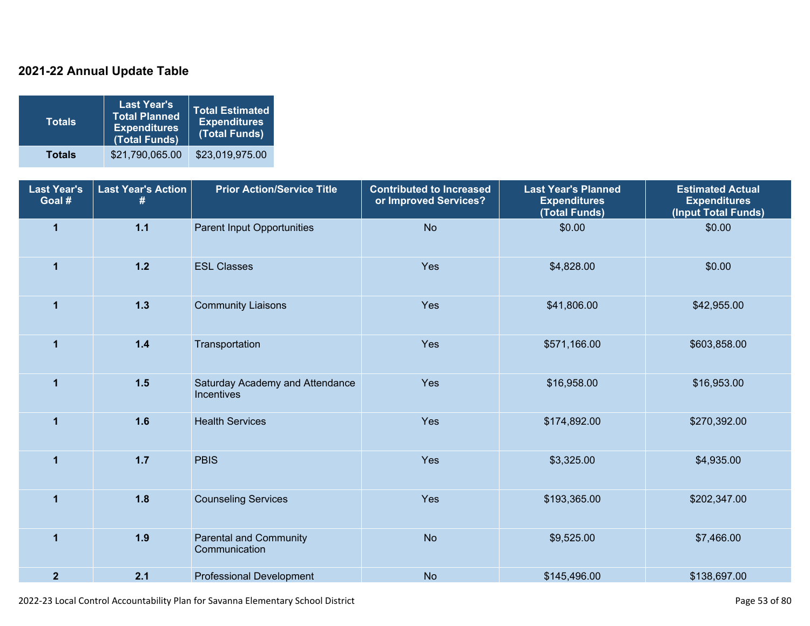### **2021-22 Annual Update Table**

| <b>Totals</b> | <b>Last Year's</b><br><b>Total Planned</b><br><b>Expenditures</b><br>(Total Funds) | <b>Total Estimated</b><br><b>Expenditures</b><br>(Total Funds) |
|---------------|------------------------------------------------------------------------------------|----------------------------------------------------------------|
| <b>Totals</b> | \$21,790,065.00                                                                    | \$23,019,975.00                                                |

| <b>Last Year's</b><br>Goal # | <b>Last Year's Action</b><br># | <b>Prior Action/Service Title</b>              | <b>Contributed to Increased</b><br>or Improved Services? | <b>Last Year's Planned</b><br><b>Expenditures</b><br>(Total Funds) | <b>Estimated Actual</b><br><b>Expenditures</b><br>(Input Total Funds) |
|------------------------------|--------------------------------|------------------------------------------------|----------------------------------------------------------|--------------------------------------------------------------------|-----------------------------------------------------------------------|
| $\overline{1}$               | $1.1$                          | Parent Input Opportunities                     | <b>No</b>                                                | \$0.00                                                             | \$0.00                                                                |
| $\mathbf{1}$                 | $1.2$                          | <b>ESL Classes</b>                             | Yes                                                      | \$4,828.00                                                         | \$0.00                                                                |
| $\overline{1}$               | $1.3$                          | <b>Community Liaisons</b>                      | Yes                                                      | \$41,806.00                                                        | \$42,955.00                                                           |
| $\blacktriangleleft$         | $1.4$                          | Transportation                                 | Yes                                                      | \$571,166.00                                                       | \$603,858.00                                                          |
| $\mathbf{1}$                 | $1.5$                          | Saturday Academy and Attendance<br>Incentives  | Yes                                                      | \$16,958.00                                                        | \$16,953.00                                                           |
| $\overline{1}$               | 1.6                            | <b>Health Services</b>                         | Yes                                                      | \$174,892.00                                                       | \$270,392.00                                                          |
| $\mathbf{1}$                 | $1.7$                          | <b>PBIS</b>                                    | Yes                                                      | \$3,325.00                                                         | \$4,935.00                                                            |
| $\blacktriangleleft$         | 1.8                            | <b>Counseling Services</b>                     | Yes                                                      | \$193,365.00                                                       | \$202,347.00                                                          |
| $\overline{1}$               | 1.9                            | <b>Parental and Community</b><br>Communication | <b>No</b>                                                | \$9,525.00                                                         | \$7,466.00                                                            |
| $\overline{2}$               | 2.1                            | <b>Professional Development</b>                | <b>No</b>                                                | \$145,496.00                                                       | \$138,697.00                                                          |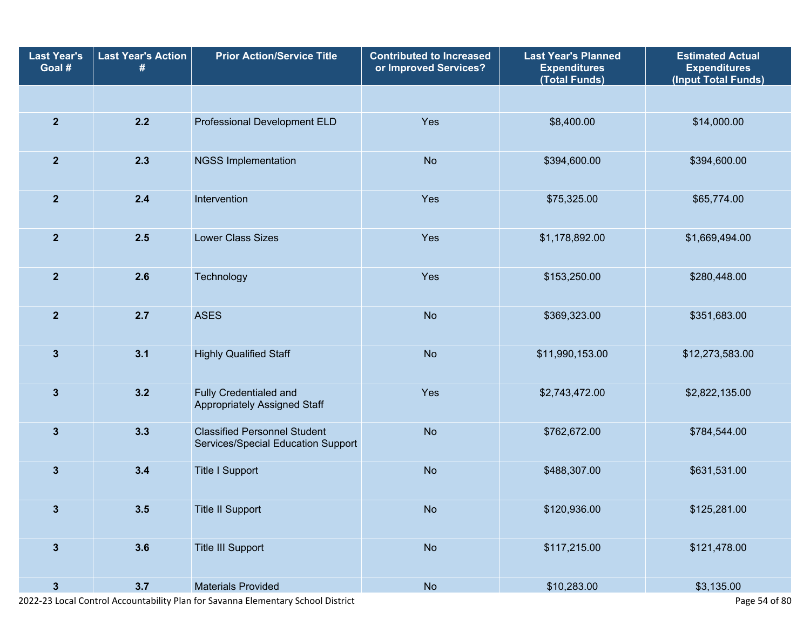| <b>Last Year's</b><br>Goal # | <b>Last Year's Action</b><br># | <b>Prior Action/Service Title</b>                                         | <b>Contributed to Increased</b><br>or Improved Services? | <b>Last Year's Planned</b><br><b>Expenditures</b><br>(Total Funds) | <b>Estimated Actual</b><br><b>Expenditures</b><br>(Input Total Funds) |
|------------------------------|--------------------------------|---------------------------------------------------------------------------|----------------------------------------------------------|--------------------------------------------------------------------|-----------------------------------------------------------------------|
|                              |                                |                                                                           |                                                          |                                                                    |                                                                       |
| $\overline{2}$               | 2.2                            | Professional Development ELD                                              | Yes                                                      | \$8,400.00                                                         | \$14,000.00                                                           |
| $\overline{2}$               | 2.3                            | <b>NGSS Implementation</b>                                                | <b>No</b>                                                | \$394,600.00                                                       | \$394,600.00                                                          |
| $\overline{2}$               | 2.4                            | Intervention                                                              | Yes                                                      | \$75,325.00                                                        | \$65,774.00                                                           |
| $\overline{2}$               | 2.5                            | <b>Lower Class Sizes</b>                                                  | Yes                                                      | \$1,178,892.00                                                     | \$1,669,494.00                                                        |
| $\overline{2}$               | 2.6                            | Technology                                                                | Yes                                                      | \$153,250.00                                                       | \$280,448.00                                                          |
| $\overline{2}$               | 2.7                            | <b>ASES</b>                                                               | <b>No</b>                                                | \$369,323.00                                                       | \$351,683.00                                                          |
| $\mathbf{3}$                 | 3.1                            | <b>Highly Qualified Staff</b>                                             | <b>No</b>                                                | \$11,990,153.00                                                    | \$12,273,583.00                                                       |
| $\mathbf{3}$                 | 3.2                            | Fully Credentialed and<br><b>Appropriately Assigned Staff</b>             | Yes                                                      | \$2,743,472.00                                                     | \$2,822,135.00                                                        |
| $\mathbf{3}$                 | 3.3                            | <b>Classified Personnel Student</b><br>Services/Special Education Support | <b>No</b>                                                | \$762,672.00                                                       | \$784,544.00                                                          |
| $\mathbf{3}$                 | 3.4                            | <b>Title I Support</b>                                                    | <b>No</b>                                                | \$488,307.00                                                       | \$631,531.00                                                          |
| $\mathbf{3}$                 | 3.5                            | <b>Title II Support</b>                                                   | <b>No</b>                                                | \$120,936.00                                                       | \$125,281.00                                                          |
| $\mathbf{3}$                 | 3.6                            | <b>Title III Support</b>                                                  | No                                                       | \$117,215.00                                                       | \$121,478.00                                                          |
| $\mathbf{3}$                 | 3.7                            | <b>Materials Provided</b>                                                 | <b>No</b>                                                | \$10,283.00                                                        | \$3,135.00                                                            |

2022-23 Local Control Accountability Plan for Savanna Elementary School District Page 54 of 80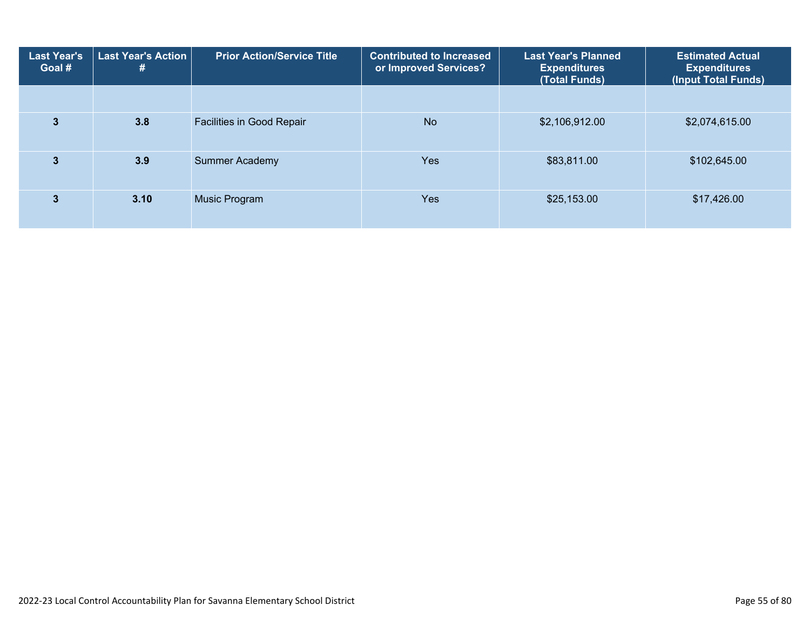| <b>Last Year's</b><br>Goal # | <b>Last Year's Action</b><br># | <b>Prior Action/Service Title</b> | <b>Contributed to Increased</b><br>or Improved Services? | <b>Last Year's Planned</b><br><b>Expenditures</b><br>(Total Funds) | <b>Estimated Actual</b><br><b>Expenditures</b><br>(Input Total Funds) |
|------------------------------|--------------------------------|-----------------------------------|----------------------------------------------------------|--------------------------------------------------------------------|-----------------------------------------------------------------------|
|                              |                                |                                   |                                                          |                                                                    |                                                                       |
| $\mathbf{3}$                 | 3.8                            | Facilities in Good Repair         | <b>No</b>                                                | \$2,106,912.00                                                     | \$2,074,615.00                                                        |
| $\mathbf{3}$                 | 3.9                            | Summer Academy                    | Yes                                                      | \$83,811.00                                                        | \$102,645.00                                                          |
| 3                            | 3.10                           | Music Program                     | Yes                                                      | \$25,153.00                                                        | \$17,426.00                                                           |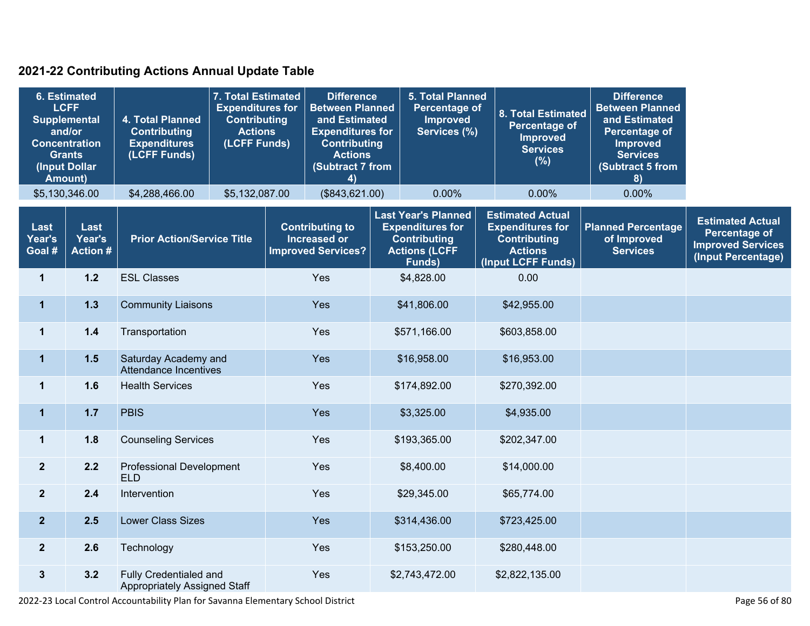### **2021-22 Contributing Actions Annual Update Table**

| Amount)                  | <b>6. Estimated</b><br><b>LCFF</b><br><b>Supplemental</b><br>and/or<br><b>Concentration</b><br><b>Grants</b><br>(Input Dollar | 4. Total Planned<br><b>Contributing</b><br><b>Expenditures</b><br>(LCFF Funds) | 7. Total Estimated<br><b>Expenditures for</b><br><b>Contributing</b><br><b>Actions</b><br>(LCFF Funds) | <b>Difference</b><br><b>Between Planned</b><br>and Estimated<br><b>Contributing</b><br><b>Actions</b><br>4) | <b>Expenditures for</b><br>(Subtract 7 from | <b>5. Total Planned</b><br><b>Percentage of</b><br><b>Improved</b><br>Services (%)                             | 8. Total Estimated<br><b>Percentage of</b><br><b>Improved</b><br><b>Services</b><br>(%)                           | <b>Difference</b><br><b>Between Planned</b><br>and Estimated<br><b>Percentage of</b><br><b>Improved</b><br><b>Services</b><br>(Subtract 5 from<br>8) |                                                                                                   |
|--------------------------|-------------------------------------------------------------------------------------------------------------------------------|--------------------------------------------------------------------------------|--------------------------------------------------------------------------------------------------------|-------------------------------------------------------------------------------------------------------------|---------------------------------------------|----------------------------------------------------------------------------------------------------------------|-------------------------------------------------------------------------------------------------------------------|------------------------------------------------------------------------------------------------------------------------------------------------------|---------------------------------------------------------------------------------------------------|
|                          | \$5,130,346.00                                                                                                                | \$4,288,466.00                                                                 | \$5,132,087.00                                                                                         | (\$843,621.00)                                                                                              |                                             | 0.00%                                                                                                          | 0.00%                                                                                                             | 0.00%                                                                                                                                                |                                                                                                   |
| Last<br>Year's<br>Goal # | Last<br>Year's<br><b>Action #</b>                                                                                             | <b>Prior Action/Service Title</b>                                              |                                                                                                        | <b>Contributing to</b><br><b>Increased or</b><br><b>Improved Services?</b>                                  |                                             | <b>Last Year's Planned</b><br><b>Expenditures for</b><br><b>Contributing</b><br><b>Actions (LCFF</b><br>Funds) | <b>Estimated Actual</b><br><b>Expenditures for</b><br><b>Contributing</b><br><b>Actions</b><br>(Input LCFF Funds) | <b>Planned Percentage</b><br>of Improved<br><b>Services</b>                                                                                          | <b>Estimated Actual</b><br><b>Percentage of</b><br><b>Improved Services</b><br>(Input Percentage) |
| 1                        | $1.2$                                                                                                                         | <b>ESL Classes</b>                                                             |                                                                                                        | Yes                                                                                                         |                                             | \$4,828.00                                                                                                     | 0.00                                                                                                              |                                                                                                                                                      |                                                                                                   |
| $\mathbf{1}$             | $1.3$                                                                                                                         | <b>Community Liaisons</b>                                                      |                                                                                                        | Yes                                                                                                         |                                             | \$41,806.00                                                                                                    | \$42,955.00                                                                                                       |                                                                                                                                                      |                                                                                                   |
| 1                        | $1.4$                                                                                                                         | Transportation                                                                 |                                                                                                        | Yes                                                                                                         |                                             | \$571,166.00                                                                                                   | \$603,858.00                                                                                                      |                                                                                                                                                      |                                                                                                   |
| $\mathbf 1$              | 1.5                                                                                                                           | Saturday Academy and<br>Attendance Incentives                                  |                                                                                                        | Yes                                                                                                         |                                             | \$16,958.00                                                                                                    | \$16,953.00                                                                                                       |                                                                                                                                                      |                                                                                                   |
| 1                        | 1.6                                                                                                                           | <b>Health Services</b>                                                         |                                                                                                        | Yes                                                                                                         |                                             | \$174,892.00                                                                                                   | \$270,392.00                                                                                                      |                                                                                                                                                      |                                                                                                   |
| $\mathbf 1$              | $1.7$                                                                                                                         | <b>PBIS</b>                                                                    |                                                                                                        | Yes                                                                                                         |                                             | \$3,325.00                                                                                                     | \$4,935.00                                                                                                        |                                                                                                                                                      |                                                                                                   |
| $\mathbf 1$              | 1.8                                                                                                                           | <b>Counseling Services</b>                                                     |                                                                                                        | Yes                                                                                                         |                                             | \$193,365.00                                                                                                   | \$202,347.00                                                                                                      |                                                                                                                                                      |                                                                                                   |
| $2^{\circ}$              | 2.2                                                                                                                           | Professional Development<br><b>ELD</b>                                         |                                                                                                        | Yes                                                                                                         |                                             | \$8,400.00                                                                                                     | \$14,000.00                                                                                                       |                                                                                                                                                      |                                                                                                   |
| $2^{\circ}$              | 2.4                                                                                                                           | Intervention                                                                   |                                                                                                        | Yes                                                                                                         |                                             | \$29,345.00                                                                                                    | \$65,774.00                                                                                                       |                                                                                                                                                      |                                                                                                   |
| 2 <sub>2</sub>           | 2.5                                                                                                                           | <b>Lower Class Sizes</b>                                                       |                                                                                                        | Yes                                                                                                         |                                             | \$314,436.00                                                                                                   | \$723,425.00                                                                                                      |                                                                                                                                                      |                                                                                                   |
| 2 <sup>2</sup>           | 2.6                                                                                                                           | Technology                                                                     |                                                                                                        | Yes                                                                                                         |                                             | \$153,250.00                                                                                                   | \$280,448.00                                                                                                      |                                                                                                                                                      |                                                                                                   |
| 3                        | 3.2                                                                                                                           | Fully Credentialed and<br>Appropriately Assigned Staff                         |                                                                                                        | Yes                                                                                                         |                                             | \$2,743,472.00                                                                                                 | \$2,822,135.00                                                                                                    |                                                                                                                                                      |                                                                                                   |

2022-23 Local Control Accountability Plan for Savanna Elementary School District **Page 10 and 2012** 2022-23 Local Control Accountability Plan for Savanna Elementary School District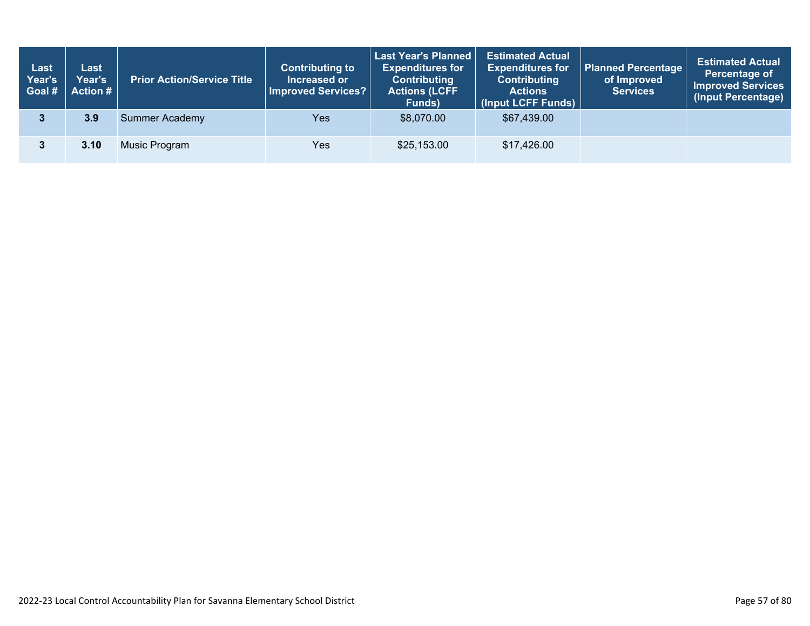| Last<br><b>Year's</b><br>Goal # | Last<br>Year's<br>Action $#$ | <b>Prior Action/Service Title</b> | <b>Contributing to</b><br>Increased or<br><b>Improved Services?</b> | <b>Last Year's Planned</b><br><b>Expenditures for</b><br><b>Contributing</b><br><b>Actions (LCFF</b><br>Funds) | <b>Estimated Actual</b><br><b>Expenditures for</b><br><b>Contributing</b><br><b>Actions</b><br>(Input LCFF Funds) | <b>Planned Percentage</b><br>of Improved<br><b>Services</b> | <b>Estimated Actual</b><br>Percentage of<br><b>Improved Services</b><br>(Input Percentage) |
|---------------------------------|------------------------------|-----------------------------------|---------------------------------------------------------------------|----------------------------------------------------------------------------------------------------------------|-------------------------------------------------------------------------------------------------------------------|-------------------------------------------------------------|--------------------------------------------------------------------------------------------|
|                                 | 3.9                          | Summer Academy                    | Yes                                                                 | \$8,070.00                                                                                                     | \$67,439.00                                                                                                       |                                                             |                                                                                            |
|                                 | 3.10                         | Music Program                     | Yes                                                                 | \$25,153.00                                                                                                    | \$17,426.00                                                                                                       |                                                             |                                                                                            |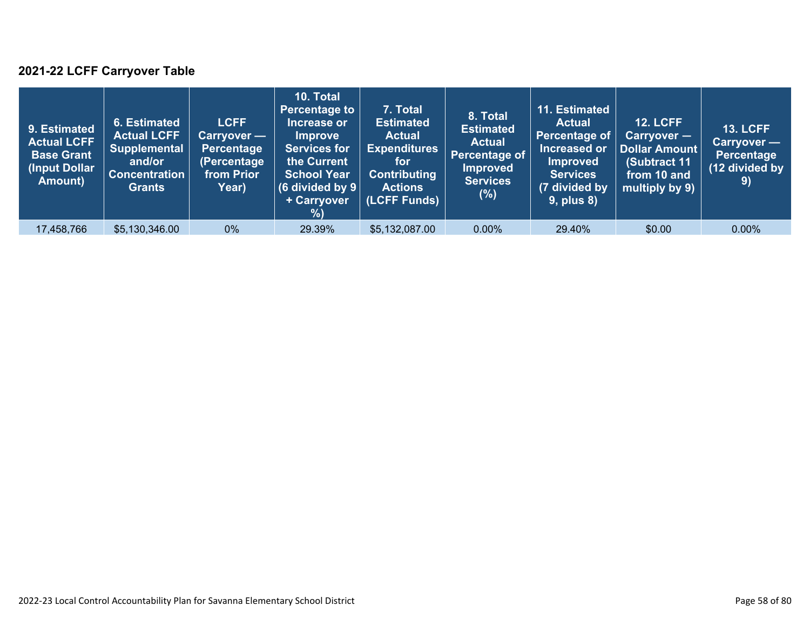### **2021-22 LCFF Carryover Table**

| 9. Estimated<br><b>Actual LCFF</b><br><b>Base Grant</b><br>(Input Dollar<br>Amount) | 6. Estimated<br><b>Actual LCFF</b><br><b>Supplemental</b><br>and/or<br><b>Concentration</b><br><b>Grants</b> | <b>LCFF</b><br>Carryover —<br>Percentage<br>(Percentage<br>from Prior<br>Year) | 10. Total<br><b>Percentage to</b><br>Increase or<br><b>Improve</b><br><b>Services for</b><br>the Current<br><b>School Year</b><br>(6 divided by $9$ $ $<br>+ Carryover<br>% | 7. Total<br><b>Estimated</b><br><b>Actual</b><br><b>Expenditures</b><br>for<br><b>Contributing</b><br><b>Actions</b><br>(LCFF Funds) | 8. Total<br><b>Estimated</b><br><b>Actual</b><br>Percentage of<br><b>Improved</b><br><b>Services</b><br>$(\%)$ | 11. Estimated<br><b>Actual</b><br>Percentage of<br>Increased or<br><b>Improved</b><br><b>Services</b><br>(7 divided by<br><b>9, plus 8)</b> | <b>12. LCFF</b><br>Carryover -<br>Dollar Amount<br>(Subtract 11<br>from 10 and<br>multiply by 9) | <b>13. LCFF</b><br>Carryover -<br><b>Percentage</b><br>(12 divided by<br>9) |
|-------------------------------------------------------------------------------------|--------------------------------------------------------------------------------------------------------------|--------------------------------------------------------------------------------|-----------------------------------------------------------------------------------------------------------------------------------------------------------------------------|--------------------------------------------------------------------------------------------------------------------------------------|----------------------------------------------------------------------------------------------------------------|---------------------------------------------------------------------------------------------------------------------------------------------|--------------------------------------------------------------------------------------------------|-----------------------------------------------------------------------------|
| 17,458,766                                                                          | \$5,130,346.00                                                                                               | $0\%$                                                                          | 29.39%                                                                                                                                                                      | \$5,132,087.00                                                                                                                       | $0.00\%$                                                                                                       | 29.40%                                                                                                                                      | \$0.00                                                                                           | $0.00\%$                                                                    |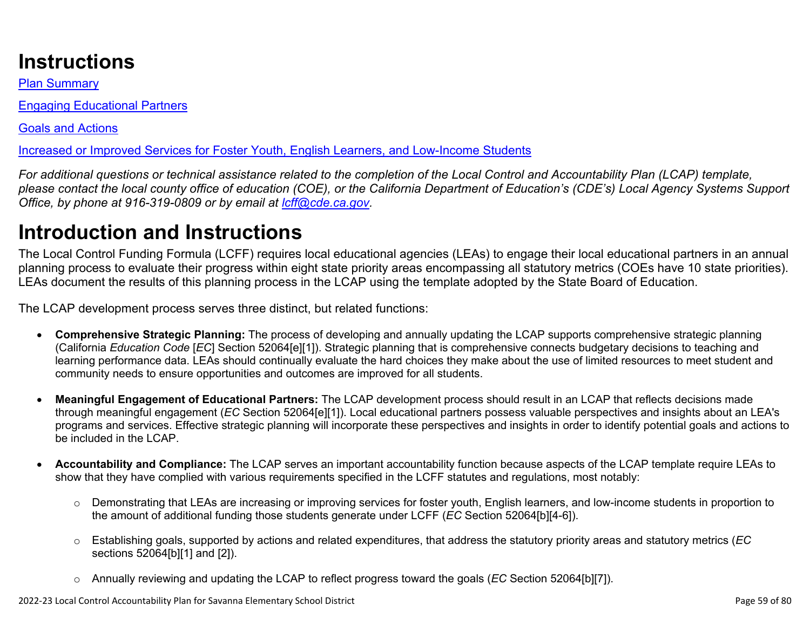# **Instructions**

Plan Summary

Engaging Educational Partners

Goals and Actions

Increased or Improved Services for Foster Youth, English Learners, and Low-Income Students

*For additional questions or technical assistance related to the completion of the Local Control and Accountability Plan (LCAP) template, please contact the local county office of education (COE), or the California Department of Education's (CDE's) Local Agency Systems Support Office, by phone at 916-319-0809 or by email at [lcff@cde.ca.gov](mailto:lcff@cde.ca.gov).*

# **Introduction and Instructions**

The Local Control Funding Formula (LCFF) requires local educational agencies (LEAs) to engage their local educational partners in an annual planning process to evaluate their progress within eight state priority areas encompassing all statutory metrics (COEs have 10 state priorities). LEAs document the results of this planning process in the LCAP using the template adopted by the State Board of Education.

The LCAP development process serves three distinct, but related functions:

- **Comprehensive Strategic Planning:** The process of developing and annually updating the LCAP supports comprehensive strategic planning (California *Education Code* [*EC*] Section 52064[e][1]). Strategic planning that is comprehensive connects budgetary decisions to teaching and learning performance data. LEAs should continually evaluate the hard choices they make about the use of limited resources to meet student and community needs to ensure opportunities and outcomes are improved for all students.
- **Meaningful Engagement of Educational Partners:** The LCAP development process should result in an LCAP that reflects decisions made through meaningful engagement (*EC* Section 52064[e][1]). Local educational partners possess valuable perspectives and insights about an LEA's programs and services. Effective strategic planning will incorporate these perspectives and insights in order to identify potential goals and actions to be included in the LCAP.
- **Accountability and Compliance:** The LCAP serves an important accountability function because aspects of the LCAP template require LEAs to show that they have complied with various requirements specified in the LCFF statutes and regulations, most notably:
	- o Demonstrating that LEAs are increasing or improving services for foster youth, English learners, and low-income students in proportion to the amount of additional funding those students generate under LCFF (*EC* Section 52064[b][4-6]).
	- o Establishing goals, supported by actions and related expenditures, that address the statutory priority areas and statutory metrics (*EC* sections 52064[b][1] and [2]).
	- o Annually reviewing and updating the LCAP to reflect progress toward the goals (*EC* Section 52064[b][7]).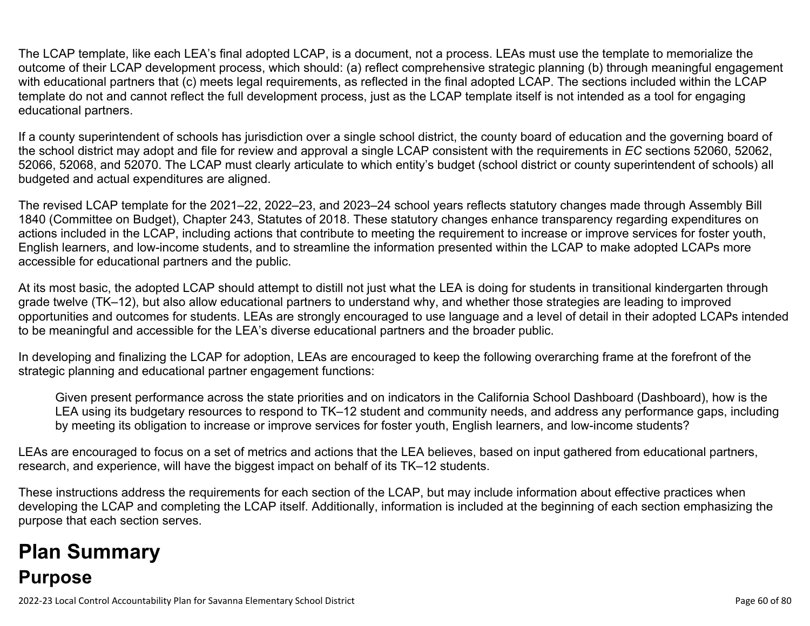The LCAP template, like each LEA's final adopted LCAP, is a document, not a process. LEAs must use the template to memorialize the outcome of their LCAP development process, which should: (a) reflect comprehensive strategic planning (b) through meaningful engagement with educational partners that (c) meets legal requirements, as reflected in the final adopted LCAP. The sections included within the LCAP template do not and cannot reflect the full development process, just as the LCAP template itself is not intended as a tool for engaging educational partners.

If a county superintendent of schools has jurisdiction over a single school district, the county board of education and the governing board of the school district may adopt and file for review and approval a single LCAP consistent with the requirements in *EC* sections 52060, 52062, 52066, 52068, and 52070. The LCAP must clearly articulate to which entity's budget (school district or county superintendent of schools) all budgeted and actual expenditures are aligned.

The revised LCAP template for the 2021–22, 2022–23, and 2023–24 school years reflects statutory changes made through Assembly Bill 1840 (Committee on Budget), Chapter 243, Statutes of 2018. These statutory changes enhance transparency regarding expenditures on actions included in the LCAP, including actions that contribute to meeting the requirement to increase or improve services for foster youth, English learners, and low-income students, and to streamline the information presented within the LCAP to make adopted LCAPs more accessible for educational partners and the public.

At its most basic, the adopted LCAP should attempt to distill not just what the LEA is doing for students in transitional kindergarten through grade twelve (TK–12), but also allow educational partners to understand why, and whether those strategies are leading to improved opportunities and outcomes for students. LEAs are strongly encouraged to use language and a level of detail in their adopted LCAPs intended to be meaningful and accessible for the LEA's diverse educational partners and the broader public.

In developing and finalizing the LCAP for adoption, LEAs are encouraged to keep the following overarching frame at the forefront of the strategic planning and educational partner engagement functions:

Given present performance across the state priorities and on indicators in the California School Dashboard (Dashboard), how is the LEA using its budgetary resources to respond to TK–12 student and community needs, and address any performance gaps, including by meeting its obligation to increase or improve services for foster youth, English learners, and low-income students?

LEAs are encouraged to focus on a set of metrics and actions that the LEA believes, based on input gathered from educational partners, research, and experience, will have the biggest impact on behalf of its TK–12 students.

These instructions address the requirements for each section of the LCAP, but may include information about effective practices when developing the LCAP and completing the LCAP itself. Additionally, information is included at the beginning of each section emphasizing the purpose that each section serves.

# **Plan Summary Purpose**

2022-23 Local Control Accountability Plan for Savanna Elementary School District **Page 60 of 80** and the state of 80 of 80 of 80 of 80 of 80 of 80 of 80 of 80 of 80 of 80 of 80 of 80 of 80 of 80 of 80 of 80 of 80 of 80 of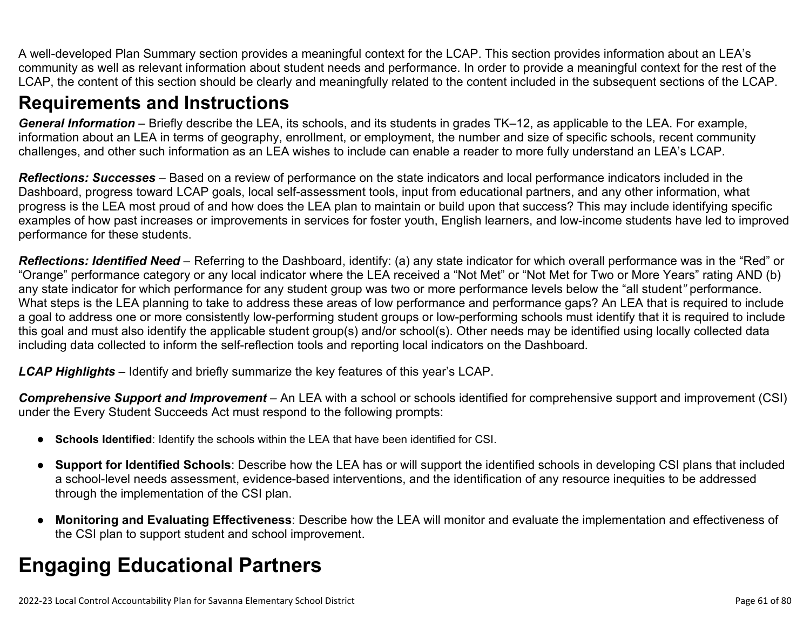A well-developed Plan Summary section provides a meaningful context for the LCAP. This section provides information about an LEA's community as well as relevant information about student needs and performance. In order to provide a meaningful context for the rest of the LCAP, the content of this section should be clearly and meaningfully related to the content included in the subsequent sections of the LCAP.

## **Requirements and Instructions**

*General Information* – Briefly describe the LEA, its schools, and its students in grades TK–12, as applicable to the LEA. For example, information about an LEA in terms of geography, enrollment, or employment, the number and size of specific schools, recent community challenges, and other such information as an LEA wishes to include can enable a reader to more fully understand an LEA's LCAP.

*Reflections: Successes* – Based on a review of performance on the state indicators and local performance indicators included in the Dashboard, progress toward LCAP goals, local self-assessment tools, input from educational partners, and any other information, what progress is the LEA most proud of and how does the LEA plan to maintain or build upon that success? This may include identifying specific examples of how past increases or improvements in services for foster youth, English learners, and low-income students have led to improved performance for these students.

*Reflections: Identified Need* – Referring to the Dashboard, identify: (a) any state indicator for which overall performance was in the "Red" or "Orange" performance category or any local indicator where the LEA received a "Not Met" or "Not Met for Two or More Years" rating AND (b) any state indicator for which performance for any student group was two or more performance levels below the "all student*"* performance. What steps is the LEA planning to take to address these areas of low performance and performance gaps? An LEA that is required to include a goal to address one or more consistently low-performing student groups or low-performing schools must identify that it is required to include this goal and must also identify the applicable student group(s) and/or school(s). Other needs may be identified using locally collected data including data collected to inform the self-reflection tools and reporting local indicators on the Dashboard.

*LCAP Highlights* – Identify and briefly summarize the key features of this year's LCAP.

*Comprehensive Support and Improvement* – An LEA with a school or schools identified for comprehensive support and improvement (CSI) under the Every Student Succeeds Act must respond to the following prompts:

- **Schools Identified**: Identify the schools within the LEA that have been identified for CSI.
- **Support for Identified Schools**: Describe how the LEA has or will support the identified schools in developing CSI plans that included a school-level needs assessment, evidence-based interventions, and the identification of any resource inequities to be addressed through the implementation of the CSI plan.
- **Monitoring and Evaluating Effectiveness**: Describe how the LEA will monitor and evaluate the implementation and effectiveness of the CSI plan to support student and school improvement.

# **Engaging Educational Partners**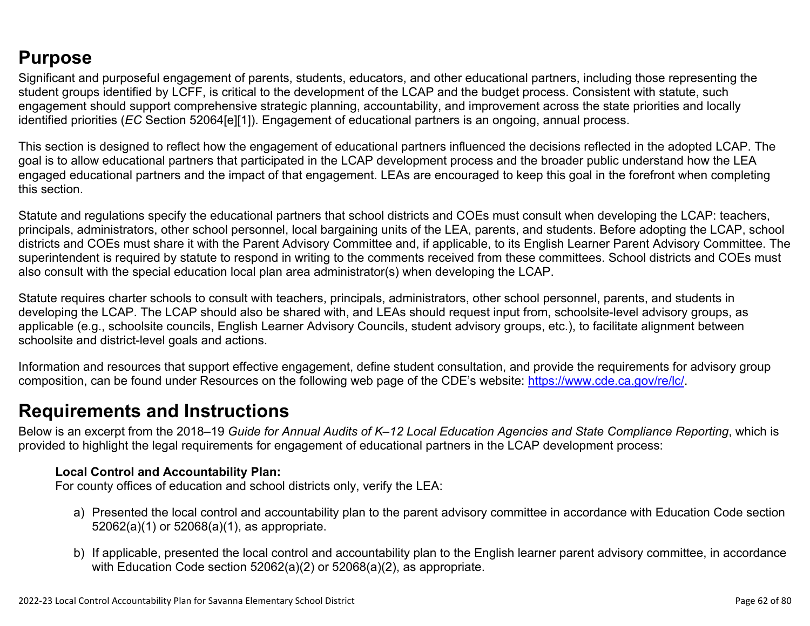## **Purpose**

Significant and purposeful engagement of parents, students, educators, and other educational partners, including those representing the student groups identified by LCFF, is critical to the development of the LCAP and the budget process. Consistent with statute, such engagement should support comprehensive strategic planning, accountability, and improvement across the state priorities and locally identified priorities (*EC* Section 52064[e][1]). Engagement of educational partners is an ongoing, annual process.

This section is designed to reflect how the engagement of educational partners influenced the decisions reflected in the adopted LCAP. The goal is to allow educational partners that participated in the LCAP development process and the broader public understand how the LEA engaged educational partners and the impact of that engagement. LEAs are encouraged to keep this goal in the forefront when completing this section.

Statute and regulations specify the educational partners that school districts and COEs must consult when developing the LCAP: teachers, principals, administrators, other school personnel, local bargaining units of the LEA, parents, and students. Before adopting the LCAP, school districts and COEs must share it with the Parent Advisory Committee and, if applicable, to its English Learner Parent Advisory Committee. The superintendent is required by statute to respond in writing to the comments received from these committees. School districts and COEs must also consult with the special education local plan area administrator(s) when developing the LCAP.

Statute requires charter schools to consult with teachers, principals, administrators, other school personnel, parents, and students in developing the LCAP. The LCAP should also be shared with, and LEAs should request input from, schoolsite-level advisory groups, as applicable (e.g., schoolsite councils, English Learner Advisory Councils, student advisory groups, etc.), to facilitate alignment between schoolsite and district-level goals and actions.

Information and resources that support effective engagement, define student consultation, and provide the requirements for advisory group composition, can be found under Resources on the following web page of the CDE's website: <https://www.cde.ca.gov/re/lc/>.

### **Requirements and Instructions**

Below is an excerpt from the 2018–19 *Guide for Annual Audits of K–12 Local Education Agencies and State Compliance Reporting*, which is provided to highlight the legal requirements for engagement of educational partners in the LCAP development process:

### **Local Control and Accountability Plan:**

For county offices of education and school districts only, verify the LEA:

- a) Presented the local control and accountability plan to the parent advisory committee in accordance with Education Code section 52062(a)(1) or 52068(a)(1), as appropriate.
- b) If applicable, presented the local control and accountability plan to the English learner parent advisory committee, in accordance with Education Code section 52062(a)(2) or 52068(a)(2), as appropriate.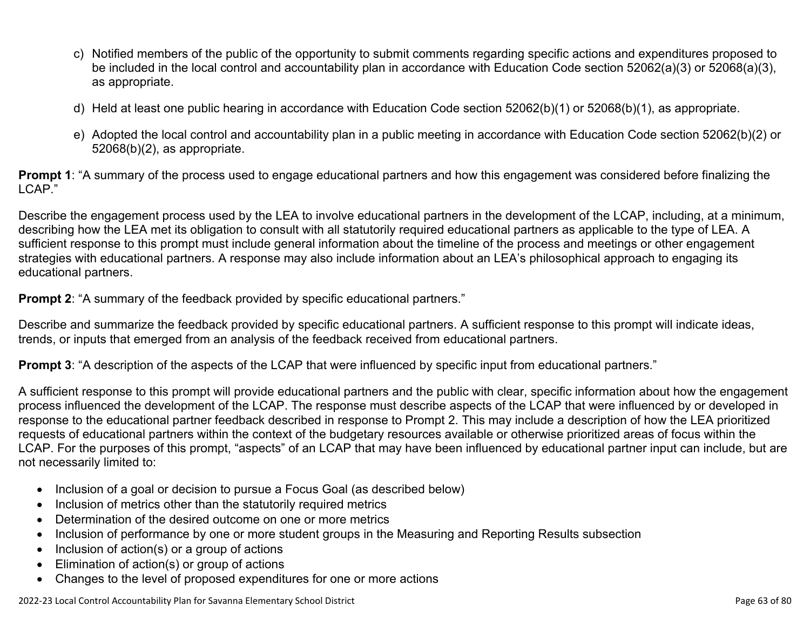- c) Notified members of the public of the opportunity to submit comments regarding specific actions and expenditures proposed to be included in the local control and accountability plan in accordance with Education Code section 52062(a)(3) or 52068(a)(3), as appropriate.
- d) Held at least one public hearing in accordance with Education Code section 52062(b)(1) or 52068(b)(1), as appropriate.
- e) Adopted the local control and accountability plan in a public meeting in accordance with Education Code section 52062(b)(2) or 52068(b)(2), as appropriate.

**Prompt 1**: "A summary of the process used to engage educational partners and how this engagement was considered before finalizing the LCAP."

Describe the engagement process used by the LEA to involve educational partners in the development of the LCAP, including, at a minimum, describing how the LEA met its obligation to consult with all statutorily required educational partners as applicable to the type of LEA. A sufficient response to this prompt must include general information about the timeline of the process and meetings or other engagement strategies with educational partners. A response may also include information about an LEA's philosophical approach to engaging its educational partners.

**Prompt 2:** "A summary of the feedback provided by specific educational partners."

Describe and summarize the feedback provided by specific educational partners. A sufficient response to this prompt will indicate ideas, trends, or inputs that emerged from an analysis of the feedback received from educational partners.

**Prompt 3**: "A description of the aspects of the LCAP that were influenced by specific input from educational partners."

A sufficient response to this prompt will provide educational partners and the public with clear, specific information about how the engagement process influenced the development of the LCAP. The response must describe aspects of the LCAP that were influenced by or developed in response to the educational partner feedback described in response to Prompt 2. This may include a description of how the LEA prioritized requests of educational partners within the context of the budgetary resources available or otherwise prioritized areas of focus within the LCAP. For the purposes of this prompt, "aspects" of an LCAP that may have been influenced by educational partner input can include, but are not necessarily limited to:

- Inclusion of a goal or decision to pursue a Focus Goal (as described below)
- Inclusion of metrics other than the statutorily required metrics
- Determination of the desired outcome on one or more metrics
- Inclusion of performance by one or more student groups in the Measuring and Reporting Results subsection
- Inclusion of action(s) or a group of actions
- Elimination of action(s) or group of actions
- Changes to the level of proposed expenditures for one or more actions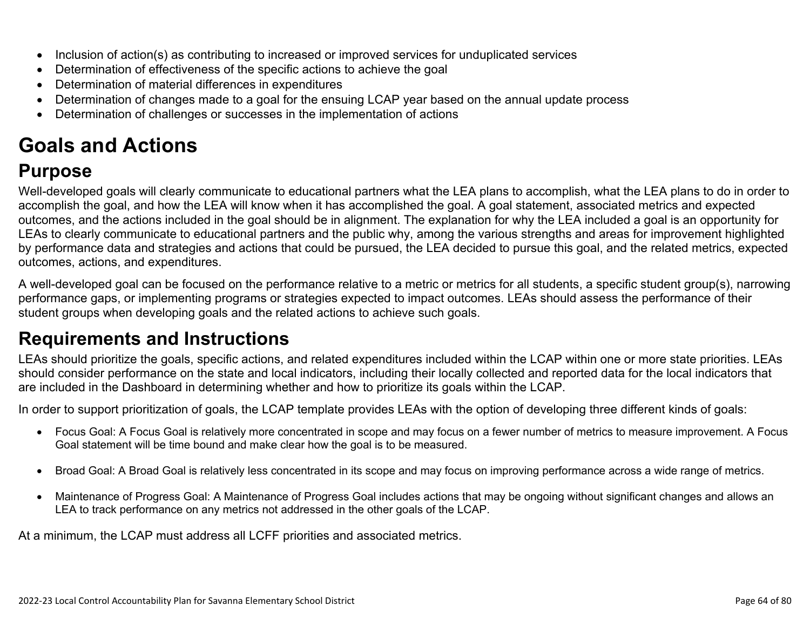- Inclusion of action(s) as contributing to increased or improved services for unduplicated services
- Determination of effectiveness of the specific actions to achieve the goal
- Determination of material differences in expenditures
- Determination of changes made to a goal for the ensuing LCAP year based on the annual update process
- Determination of challenges or successes in the implementation of actions

# **Goals and Actions**

## **Purpose**

Well-developed goals will clearly communicate to educational partners what the LEA plans to accomplish, what the LEA plans to do in order to accomplish the goal, and how the LEA will know when it has accomplished the goal. A goal statement, associated metrics and expected outcomes, and the actions included in the goal should be in alignment. The explanation for why the LEA included a goal is an opportunity for LEAs to clearly communicate to educational partners and the public why, among the various strengths and areas for improvement highlighted by performance data and strategies and actions that could be pursued, the LEA decided to pursue this goal, and the related metrics, expected outcomes, actions, and expenditures.

A well-developed goal can be focused on the performance relative to a metric or metrics for all students, a specific student group(s), narrowing performance gaps, or implementing programs or strategies expected to impact outcomes. LEAs should assess the performance of their student groups when developing goals and the related actions to achieve such goals.

## **Requirements and Instructions**

LEAs should prioritize the goals, specific actions, and related expenditures included within the LCAP within one or more state priorities. LEAs should consider performance on the state and local indicators, including their locally collected and reported data for the local indicators that are included in the Dashboard in determining whether and how to prioritize its goals within the LCAP.

In order to support prioritization of goals, the LCAP template provides LEAs with the option of developing three different kinds of goals:

- Focus Goal: A Focus Goal is relatively more concentrated in scope and may focus on a fewer number of metrics to measure improvement. A Focus Goal statement will be time bound and make clear how the goal is to be measured.
- Broad Goal: A Broad Goal is relatively less concentrated in its scope and may focus on improving performance across a wide range of metrics.
- Maintenance of Progress Goal: A Maintenance of Progress Goal includes actions that may be ongoing without significant changes and allows an LEA to track performance on any metrics not addressed in the other goals of the LCAP.

At a minimum, the LCAP must address all LCFF priorities and associated metrics.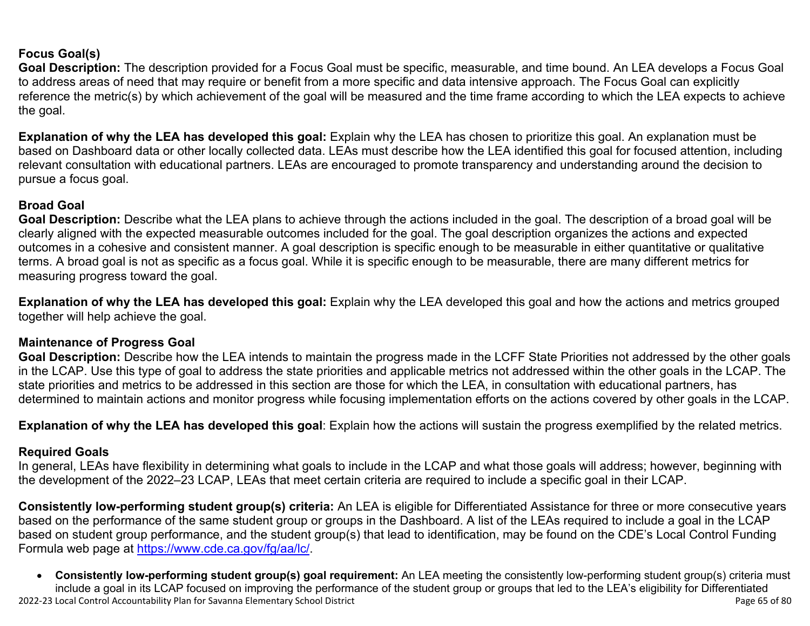### **Focus Goal(s)**

**Goal Description:** The description provided for a Focus Goal must be specific, measurable, and time bound. An LEA develops a Focus Goal to address areas of need that may require or benefit from a more specific and data intensive approach. The Focus Goal can explicitly reference the metric(s) by which achievement of the goal will be measured and the time frame according to which the LEA expects to achieve the goal.

**Explanation of why the LEA has developed this goal:** Explain why the LEA has chosen to prioritize this goal. An explanation must be based on Dashboard data or other locally collected data. LEAs must describe how the LEA identified this goal for focused attention, including relevant consultation with educational partners. LEAs are encouraged to promote transparency and understanding around the decision to pursue a focus goal.

#### **Broad Goal**

Goal Description: Describe what the LEA plans to achieve through the actions included in the goal. The description of a broad goal will be clearly aligned with the expected measurable outcomes included for the goal. The goal description organizes the actions and expected outcomes in a cohesive and consistent manner. A goal description is specific enough to be measurable in either quantitative or qualitative terms. A broad goal is not as specific as a focus goal. While it is specific enough to be measurable, there are many different metrics for measuring progress toward the goal.

**Explanation of why the LEA has developed this goal:** Explain why the LEA developed this goal and how the actions and metrics grouped together will help achieve the goal.

#### **Maintenance of Progress Goal**

**Goal Description:** Describe how the LEA intends to maintain the progress made in the LCFF State Priorities not addressed by the other goals in the LCAP. Use this type of goal to address the state priorities and applicable metrics not addressed within the other goals in the LCAP. The state priorities and metrics to be addressed in this section are those for which the LEA, in consultation with educational partners, has determined to maintain actions and monitor progress while focusing implementation efforts on the actions covered by other goals in the LCAP.

**Explanation of why the LEA has developed this goal**: Explain how the actions will sustain the progress exemplified by the related metrics.

#### **Required Goals**

In general, LEAs have flexibility in determining what goals to include in the LCAP and what those goals will address; however, beginning with the development of the 2022–23 LCAP, LEAs that meet certain criteria are required to include a specific goal in their LCAP.

**Consistently low-performing student group(s) criteria:** An LEA is eligible for Differentiated Assistance for three or more consecutive years based on the performance of the same student group or groups in the Dashboard. A list of the LEAs required to include a goal in the LCAP based on student group performance, and the student group(s) that lead to identification, may be found on the CDE's Local Control Funding Formula web page at [https://www.cde.ca.gov/fg/aa/lc/.](https://www.cde.ca.gov/fg/aa/lc/)

2022-23 Local Control Accountability Plan for Savanna Elementary School District Page 65 of 80 • **Consistently low-performing student group(s) goal requirement:** An LEA meeting the consistently low-performing student group(s) criteria must include a goal in its LCAP focused on improving the performance of the student group or groups that led to the LEA's eligibility for Differentiated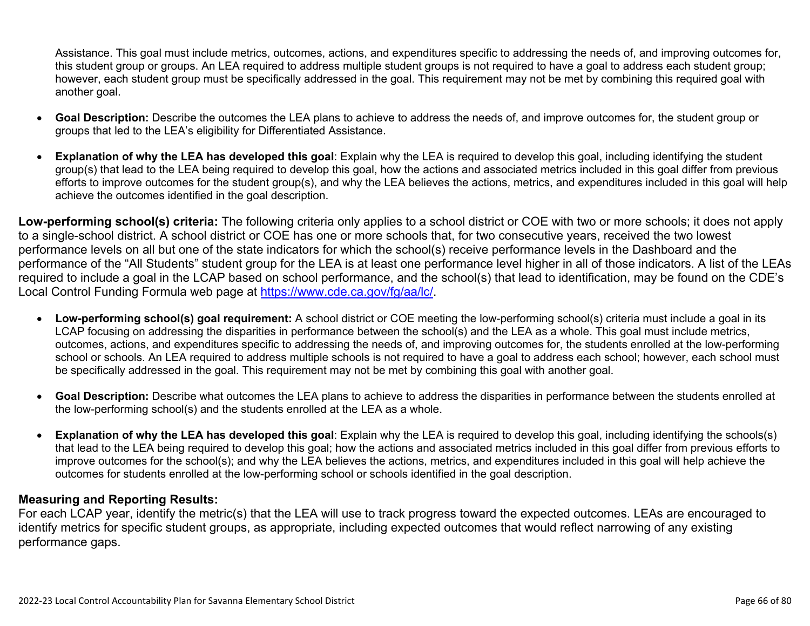Assistance. This goal must include metrics, outcomes, actions, and expenditures specific to addressing the needs of, and improving outcomes for, this student group or groups. An LEA required to address multiple student groups is not required to have a goal to address each student group; however, each student group must be specifically addressed in the goal. This requirement may not be met by combining this required goal with another goal.

- **Goal Description:** Describe the outcomes the LEA plans to achieve to address the needs of, and improve outcomes for, the student group or groups that led to the LEA's eligibility for Differentiated Assistance.
- **Explanation of why the LEA has developed this goal**: Explain why the LEA is required to develop this goal, including identifying the student group(s) that lead to the LEA being required to develop this goal, how the actions and associated metrics included in this goal differ from previous efforts to improve outcomes for the student group(s), and why the LEA believes the actions, metrics, and expenditures included in this goal will help achieve the outcomes identified in the goal description.

**Low-performing school(s) criteria:** The following criteria only applies to a school district or COE with two or more schools; it does not apply to a single-school district. A school district or COE has one or more schools that, for two consecutive years, received the two lowest performance levels on all but one of the state indicators for which the school(s) receive performance levels in the Dashboard and the performance of the "All Students" student group for the LEA is at least one performance level higher in all of those indicators. A list of the LEAs required to include a goal in the LCAP based on school performance, and the school(s) that lead to identification, may be found on the CDE's Local Control Funding Formula web page at [https://www.cde.ca.gov/fg/aa/lc/.](https://www.cde.ca.gov/fg/aa/lc/)

- **Low-performing school(s) goal requirement:** A school district or COE meeting the low-performing school(s) criteria must include a goal in its LCAP focusing on addressing the disparities in performance between the school(s) and the LEA as a whole. This goal must include metrics, outcomes, actions, and expenditures specific to addressing the needs of, and improving outcomes for, the students enrolled at the low-performing school or schools. An LEA required to address multiple schools is not required to have a goal to address each school; however, each school must be specifically addressed in the goal. This requirement may not be met by combining this goal with another goal.
- **Goal Description:** Describe what outcomes the LEA plans to achieve to address the disparities in performance between the students enrolled at the low-performing school(s) and the students enrolled at the LEA as a whole.
- **Explanation of why the LEA has developed this goal**: Explain why the LEA is required to develop this goal, including identifying the schools(s) that lead to the LEA being required to develop this goal; how the actions and associated metrics included in this goal differ from previous efforts to improve outcomes for the school(s); and why the LEA believes the actions, metrics, and expenditures included in this goal will help achieve the outcomes for students enrolled at the low-performing school or schools identified in the goal description.

### **Measuring and Reporting Results:**

For each LCAP year, identify the metric(s) that the LEA will use to track progress toward the expected outcomes. LEAs are encouraged to identify metrics for specific student groups, as appropriate, including expected outcomes that would reflect narrowing of any existing performance gaps.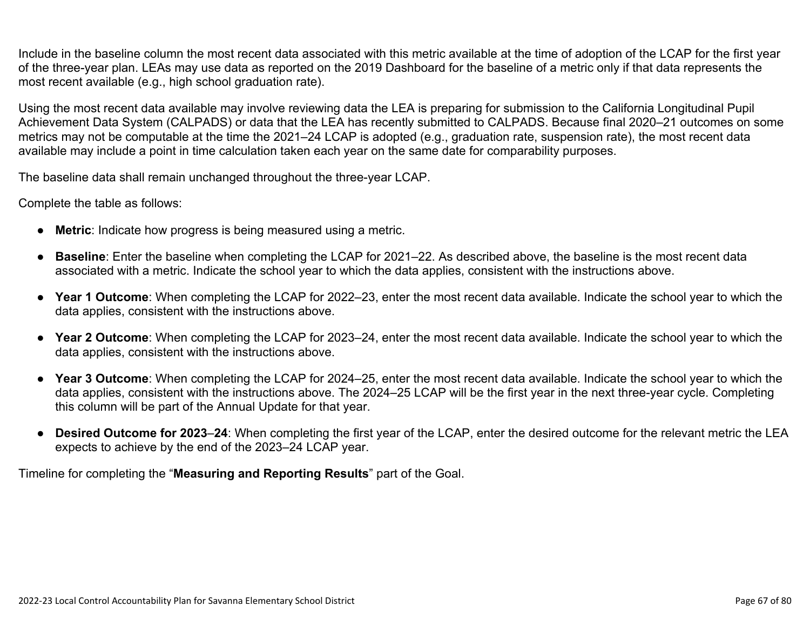Include in the baseline column the most recent data associated with this metric available at the time of adoption of the LCAP for the first year of the three-year plan. LEAs may use data as reported on the 2019 Dashboard for the baseline of a metric only if that data represents the most recent available (e.g., high school graduation rate).

Using the most recent data available may involve reviewing data the LEA is preparing for submission to the California Longitudinal Pupil Achievement Data System (CALPADS) or data that the LEA has recently submitted to CALPADS. Because final 2020–21 outcomes on some metrics may not be computable at the time the 2021–24 LCAP is adopted (e.g., graduation rate, suspension rate), the most recent data available may include a point in time calculation taken each year on the same date for comparability purposes.

The baseline data shall remain unchanged throughout the three-year LCAP.

Complete the table as follows:

- **Metric**: Indicate how progress is being measured using a metric.
- **Baseline**: Enter the baseline when completing the LCAP for 2021–22. As described above, the baseline is the most recent data associated with a metric. Indicate the school year to which the data applies, consistent with the instructions above.
- **Year 1 Outcome**: When completing the LCAP for 2022–23, enter the most recent data available. Indicate the school year to which the data applies, consistent with the instructions above.
- **Year 2 Outcome**: When completing the LCAP for 2023–24, enter the most recent data available. Indicate the school year to which the data applies, consistent with the instructions above.
- **Year 3 Outcome**: When completing the LCAP for 2024–25, enter the most recent data available. Indicate the school year to which the data applies, consistent with the instructions above. The 2024–25 LCAP will be the first year in the next three-year cycle. Completing this column will be part of the Annual Update for that year.
- **Desired Outcome for 2023**–**24**: When completing the first year of the LCAP, enter the desired outcome for the relevant metric the LEA expects to achieve by the end of the 2023–24 LCAP year.

Timeline for completing the "**Measuring and Reporting Results**" part of the Goal.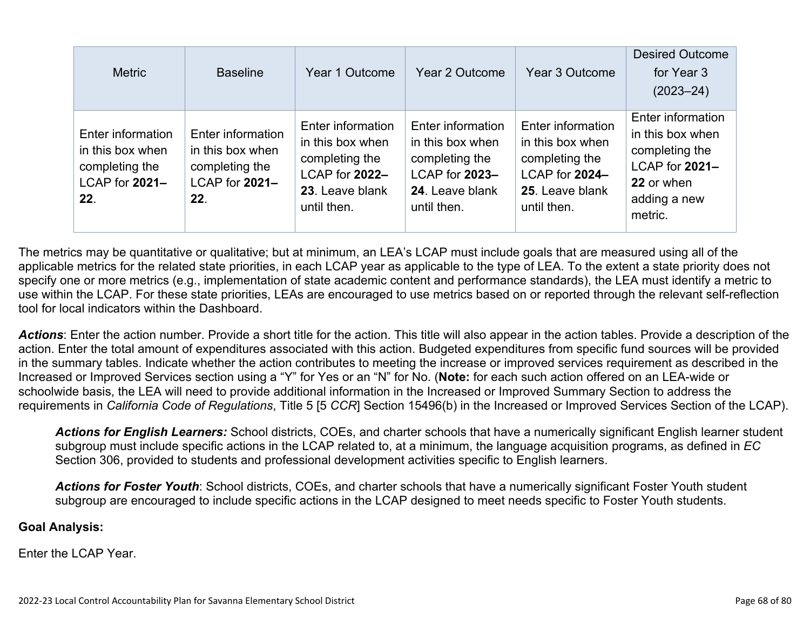| <b>Metric</b>                                                                    | <b>Baseline</b>                                                                  | Year 1 Outcome                                                                                              | Year 2 Outcome                                                                                              | Year 3 Outcome                                                                                              | <b>Desired Outcome</b><br>for Year 3<br>$(2023 - 24)$                                                              |
|----------------------------------------------------------------------------------|----------------------------------------------------------------------------------|-------------------------------------------------------------------------------------------------------------|-------------------------------------------------------------------------------------------------------------|-------------------------------------------------------------------------------------------------------------|--------------------------------------------------------------------------------------------------------------------|
| Enter information<br>in this box when<br>completing the<br>LCAP for 2021-<br>22. | Enter information<br>in this box when<br>completing the<br>LCAP for 2021-<br>22. | Enter information<br>in this box when<br>completing the<br>LCAP for 2022-<br>23. Leave blank<br>until then. | Enter information<br>in this box when<br>completing the<br>LCAP for 2023-<br>24. Leave blank<br>until then. | Enter information<br>in this box when<br>completing the<br>LCAP for 2024-<br>25. Leave blank<br>until then. | Enter information<br>in this box when<br>completing the<br>LCAP for 2021-<br>22 or when<br>adding a new<br>metric. |

The metrics may be quantitative or qualitative; but at minimum, an LEA's LCAP must include goals that are measured using all of the applicable metrics for the related state priorities, in each LCAP year as applicable to the type of LEA. To the extent a state priority does not specify one or more metrics (e.g., implementation of state academic content and performance standards), the LEA must identify a metric to use within the LCAP. For these state priorities, LEAs are encouraged to use metrics based on or reported through the relevant self-reflection tool for local indicators within the Dashboard.

*Actions*: Enter the action number. Provide a short title for the action. This title will also appear in the action tables. Provide a description of the action. Enter the total amount of expenditures associated with this action. Budgeted expenditures from specific fund sources will be provided in the summary tables. Indicate whether the action contributes to meeting the increase or improved services requirement as described in the Increased or Improved Services section using a "Y" for Yes or an "N" for No. (**Note:** for each such action offered on an LEA-wide or schoolwide basis, the LEA will need to provide additional information in the Increased or Improved Summary Section to address the requirements in *California Code of Regulations*, Title 5 [5 *CCR*] Section 15496(b) in the Increased or Improved Services Section of the LCAP).

*Actions for English Learners:* School districts, COEs, and charter schools that have a numerically significant English learner student subgroup must include specific actions in the LCAP related to, at a minimum, the language acquisition programs, as defined in *EC* Section 306, provided to students and professional development activities specific to English learners.

*Actions for Foster Youth*: School districts, COEs, and charter schools that have a numerically significant Foster Youth student subgroup are encouraged to include specific actions in the LCAP designed to meet needs specific to Foster Youth students.

#### **Goal Analysis:**

Enter the LCAP Year.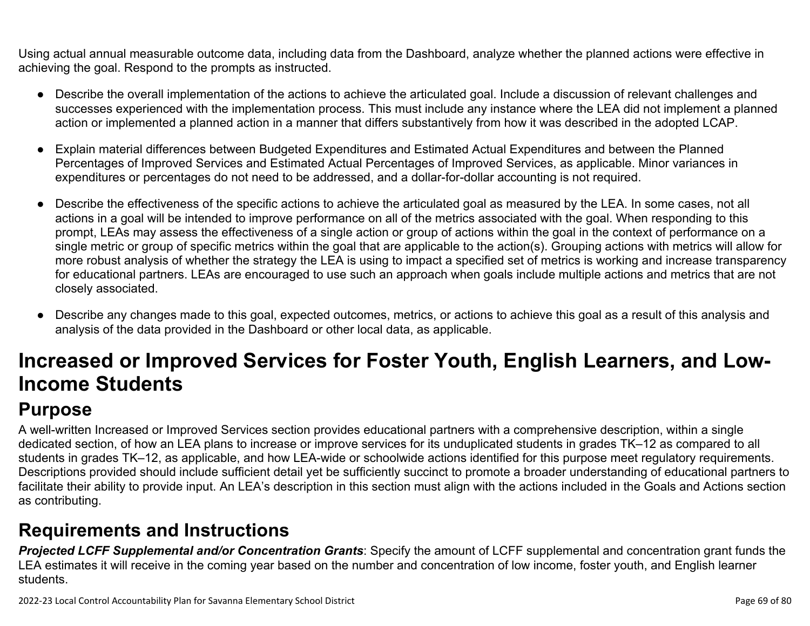Using actual annual measurable outcome data, including data from the Dashboard, analyze whether the planned actions were effective in achieving the goal. Respond to the prompts as instructed.

- Describe the overall implementation of the actions to achieve the articulated goal. Include a discussion of relevant challenges and successes experienced with the implementation process. This must include any instance where the LEA did not implement a planned action or implemented a planned action in a manner that differs substantively from how it was described in the adopted LCAP.
- Explain material differences between Budgeted Expenditures and Estimated Actual Expenditures and between the Planned Percentages of Improved Services and Estimated Actual Percentages of Improved Services, as applicable. Minor variances in expenditures or percentages do not need to be addressed, and a dollar-for-dollar accounting is not required.
- Describe the effectiveness of the specific actions to achieve the articulated goal as measured by the LEA. In some cases, not all actions in a goal will be intended to improve performance on all of the metrics associated with the goal. When responding to this prompt, LEAs may assess the effectiveness of a single action or group of actions within the goal in the context of performance on a single metric or group of specific metrics within the goal that are applicable to the action(s). Grouping actions with metrics will allow for more robust analysis of whether the strategy the LEA is using to impact a specified set of metrics is working and increase transparency for educational partners. LEAs are encouraged to use such an approach when goals include multiple actions and metrics that are not closely associated.
- Describe any changes made to this goal, expected outcomes, metrics, or actions to achieve this goal as a result of this analysis and analysis of the data provided in the Dashboard or other local data, as applicable.

# **Increased or Improved Services for Foster Youth, English Learners, and Low-Income Students**

## **Purpose**

A well-written Increased or Improved Services section provides educational partners with a comprehensive description, within a single dedicated section, of how an LEA plans to increase or improve services for its unduplicated students in grades TK–12 as compared to all students in grades TK–12, as applicable, and how LEA-wide or schoolwide actions identified for this purpose meet regulatory requirements. Descriptions provided should include sufficient detail yet be sufficiently succinct to promote a broader understanding of educational partners to facilitate their ability to provide input. An LEA's description in this section must align with the actions included in the Goals and Actions section as contributing.

## **Requirements and Instructions**

*Projected LCFF Supplemental and/or Concentration Grants*: Specify the amount of LCFF supplemental and concentration grant funds the LEA estimates it will receive in the coming year based on the number and concentration of low income, foster youth, and English learner students.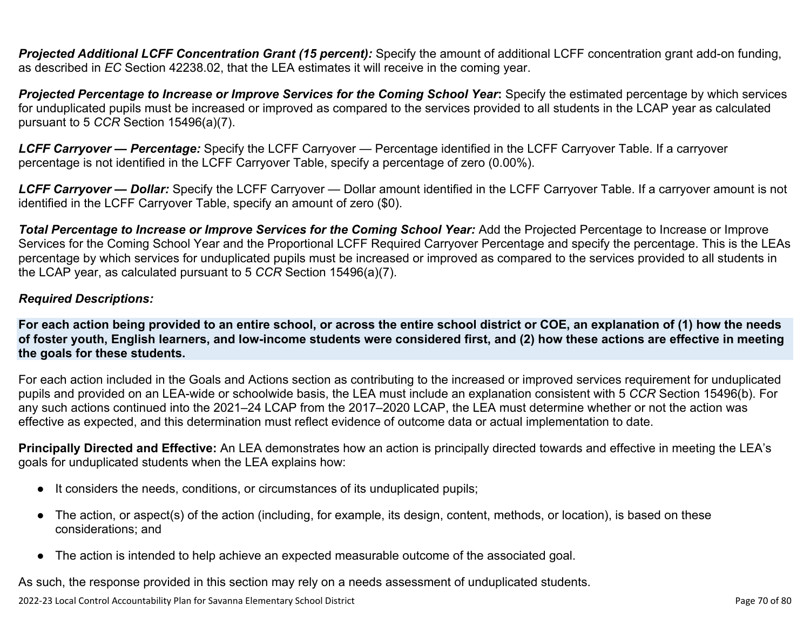**Projected Additional LCFF Concentration Grant (15 percent):** Specify the amount of additional LCFF concentration grant add-on funding, as described in *EC* Section 42238.02, that the LEA estimates it will receive in the coming year.

*Projected Percentage to Increase or Improve Services for the Coming School Year***:** Specify the estimated percentage by which services for unduplicated pupils must be increased or improved as compared to the services provided to all students in the LCAP year as calculated pursuant to 5 *CCR* Section 15496(a)(7).

*LCFF Carryover — Percentage:* Specify the LCFF Carryover — Percentage identified in the LCFF Carryover Table. If a carryover percentage is not identified in the LCFF Carryover Table, specify a percentage of zero (0.00%).

*LCFF Carryover — Dollar:* Specify the LCFF Carryover — Dollar amount identified in the LCFF Carryover Table. If a carryover amount is not identified in the LCFF Carryover Table, specify an amount of zero (\$0).

**Total Percentage to Increase or Improve Services for the Coming School Year:** Add the Projected Percentage to Increase or Improve Services for the Coming School Year and the Proportional LCFF Required Carryover Percentage and specify the percentage. This is the LEAs percentage by which services for unduplicated pupils must be increased or improved as compared to the services provided to all students in the LCAP year, as calculated pursuant to 5 *CCR* Section 15496(a)(7).

#### *Required Descriptions:*

**For each action being provided to an entire school, or across the entire school district or COE, an explanation of (1) how the needs of foster youth, English learners, and low-income students were considered first, and (2) how these actions are effective in meeting the goals for these students.**

For each action included in the Goals and Actions section as contributing to the increased or improved services requirement for unduplicated pupils and provided on an LEA-wide or schoolwide basis, the LEA must include an explanation consistent with 5 *CCR* Section 15496(b). For any such actions continued into the 2021–24 LCAP from the 2017–2020 LCAP, the LEA must determine whether or not the action was effective as expected, and this determination must reflect evidence of outcome data or actual implementation to date.

**Principally Directed and Effective:** An LEA demonstrates how an action is principally directed towards and effective in meeting the LEA's goals for unduplicated students when the LEA explains how:

- It considers the needs, conditions, or circumstances of its unduplicated pupils;
- The action, or aspect(s) of the action (including, for example, its design, content, methods, or location), is based on these considerations; and
- The action is intended to help achieve an expected measurable outcome of the associated goal.

As such, the response provided in this section may rely on a needs assessment of unduplicated students.

2022-23 Local Control Accountability Plan for Savanna Elementary School District **Page 70** of 80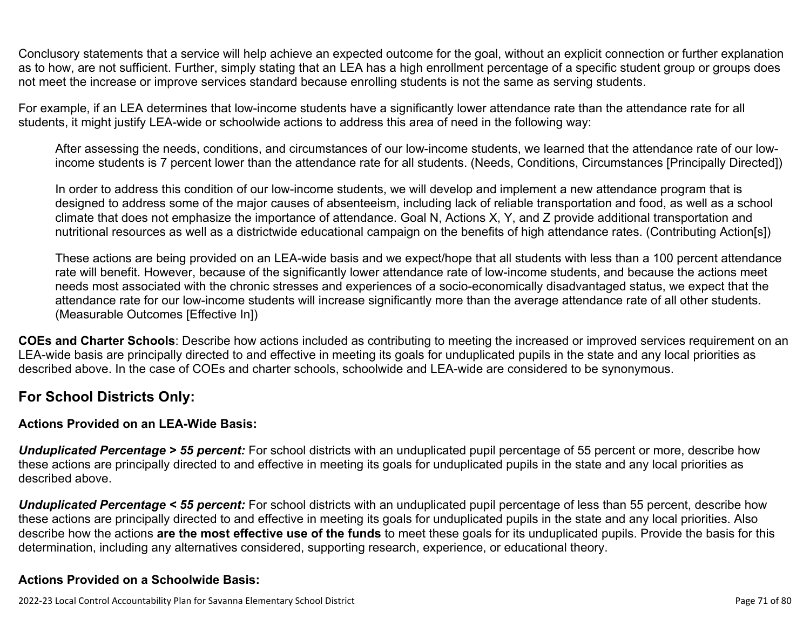Conclusory statements that a service will help achieve an expected outcome for the goal, without an explicit connection or further explanation as to how, are not sufficient. Further, simply stating that an LEA has a high enrollment percentage of a specific student group or groups does not meet the increase or improve services standard because enrolling students is not the same as serving students.

For example, if an LEA determines that low-income students have a significantly lower attendance rate than the attendance rate for all students, it might justify LEA-wide or schoolwide actions to address this area of need in the following way:

After assessing the needs, conditions, and circumstances of our low-income students, we learned that the attendance rate of our lowincome students is 7 percent lower than the attendance rate for all students. (Needs, Conditions, Circumstances [Principally Directed])

In order to address this condition of our low-income students, we will develop and implement a new attendance program that is designed to address some of the major causes of absenteeism, including lack of reliable transportation and food, as well as a school climate that does not emphasize the importance of attendance. Goal N, Actions X, Y, and Z provide additional transportation and nutritional resources as well as a districtwide educational campaign on the benefits of high attendance rates. (Contributing Action[s])

These actions are being provided on an LEA-wide basis and we expect/hope that all students with less than a 100 percent attendance rate will benefit. However, because of the significantly lower attendance rate of low-income students, and because the actions meet needs most associated with the chronic stresses and experiences of a socio-economically disadvantaged status, we expect that the attendance rate for our low-income students will increase significantly more than the average attendance rate of all other students. (Measurable Outcomes [Effective In])

**COEs and Charter Schools**: Describe how actions included as contributing to meeting the increased or improved services requirement on an LEA-wide basis are principally directed to and effective in meeting its goals for unduplicated pupils in the state and any local priorities as described above. In the case of COEs and charter schools, schoolwide and LEA-wide are considered to be synonymous.

### **For School Districts Only:**

### **Actions Provided on an LEA-Wide Basis:**

*Unduplicated Percentage > 55 percent:* For school districts with an unduplicated pupil percentage of 55 percent or more, describe how these actions are principally directed to and effective in meeting its goals for unduplicated pupils in the state and any local priorities as described above.

*Unduplicated Percentage < 55 percent:* For school districts with an unduplicated pupil percentage of less than 55 percent, describe how these actions are principally directed to and effective in meeting its goals for unduplicated pupils in the state and any local priorities. Also describe how the actions **are the most effective use of the funds** to meet these goals for its unduplicated pupils. Provide the basis for this determination, including any alternatives considered, supporting research, experience, or educational theory.

### **Actions Provided on a Schoolwide Basis:**

2022-23 Local Control Accountability Plan for Savanna Elementary School District **Page 71** of 80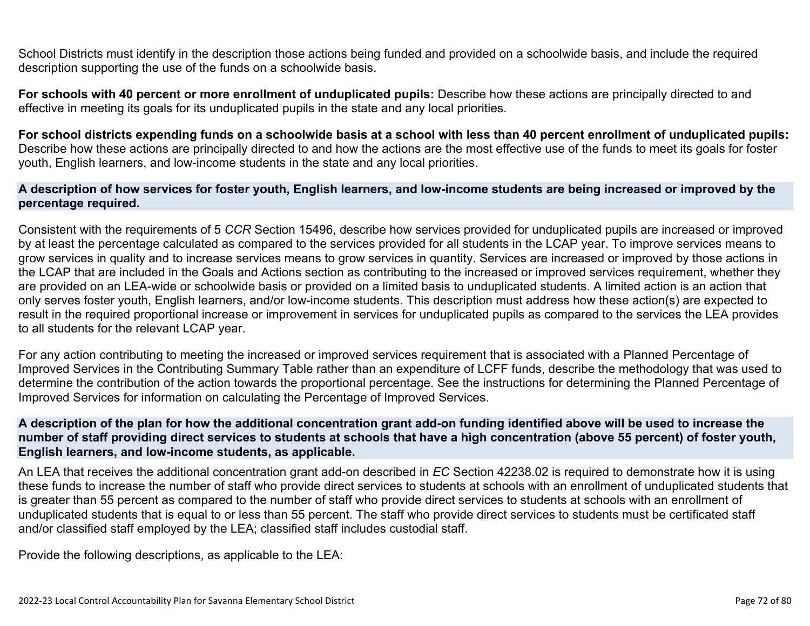School Districts must identify in the description those actions being funded and provided on a schoolwide basis, and include the required description supporting the use of the funds on a schoolwide basis.

**For schools with 40 percent or more enrollment of unduplicated pupils:** Describe how these actions are principally directed to and effective in meeting its goals for its unduplicated pupils in the state and any local priorities.

**For school districts expending funds on a schoolwide basis at a school with less than 40 percent enrollment of unduplicated pupils:** Describe how these actions are principally directed to and how the actions are the most effective use of the funds to meet its goals for foster youth, English learners, and low-income students in the state and any local priorities.

#### **A description of how services for foster youth, English learners, and low-income students are being increased or improved by the percentage required.**

Consistent with the requirements of 5 *CCR* Section 15496, describe how services provided for unduplicated pupils are increased or improved by at least the percentage calculated as compared to the services provided for all students in the LCAP year. To improve services means to grow services in quality and to increase services means to grow services in quantity. Services are increased or improved by those actions in the LCAP that are included in the Goals and Actions section as contributing to the increased or improved services requirement, whether they are provided on an LEA-wide or schoolwide basis or provided on a limited basis to unduplicated students. A limited action is an action that only serves foster youth, English learners, and/or low-income students. This description must address how these action(s) are expected to result in the required proportional increase or improvement in services for unduplicated pupils as compared to the services the LEA provides to all students for the relevant LCAP year.

For any action contributing to meeting the increased or improved services requirement that is associated with a Planned Percentage of Improved Services in the Contributing Summary Table rather than an expenditure of LCFF funds, describe the methodology that was used to determine the contribution of the action towards the proportional percentage. See the instructions for determining the Planned Percentage of Improved Services for information on calculating the Percentage of Improved Services.

#### **A description of the plan for how the additional concentration grant add-on funding identified above will be used to increase the number of staff providing direct services to students at schools that have a high concentration (above 55 percent) of foster youth, English learners, and low-income students, as applicable.**

An LEA that receives the additional concentration grant add-on described in *EC* Section 42238.02 is required to demonstrate how it is using these funds to increase the number of staff who provide direct services to students at schools with an enrollment of unduplicated students that is greater than 55 percent as compared to the number of staff who provide direct services to students at schools with an enrollment of unduplicated students that is equal to or less than 55 percent. The staff who provide direct services to students must be certificated staff and/or classified staff employed by the LEA; classified staff includes custodial staff.

Provide the following descriptions, as applicable to the LEA: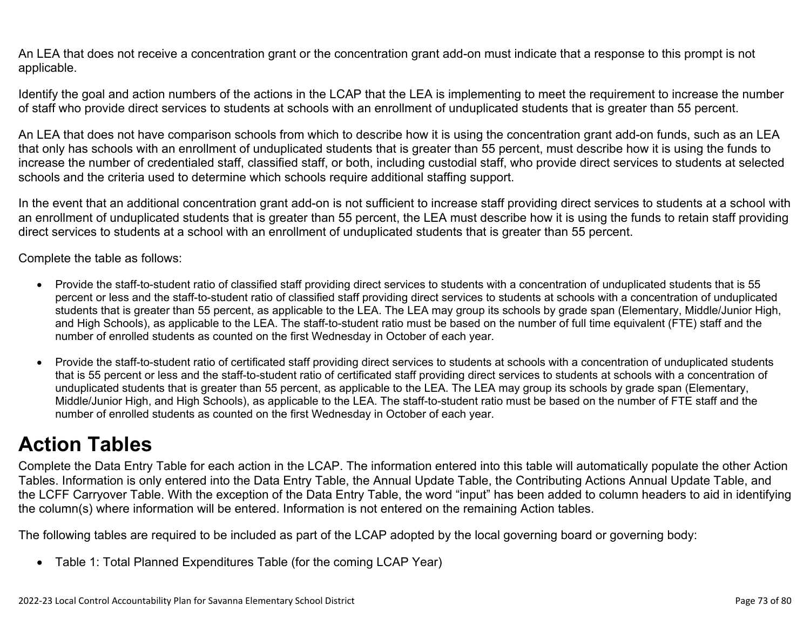An LEA that does not receive a concentration grant or the concentration grant add-on must indicate that a response to this prompt is not applicable.

Identify the goal and action numbers of the actions in the LCAP that the LEA is implementing to meet the requirement to increase the number of staff who provide direct services to students at schools with an enrollment of unduplicated students that is greater than 55 percent.

An LEA that does not have comparison schools from which to describe how it is using the concentration grant add-on funds, such as an LEA that only has schools with an enrollment of unduplicated students that is greater than 55 percent, must describe how it is using the funds to increase the number of credentialed staff, classified staff, or both, including custodial staff, who provide direct services to students at selected schools and the criteria used to determine which schools require additional staffing support.

In the event that an additional concentration grant add-on is not sufficient to increase staff providing direct services to students at a school with an enrollment of unduplicated students that is greater than 55 percent, the LEA must describe how it is using the funds to retain staff providing direct services to students at a school with an enrollment of unduplicated students that is greater than 55 percent.

Complete the table as follows:

- Provide the staff-to-student ratio of classified staff providing direct services to students with a concentration of unduplicated students that is 55 percent or less and the staff-to-student ratio of classified staff providing direct services to students at schools with a concentration of unduplicated students that is greater than 55 percent, as applicable to the LEA. The LEA may group its schools by grade span (Elementary, Middle/Junior High, and High Schools), as applicable to the LEA. The staff-to-student ratio must be based on the number of full time equivalent (FTE) staff and the number of enrolled students as counted on the first Wednesday in October of each year.
- Provide the staff-to-student ratio of certificated staff providing direct services to students at schools with a concentration of unduplicated students that is 55 percent or less and the staff-to-student ratio of certificated staff providing direct services to students at schools with a concentration of unduplicated students that is greater than 55 percent, as applicable to the LEA. The LEA may group its schools by grade span (Elementary, Middle/Junior High, and High Schools), as applicable to the LEA. The staff-to-student ratio must be based on the number of FTE staff and the number of enrolled students as counted on the first Wednesday in October of each year.

# **Action Tables**

Complete the Data Entry Table for each action in the LCAP. The information entered into this table will automatically populate the other Action Tables. Information is only entered into the Data Entry Table, the Annual Update Table, the Contributing Actions Annual Update Table, and the LCFF Carryover Table. With the exception of the Data Entry Table, the word "input" has been added to column headers to aid in identifying the column(s) where information will be entered. Information is not entered on the remaining Action tables.

The following tables are required to be included as part of the LCAP adopted by the local governing board or governing body:

• Table 1: Total Planned Expenditures Table (for the coming LCAP Year)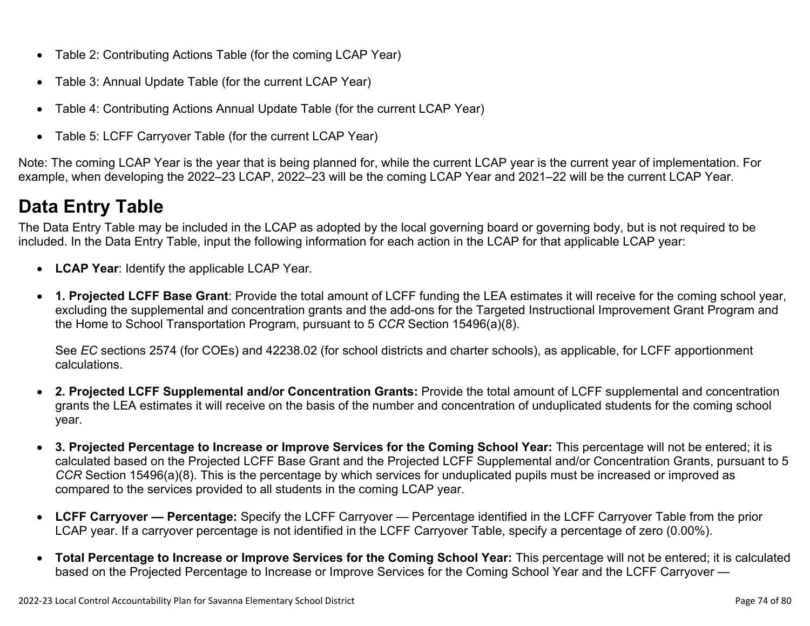- Table 2: Contributing Actions Table (for the coming LCAP Year)
- Table 3: Annual Update Table (for the current LCAP Year)
- Table 4: Contributing Actions Annual Update Table (for the current LCAP Year)
- Table 5: LCFF Carryover Table (for the current LCAP Year)

Note: The coming LCAP Year is the year that is being planned for, while the current LCAP year is the current year of implementation. For example, when developing the 2022–23 LCAP, 2022–23 will be the coming LCAP Year and 2021–22 will be the current LCAP Year.

# **Data Entry Table**

The Data Entry Table may be included in the LCAP as adopted by the local governing board or governing body, but is not required to be included. In the Data Entry Table, input the following information for each action in the LCAP for that applicable LCAP year:

- **LCAP Year**: Identify the applicable LCAP Year.
- **1. Projected LCFF Base Grant**: Provide the total amount of LCFF funding the LEA estimates it will receive for the coming school year, excluding the supplemental and concentration grants and the add-ons for the Targeted Instructional Improvement Grant Program and the Home to School Transportation Program, pursuant to 5 *CCR* Section 15496(a)(8).

See *EC* sections 2574 (for COEs) and 42238.02 (for school districts and charter schools), as applicable, for LCFF apportionment calculations.

- **2. Projected LCFF Supplemental and/or Concentration Grants:** Provide the total amount of LCFF supplemental and concentration grants the LEA estimates it will receive on the basis of the number and concentration of unduplicated students for the coming school year.
- **3. Projected Percentage to Increase or Improve Services for the Coming School Year:** This percentage will not be entered; it is calculated based on the Projected LCFF Base Grant and the Projected LCFF Supplemental and/or Concentration Grants, pursuant to 5 *CCR* Section 15496(a)(8). This is the percentage by which services for unduplicated pupils must be increased or improved as compared to the services provided to all students in the coming LCAP year.
- **LCFF Carryover Percentage:** Specify the LCFF Carryover Percentage identified in the LCFF Carryover Table from the prior LCAP year. If a carryover percentage is not identified in the LCFF Carryover Table, specify a percentage of zero (0.00%).
- **Total Percentage to Increase or Improve Services for the Coming School Year:** This percentage will not be entered; it is calculated based on the Projected Percentage to Increase or Improve Services for the Coming School Year and the LCFF Carryover —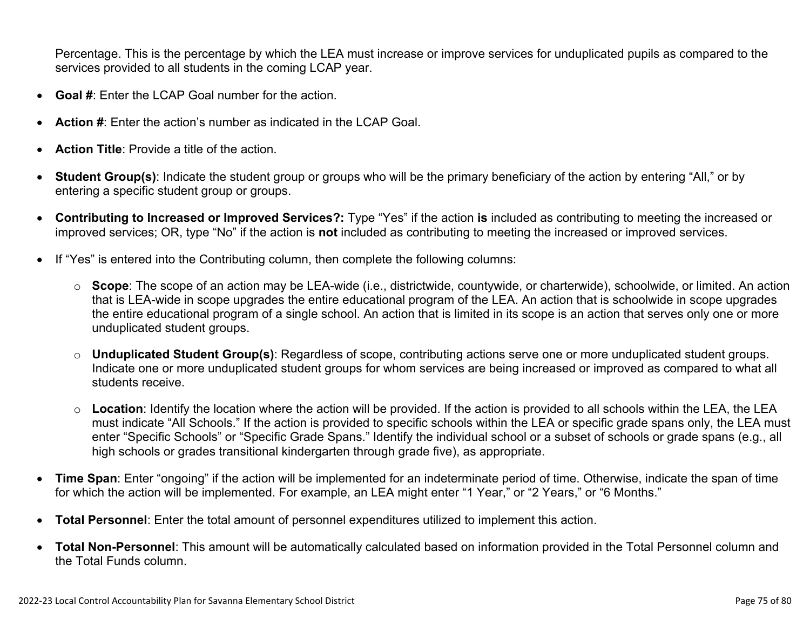Percentage. This is the percentage by which the LEA must increase or improve services for unduplicated pupils as compared to the services provided to all students in the coming LCAP year.

- **Goal #**: Enter the LCAP Goal number for the action.
- **Action #**: Enter the action's number as indicated in the LCAP Goal.
- **Action Title**: Provide a title of the action.
- **Student Group(s)**: Indicate the student group or groups who will be the primary beneficiary of the action by entering "All," or by entering a specific student group or groups.
- **Contributing to Increased or Improved Services?:** Type "Yes" if the action **is** included as contributing to meeting the increased or improved services; OR, type "No" if the action is **not** included as contributing to meeting the increased or improved services.
- If "Yes" is entered into the Contributing column, then complete the following columns:
	- o **Scope**: The scope of an action may be LEA-wide (i.e., districtwide, countywide, or charterwide), schoolwide, or limited. An action that is LEA-wide in scope upgrades the entire educational program of the LEA. An action that is schoolwide in scope upgrades the entire educational program of a single school. An action that is limited in its scope is an action that serves only one or more unduplicated student groups.
	- o **Unduplicated Student Group(s)**: Regardless of scope, contributing actions serve one or more unduplicated student groups. Indicate one or more unduplicated student groups for whom services are being increased or improved as compared to what all students receive.
	- o **Location**: Identify the location where the action will be provided. If the action is provided to all schools within the LEA, the LEA must indicate "All Schools." If the action is provided to specific schools within the LEA or specific grade spans only, the LEA must enter "Specific Schools" or "Specific Grade Spans." Identify the individual school or a subset of schools or grade spans (e.g., all high schools or grades transitional kindergarten through grade five), as appropriate.
- **Time Span**: Enter "ongoing" if the action will be implemented for an indeterminate period of time. Otherwise, indicate the span of time for which the action will be implemented. For example, an LEA might enter "1 Year," or "2 Years," or "6 Months."
- **Total Personnel**: Enter the total amount of personnel expenditures utilized to implement this action.
- **Total Non-Personnel**: This amount will be automatically calculated based on information provided in the Total Personnel column and the Total Funds column.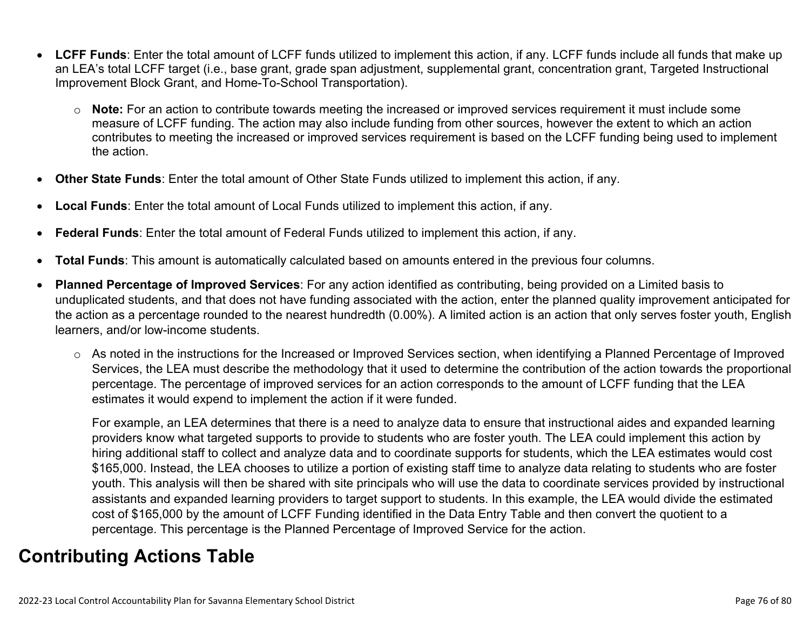- **LCFF Funds**: Enter the total amount of LCFF funds utilized to implement this action, if any. LCFF funds include all funds that make up an LEA's total LCFF target (i.e., base grant, grade span adjustment, supplemental grant, concentration grant, Targeted Instructional Improvement Block Grant, and Home-To-School Transportation).
	- o **Note:** For an action to contribute towards meeting the increased or improved services requirement it must include some measure of LCFF funding. The action may also include funding from other sources, however the extent to which an action contributes to meeting the increased or improved services requirement is based on the LCFF funding being used to implement the action.
- **Other State Funds**: Enter the total amount of Other State Funds utilized to implement this action, if any.
- **Local Funds**: Enter the total amount of Local Funds utilized to implement this action, if any.
- **Federal Funds**: Enter the total amount of Federal Funds utilized to implement this action, if any.
- **Total Funds**: This amount is automatically calculated based on amounts entered in the previous four columns.
- **Planned Percentage of Improved Services**: For any action identified as contributing, being provided on a Limited basis to unduplicated students, and that does not have funding associated with the action, enter the planned quality improvement anticipated for the action as a percentage rounded to the nearest hundredth (0.00%). A limited action is an action that only serves foster youth, English learners, and/or low-income students.
	- o As noted in the instructions for the Increased or Improved Services section, when identifying a Planned Percentage of Improved Services, the LEA must describe the methodology that it used to determine the contribution of the action towards the proportional percentage. The percentage of improved services for an action corresponds to the amount of LCFF funding that the LEA estimates it would expend to implement the action if it were funded.

For example, an LEA determines that there is a need to analyze data to ensure that instructional aides and expanded learning providers know what targeted supports to provide to students who are foster youth. The LEA could implement this action by hiring additional staff to collect and analyze data and to coordinate supports for students, which the LEA estimates would cost \$165,000. Instead, the LEA chooses to utilize a portion of existing staff time to analyze data relating to students who are foster youth. This analysis will then be shared with site principals who will use the data to coordinate services provided by instructional assistants and expanded learning providers to target support to students. In this example, the LEA would divide the estimated cost of \$165,000 by the amount of LCFF Funding identified in the Data Entry Table and then convert the quotient to a percentage. This percentage is the Planned Percentage of Improved Service for the action.

### **Contributing Actions Table**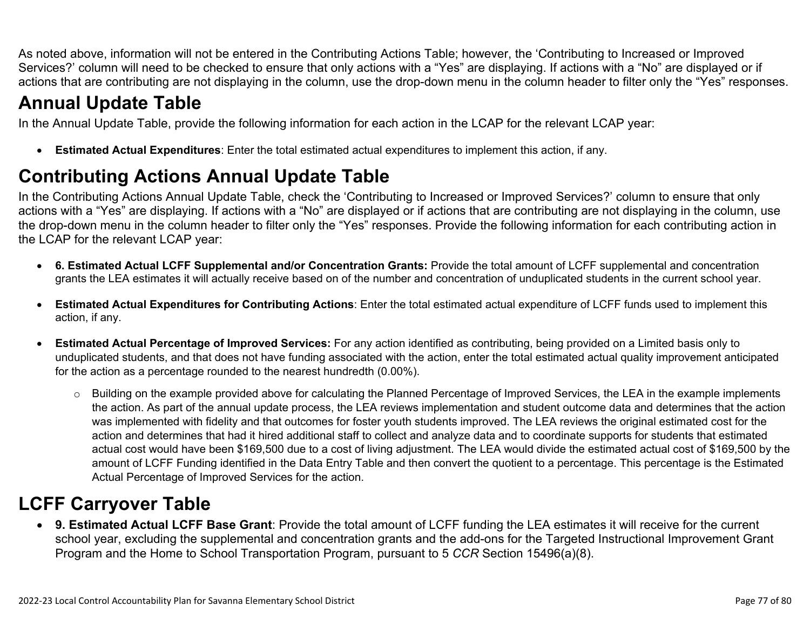As noted above, information will not be entered in the Contributing Actions Table; however, the 'Contributing to Increased or Improved Services?' column will need to be checked to ensure that only actions with a "Yes" are displaying. If actions with a "No" are displayed or if actions that are contributing are not displaying in the column, use the drop-down menu in the column header to filter only the "Yes" responses.

# **Annual Update Table**

In the Annual Update Table, provide the following information for each action in the LCAP for the relevant LCAP year:

• **Estimated Actual Expenditures**: Enter the total estimated actual expenditures to implement this action, if any.

## **Contributing Actions Annual Update Table**

In the Contributing Actions Annual Update Table, check the 'Contributing to Increased or Improved Services?' column to ensure that only actions with a "Yes" are displaying. If actions with a "No" are displayed or if actions that are contributing are not displaying in the column, use the drop-down menu in the column header to filter only the "Yes" responses. Provide the following information for each contributing action in the LCAP for the relevant LCAP year:

- **6. Estimated Actual LCFF Supplemental and/or Concentration Grants:** Provide the total amount of LCFF supplemental and concentration grants the LEA estimates it will actually receive based on of the number and concentration of unduplicated students in the current school year.
- **Estimated Actual Expenditures for Contributing Actions**: Enter the total estimated actual expenditure of LCFF funds used to implement this action, if any.
- **Estimated Actual Percentage of Improved Services:** For any action identified as contributing, being provided on a Limited basis only to unduplicated students, and that does not have funding associated with the action, enter the total estimated actual quality improvement anticipated for the action as a percentage rounded to the nearest hundredth (0.00%).
	- o Building on the example provided above for calculating the Planned Percentage of Improved Services, the LEA in the example implements the action. As part of the annual update process, the LEA reviews implementation and student outcome data and determines that the action was implemented with fidelity and that outcomes for foster youth students improved. The LEA reviews the original estimated cost for the action and determines that had it hired additional staff to collect and analyze data and to coordinate supports for students that estimated actual cost would have been \$169,500 due to a cost of living adjustment. The LEA would divide the estimated actual cost of \$169,500 by the amount of LCFF Funding identified in the Data Entry Table and then convert the quotient to a percentage. This percentage is the Estimated Actual Percentage of Improved Services for the action.

### **LCFF Carryover Table**

• **9. Estimated Actual LCFF Base Grant**: Provide the total amount of LCFF funding the LEA estimates it will receive for the current school year, excluding the supplemental and concentration grants and the add-ons for the Targeted Instructional Improvement Grant Program and the Home to School Transportation Program, pursuant to 5 *CCR* Section 15496(a)(8).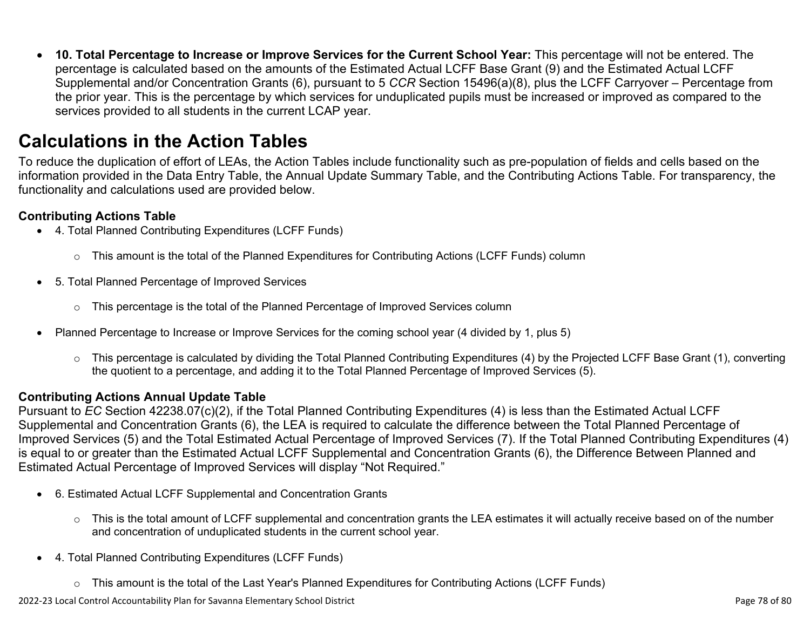• **10. Total Percentage to Increase or Improve Services for the Current School Year:** This percentage will not be entered. The percentage is calculated based on the amounts of the Estimated Actual LCFF Base Grant (9) and the Estimated Actual LCFF Supplemental and/or Concentration Grants (6), pursuant to 5 *CCR* Section 15496(a)(8), plus the LCFF Carryover – Percentage from the prior year. This is the percentage by which services for unduplicated pupils must be increased or improved as compared to the services provided to all students in the current LCAP year.

### **Calculations in the Action Tables**

To reduce the duplication of effort of LEAs, the Action Tables include functionality such as pre-population of fields and cells based on the information provided in the Data Entry Table, the Annual Update Summary Table, and the Contributing Actions Table. For transparency, the functionality and calculations used are provided below.

#### **Contributing Actions Table**

- 4. Total Planned Contributing Expenditures (LCFF Funds)
	- $\circ$  This amount is the total of the Planned Expenditures for Contributing Actions (LCFF Funds) column
- 5. Total Planned Percentage of Improved Services
	- $\circ$  This percentage is the total of the Planned Percentage of Improved Services column
- Planned Percentage to Increase or Improve Services for the coming school year (4 divided by 1, plus 5)
	- o This percentage is calculated by dividing the Total Planned Contributing Expenditures (4) by the Projected LCFF Base Grant (1), converting the quotient to a percentage, and adding it to the Total Planned Percentage of Improved Services (5).

#### **Contributing Actions Annual Update Table**

Pursuant to *EC* Section 42238.07(c)(2), if the Total Planned Contributing Expenditures (4) is less than the Estimated Actual LCFF Supplemental and Concentration Grants (6), the LEA is required to calculate the difference between the Total Planned Percentage of Improved Services (5) and the Total Estimated Actual Percentage of Improved Services (7). If the Total Planned Contributing Expenditures (4) is equal to or greater than the Estimated Actual LCFF Supplemental and Concentration Grants (6), the Difference Between Planned and Estimated Actual Percentage of Improved Services will display "Not Required."

- 6. Estimated Actual LCFF Supplemental and Concentration Grants
	- $\circ$  This is the total amount of LCFF supplemental and concentration grants the LEA estimates it will actually receive based on of the number and concentration of unduplicated students in the current school year.
- 4. Total Planned Contributing Expenditures (LCFF Funds)
	- $\circ$  This amount is the total of the Last Year's Planned Expenditures for Contributing Actions (LCFF Funds)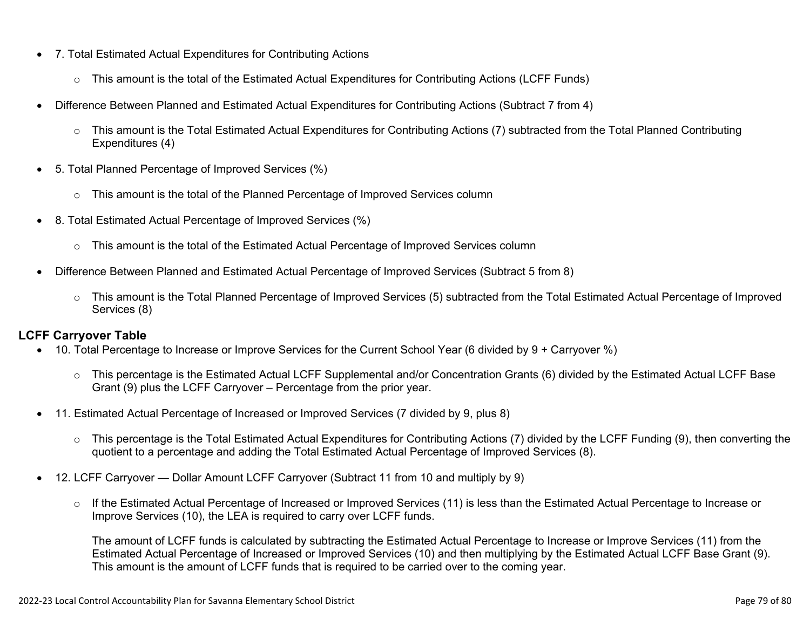- 7. Total Estimated Actual Expenditures for Contributing Actions
	- o This amount is the total of the Estimated Actual Expenditures for Contributing Actions (LCFF Funds)
- Difference Between Planned and Estimated Actual Expenditures for Contributing Actions (Subtract 7 from 4)
	- $\circ$  This amount is the Total Estimated Actual Expenditures for Contributing Actions (7) subtracted from the Total Planned Contributing Expenditures (4)
- 5. Total Planned Percentage of Improved Services (%)
	- $\circ$  This amount is the total of the Planned Percentage of Improved Services column
- 8. Total Estimated Actual Percentage of Improved Services (%)
	- o This amount is the total of the Estimated Actual Percentage of Improved Services column
- Difference Between Planned and Estimated Actual Percentage of Improved Services (Subtract 5 from 8)
	- o This amount is the Total Planned Percentage of Improved Services (5) subtracted from the Total Estimated Actual Percentage of Improved Services (8)

#### **LCFF Carryover Table**

- 10. Total Percentage to Increase or Improve Services for the Current School Year (6 divided by 9 + Carryover %)
	- $\circ$  This percentage is the Estimated Actual LCFF Supplemental and/or Concentration Grants (6) divided by the Estimated Actual LCFF Base Grant (9) plus the LCFF Carryover – Percentage from the prior year.
- 11. Estimated Actual Percentage of Increased or Improved Services (7 divided by 9, plus 8)
	- o This percentage is the Total Estimated Actual Expenditures for Contributing Actions (7) divided by the LCFF Funding (9), then converting the quotient to a percentage and adding the Total Estimated Actual Percentage of Improved Services (8).
- 12. LCFF Carryover Dollar Amount LCFF Carryover (Subtract 11 from 10 and multiply by 9)
	- $\circ$  If the Estimated Actual Percentage of Increased or Improved Services (11) is less than the Estimated Actual Percentage to Increase or Improve Services (10), the LEA is required to carry over LCFF funds.

The amount of LCFF funds is calculated by subtracting the Estimated Actual Percentage to Increase or Improve Services (11) from the Estimated Actual Percentage of Increased or Improved Services (10) and then multiplying by the Estimated Actual LCFF Base Grant (9). This amount is the amount of LCFF funds that is required to be carried over to the coming year.